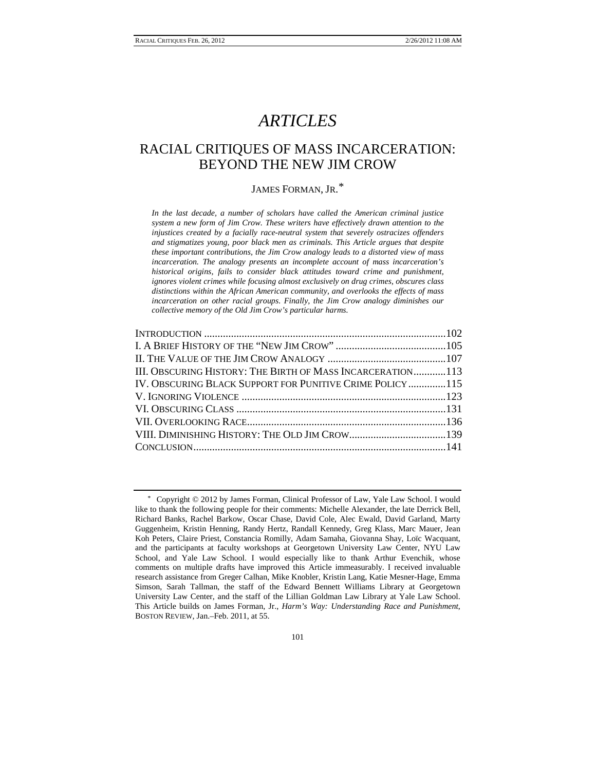# *ARTICLES*

# RACIAL CRITIQUES OF MASS INCARCERATION: BEYOND THE NEW JIM CROW

# JAMES FORMAN, JR.[\\*](#page-0-0)

*In the last decade, a number of scholars have called the American criminal justice system a new form of Jim Crow. These writers have effectively drawn attention to the injustices created by a facially race-neutral system that severely ostracizes offenders and stigmatizes young, poor black men as criminals. This Article argues that despite these important contributions, the Jim Crow analogy leads to a distorted view of mass incarceration. The analogy presents an incomplete account of mass incarceration's historical origins, fails to consider black attitudes toward crime and punishment, ignores violent crimes while focusing almost exclusively on drug crimes, obscures class distinctions within the African American community, and overlooks the effects of mass incarceration on other racial groups. Finally, the Jim Crow analogy diminishes our collective memory of the Old Jim Crow's particular harms.*

| III. OBSCURING HISTORY: THE BIRTH OF MASS INCARCERATION113 |  |
|------------------------------------------------------------|--|
| IV. OBSCURING BLACK SUPPORT FOR PUNITIVE CRIME POLICY  115 |  |
|                                                            |  |
|                                                            |  |
|                                                            |  |
|                                                            |  |
|                                                            |  |
|                                                            |  |

<span id="page-0-1"></span><span id="page-0-0"></span><sup>\*</sup> Copyright © 2012 by James Forman, Clinical Professor of Law, Yale Law School. I would like to thank the following people for their comments: Michelle Alexander, the late Derrick Bell, Richard Banks, Rachel Barkow, Oscar Chase, David Cole, Alec Ewald, David Garland, Marty Guggenheim, Kristin Henning, Randy Hertz, Randall Kennedy, Greg Klass, Marc Mauer, Jean Koh Peters, Claire Priest, Constancia Romilly, Adam Samaha, Giovanna Shay, Loïc Wacquant, and the participants at faculty workshops at Georgetown University Law Center, NYU Law School, and Yale Law School. I would especially like to thank Arthur Evenchik, whose comments on multiple drafts have improved this Article immeasurably. I received invaluable research assistance from Greger Calhan, Mike Knobler, Kristin Lang, Katie Mesner-Hage, Emma Simson, Sarah Tallman, the staff of the Edward Bennett Williams Library at Georgetown University Law Center, and the staff of the Lillian Goldman Law Library at Yale Law School. This Article builds on James Forman, Jr., *Harm's Way: Understanding Race and Punishment*, BOSTON REVIEW, Jan.–Feb. 2011, at 55.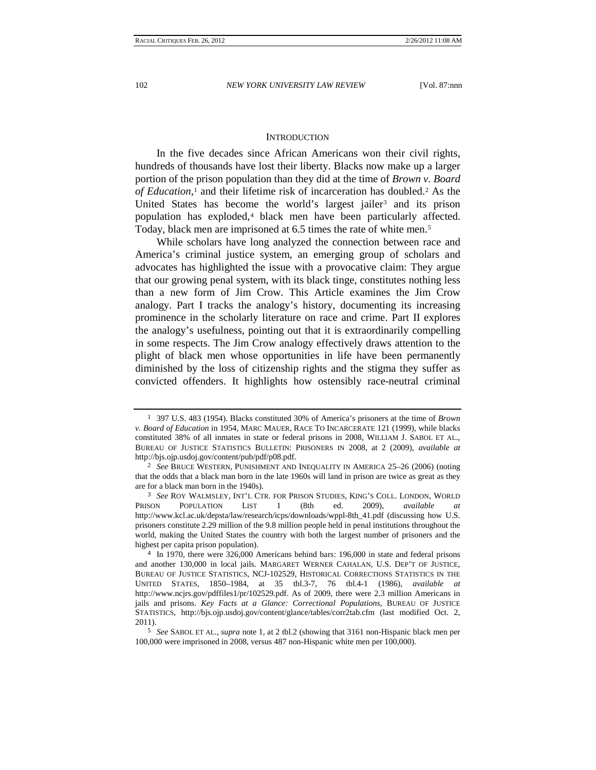# **INTRODUCTION**

In the five decades since African Americans won their civil rights, hundreds of thousands have lost their liberty. Blacks now make up a larger portion of the prison population than they did at the time of *Brown v. Board of Education*,<sup>1</sup> and their lifetime risk of incarceration has doubled.<sup>[2](#page-1-0)</sup> As the United States has become the world's largest jailer<sup>[3](#page-1-1)</sup> and its prison population has exploded,[4](#page-1-2) black men have been particularly affected. Today, black men are imprisoned at 6.5 times the rate of white men.[5](#page-1-3)

While scholars have long analyzed the connection between race and America's criminal justice system, an emerging group of scholars and advocates has highlighted the issue with a provocative claim: They argue that our growing penal system, with its black tinge, constitutes nothing less than a new form of Jim Crow. This Article examines the Jim Crow analogy. Part I tracks the analogy's history, documenting its increasing prominence in the scholarly literature on race and crime. Part II explores the analogy's usefulness, pointing out that it is extraordinarily compelling in some respects. The Jim Crow analogy effectively draws attention to the plight of black men whose opportunities in life have been permanently diminished by the loss of citizenship rights and the stigma they suffer as convicted offenders. It highlights how ostensibly race-neutral criminal

<sup>1</sup> 397 U.S. 483 (1954). Blacks constituted 30% of America's prisoners at the time of *Brown v. Board of Education* in 1954, MARC MAUER, RACE TO INCARCERATE 121 (1999), while blacks constituted 38% of all inmates in state or federal prisons in 2008, WILLIAM J. SABOL ET AL., BUREAU OF JUSTICE STATISTICS BULLETIN: PRISONERS IN 2008, at 2 (2009), *available at* http://bjs.ojp.usdoj.gov/content/pub/pdf/p08.pdf.

<span id="page-1-4"></span><span id="page-1-0"></span><sup>2</sup> *See* BRUCE WESTERN, PUNISHMENT AND INEQUALITY IN AMERICA 25–26 (2006) (noting that the odds that a black man born in the late 1960s will land in prison are twice as great as they are for a black man born in the 1940s).

<span id="page-1-1"></span><sup>3</sup> *See* ROY WALMSLEY, INT'L CTR. FOR PRISON STUDIES, KING'S COLL. LONDON, WORLD PRISON POPULATION LIST 1 (8th ed. 2009), *available at* http://www.kcl.ac.uk/depsta/law/research/icps/downloads/wppl-8th\_41.pdf (discussing how U.S. prisoners constitute 2.29 million of the 9.8 million people held in penal institutions throughout the world, making the United States the country with both the largest number of prisoners and the highest per capita prison population).

<span id="page-1-2"></span><sup>4</sup> In 1970, there were 326,000 Americans behind bars: 196,000 in state and federal prisons and another 130,000 in local jails. MARGARET WERNER CAHALAN, U.S. DEP'T OF JUSTICE, BUREAU OF JUSTICE STATISTICS, NCJ-102529, HISTORICAL CORRECTIONS STATISTICS IN THE UNITED STATES, 1850–1984, at 35 tbl.3-7, 76 tbl.4-1 (1986), *available at*  http://www.ncjrs.gov/pdffiles1/pr/102529.pdf. As of 2009, there were 2.3 million Americans in jails and prisons. *Key Facts at a Glance: Correctional Populations*, BUREAU OF JUSTICE STATISTICS, http://bjs.ojp.usdoj.gov/content/glance/tables/corr2tab.cfm (last modified Oct. 2, 2011).

<span id="page-1-3"></span><sup>5</sup> *See* SABOL ET AL., *supra* note 1, at 2 tbl.2 (showing that 3161 non-Hispanic black men per 100,000 were imprisoned in 2008, versus 487 non-Hispanic white men per 100,000).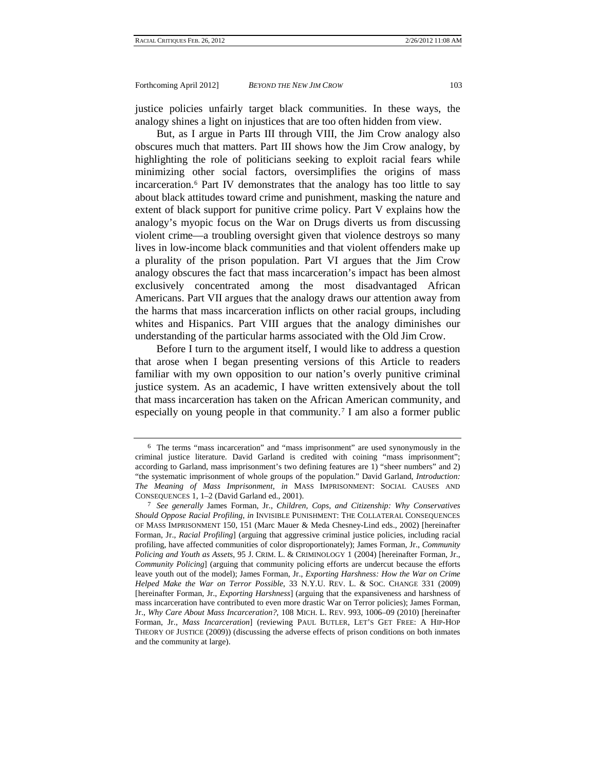justice policies unfairly target black communities. In these ways, the analogy shines a light on injustices that are too often hidden from view.

But, as I argue in Parts III through VIII, the Jim Crow analogy also obscures much that matters. Part III shows how the Jim Crow analogy, by highlighting the role of politicians seeking to exploit racial fears while minimizing other social factors, oversimplifies the origins of mass incarceration.[6](#page-1-4) Part IV demonstrates that the analogy has too little to say about black attitudes toward crime and punishment, masking the nature and extent of black support for punitive crime policy. Part V explains how the analogy's myopic focus on the War on Drugs diverts us from discussing violent crime—a troubling oversight given that violence destroys so many lives in low-income black communities and that violent offenders make up a plurality of the prison population. Part VI argues that the Jim Crow analogy obscures the fact that mass incarceration's impact has been almost exclusively concentrated among the most disadvantaged African Americans. Part VII argues that the analogy draws our attention away from the harms that mass incarceration inflicts on other racial groups, including whites and Hispanics. Part VIII argues that the analogy diminishes our understanding of the particular harms associated with the Old Jim Crow.

Before I turn to the argument itself, I would like to address a question that arose when I began presenting versions of this Article to readers familiar with my own opposition to our nation's overly punitive criminal justice system. As an academic, I have written extensively about the toll that mass incarceration has taken on the African American community, and especially on young people in that community.[7](#page-2-0) I am also a former public

<sup>6</sup> The terms "mass incarceration" and "mass imprisonment" are used synonymously in the criminal justice literature. David Garland is credited with coining "mass imprisonment"; according to Garland, mass imprisonment's two defining features are 1) "sheer numbers" and 2) "the systematic imprisonment of whole groups of the population." David Garland, *Introduction: The Meaning of Mass Imprisonment*, *in* MASS IMPRISONMENT: SOCIAL CAUSES AND CONSEQUENCES 1, 1–2 (David Garland ed., 2001).

<span id="page-2-1"></span><span id="page-2-0"></span><sup>7</sup> *See generally* James Forman, Jr., *Children, Cops, and Citizenship: Why Conservatives Should Oppose Racial Profiling*, *in* INVISIBLE PUNISHMENT: THE COLLATERAL CONSEQUENCES OF MASS IMPRISONMENT 150, 151 (Marc Mauer & Meda Chesney-Lind eds., 2002) [hereinafter Forman, Jr., *Racial Profiling*] (arguing that aggressive criminal justice policies, including racial profiling, have affected communities of color disproportionately); James Forman, Jr., *Community Policing and Youth as Assets*, 95 J. CRIM. L. & CRIMINOLOGY 1 (2004) [hereinafter Forman, Jr., *Community Policing*] (arguing that community policing efforts are undercut because the efforts leave youth out of the model); James Forman, Jr., *Exporting Harshness: How the War on Crime Helped Make the War on Terror Possible*, 33 N.Y.U. REV. L. & SOC. CHANGE 331 (2009) [hereinafter Forman, Jr., *Exporting Harshness*] (arguing that the expansiveness and harshness of mass incarceration have contributed to even more drastic War on Terror policies); James Forman, Jr., *Why Care About Mass Incarceration?*, 108 MICH. L. REV. 993, 1006–09 (2010) [hereinafter Forman, Jr., *Mass Incarceration*] (reviewing PAUL BUTLER, LET'S GET FREE: A HIP-HOP THEORY OF JUSTICE (2009)) (discussing the adverse effects of prison conditions on both inmates and the community at large).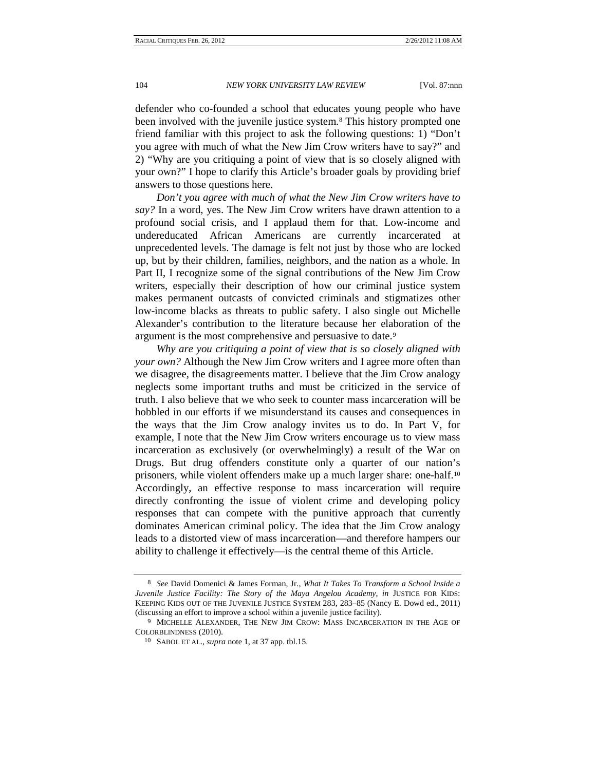defender who co-founded a school that educates young people who have been involved with the juvenile justice system.<sup>[8](#page-2-1)</sup> This history prompted one friend familiar with this project to ask the following questions: 1) "Don't you agree with much of what the New Jim Crow writers have to say?" and 2) "Why are you critiquing a point of view that is so closely aligned with your own?" I hope to clarify this Article's broader goals by providing brief answers to those questions here.

*Don't you agree with much of what the New Jim Crow writers have to say?* In a word, yes. The New Jim Crow writers have drawn attention to a profound social crisis, and I applaud them for that. Low-income and undereducated African Americans are currently incarcerated at unprecedented levels. The damage is felt not just by those who are locked up, but by their children, families, neighbors, and the nation as a whole. In Part II, I recognize some of the signal contributions of the New Jim Crow writers, especially their description of how our criminal justice system makes permanent outcasts of convicted criminals and stigmatizes other low-income blacks as threats to public safety. I also single out Michelle Alexander's contribution to the literature because her elaboration of the argument is the most comprehensive and persuasive to date.<sup>[9](#page-3-0)</sup>

*Why are you critiquing a point of view that is so closely aligned with your own?* Although the New Jim Crow writers and I agree more often than we disagree, the disagreements matter. I believe that the Jim Crow analogy neglects some important truths and must be criticized in the service of truth. I also believe that we who seek to counter mass incarceration will be hobbled in our efforts if we misunderstand its causes and consequences in the ways that the Jim Crow analogy invites us to do. In Part V, for example, I note that the New Jim Crow writers encourage us to view mass incarceration as exclusively (or overwhelmingly) a result of the War on Drugs. But drug offenders constitute only a quarter of our nation's prisoners, while violent offenders make up a much larger share: one-half.<sup>10</sup> Accordingly, an effective response to mass incarceration will require directly confronting the issue of violent crime and developing policy responses that can compete with the punitive approach that currently dominates American criminal policy. The idea that the Jim Crow analogy leads to a distorted view of mass incarceration—and therefore hampers our ability to challenge it effectively—is the central theme of this Article.

<span id="page-3-2"></span><sup>8</sup> *See* David Domenici & James Forman, Jr., *What It Takes To Transform a School Inside a Juvenile Justice Facility: The Story of the Maya Angelou Academy*, *in* JUSTICE FOR KIDS: KEEPING KIDS OUT OF THE JUVENILE JUSTICE SYSTEM 283, 283–85 (Nancy E. Dowd ed., 2011) (discussing an effort to improve a school within a juvenile justice facility).

<span id="page-3-1"></span><span id="page-3-0"></span><sup>9</sup> MICHELLE ALEXANDER, THE NEW JIM CROW: MASS INCARCERATION IN THE AGE OF COLORBLINDNESS (2010).

<sup>10</sup> SABOL ET AL., *supra* note 1, at 37 app. tbl.15.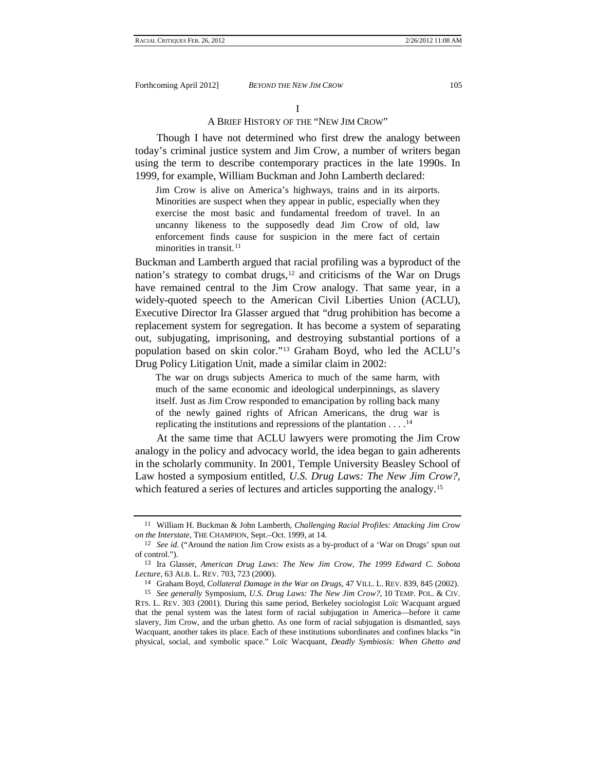I

#### A BRIEF HISTORY OF THE "NEW JIM CROW"

Though I have not determined who first drew the analogy between today's criminal justice system and Jim Crow, a number of writers began using the term to describe contemporary practices in the late 1990s. In 1999, for example, William Buckman and John Lamberth declared:

Jim Crow is alive on America's highways, trains and in its airports. Minorities are suspect when they appear in public, especially when they exercise the most basic and fundamental freedom of travel. In an uncanny likeness to the supposedly dead Jim Crow of old, law enforcement finds cause for suspicion in the mere fact of certain minorities in transit. $11$ 

<span id="page-4-4"></span>Buckman and Lamberth argued that racial profiling was a byproduct of the nation's strategy to combat drugs,<sup>[12](#page-4-0)</sup> and criticisms of the War on Drugs have remained central to the Jim Crow analogy. That same year, in a widely-quoted speech to the American Civil Liberties Union (ACLU), Executive Director Ira Glasser argued that "drug prohibition has become a replacement system for segregation. It has become a system of separating out, subjugating, imprisoning, and destroying substantial portions of a population based on skin color."[13](#page-4-1) Graham Boyd, who led the ACLU's Drug Policy Litigation Unit, made a similar claim in 2002:

The war on drugs subjects America to much of the same harm, with much of the same economic and ideological underpinnings, as slavery itself. Just as Jim Crow responded to emancipation by rolling back many of the newly gained rights of African Americans, the drug war is replicating the institutions and repressions of the plantation . . . . [14](#page-4-2)

At the same time that ACLU lawyers were promoting the Jim Crow analogy in the policy and advocacy world, the idea began to gain adherents in the scholarly community. In 2001, Temple University Beasley School of Law hosted a symposium entitled, *U.S. Drug Laws: The New Jim Crow?*, which featured a series of lectures and articles supporting the analogy.<sup>[15](#page-4-3)</sup>

<sup>11</sup> William H. Buckman & John Lamberth, *Challenging Racial Profiles: Attacking Jim Crow on the Interstate*, THE CHAMPION, Sept.–Oct. 1999, at 14.

<span id="page-4-0"></span><sup>&</sup>lt;sup>12</sup> *See id.* ("Around the nation Jim Crow exists as a by-product of a 'War on Drugs' spun out of control.").

<span id="page-4-2"></span><span id="page-4-1"></span><sup>13</sup> Ira Glasser, *American Drug Laws: The New Jim Crow, The 1999 Edward C. Sobota Lecture*, 63 ALB. L. REV. 703, 723 (2000).

<sup>14</sup> Graham Boyd, *Collateral Damage in the War on Drugs*, 47 VILL. L. REV. 839, 845 (2002).

<span id="page-4-3"></span><sup>15</sup> *See generally* Symposium, *U.S. Drug Laws: The New Jim Crow?*, 10 TEMP. POL. & CIV. RTS. L. REV. 303 (2001). During this same period, Berkeley sociologist Loïc Wacquant argued that the penal system was the latest form of racial subjugation in America—before it came slavery, Jim Crow, and the urban ghetto. As one form of racial subjugation is dismantled, says Wacquant, another takes its place. Each of these institutions subordinates and confines blacks "in physical, social, and symbolic space." Loïc Wacquant, *Deadly Symbiosis: When Ghetto and*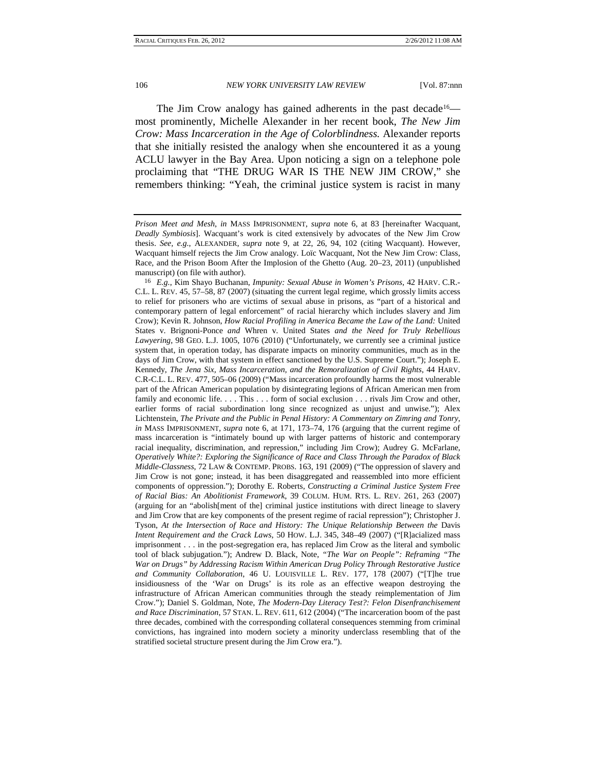The Jim Crow analogy has gained adherents in the past decade<sup>[16](#page-4-4)</sup> most prominently, Michelle Alexander in her recent book, *The New Jim Crow: Mass Incarceration in the Age of Colorblindness.* Alexander reports that she initially resisted the analogy when she encountered it as a young ACLU lawyer in the Bay Area. Upon noticing a sign on a telephone pole proclaiming that "THE DRUG WAR IS THE NEW JIM CROW," she remembers thinking: "Yeah, the criminal justice system is racist in many

*Prison Meet and Mesh*, *in* MASS IMPRISONMENT, *supra* note 6, at 83 [hereinafter Wacquant, *Deadly Symbiosis*]. Wacquant's work is cited extensively by advocates of the New Jim Crow thesis. *See, e.g.*, ALEXANDER, *supra* note 9, at 22, 26, 94, 102 (citing Wacquant). However, Wacquant himself rejects the Jim Crow analogy. Loïc Wacquant, Not the New Jim Crow: Class, Race, and the Prison Boom After the Implosion of the Ghetto (Aug. 20–23, 2011) (unpublished manuscript) (on file with author).

<span id="page-5-0"></span><sup>16</sup> *E.g.*, Kim Shayo Buchanan, *Impunity: Sexual Abuse in Women's Prisons*, 42 HARV. C.R.- C.L. L. REV. 45, 57–58, 87 (2007) (situating the current legal regime, which grossly limits access to relief for prisoners who are victims of sexual abuse in prisons, as "part of a historical and contemporary pattern of legal enforcement" of racial hierarchy which includes slavery and Jim Crow); Kevin R. Johnson, *How Racial Profiling in America Became the Law of the Land:* United States v. Brignoni-Ponce *and* Whren v. United States *and the Need for Truly Rebellious Lawyering*, 98 GEO. L.J. 1005, 1076 (2010) ("Unfortunately, we currently see a criminal justice system that, in operation today, has disparate impacts on minority communities, much as in the days of Jim Crow, with that system in effect sanctioned by the U.S. Supreme Court."); Joseph E. Kennedy, *The Jena Six, Mass Incarceration, and the Remoralization of Civil Rights*, 44 HARV. C.R-C.L. L. REV. 477, 505–06 (2009) ("Mass incarceration profoundly harms the most vulnerable part of the African American population by disintegrating legions of African American men from family and economic life. . . . This . . . form of social exclusion . . . rivals Jim Crow and other, earlier forms of racial subordination long since recognized as unjust and unwise."); Alex Lichtenstein, *The Private and the Public in Penal History: A Commentary on Zimring and Tonry*, *in* MASS IMPRISONMENT, *supra* note 6, at 171, 173–74, 176 (arguing that the current regime of mass incarceration is "intimately bound up with larger patterns of historic and contemporary racial inequality, discrimination, and repression," including Jim Crow); Audrey G. McFarlane, *Operatively White?: Exploring the Significance of Race and Class Through the Paradox of Black Middle-Classness*, 72 LAW & CONTEMP. PROBS. 163, 191 (2009) ("The oppression of slavery and Jim Crow is not gone; instead, it has been disaggregated and reassembled into more efficient components of oppression."); Dorothy E. Roberts, *Constructing a Criminal Justice System Free of Racial Bias: An Abolitionist Framework*, 39 COLUM. HUM. RTS. L. REV. 261, 263 (2007) (arguing for an "abolish[ment of the] criminal justice institutions with direct lineage to slavery and Jim Crow that are key components of the present regime of racial repression"); Christopher J. Tyson, *At the Intersection of Race and History: The Unique Relationship Between the Davis Intent Requirement and the Crack Laws*, 50 HOW. L.J. 345, 348–49 (2007) ("[R]acialized mass imprisonment . . . in the post-segregation era, has replaced Jim Crow as the literal and symbolic tool of black subjugation."); Andrew D. Black, Note, *"The War on People": Reframing "The War on Drugs" by Addressing Racism Within American Drug Policy Through Restorative Justice and Community Collaboration*, 46 U. LOUISVILLE L. REV. 177, 178 (2007) ("[T]he true insidiousness of the 'War on Drugs' is its role as an effective weapon destroying the infrastructure of African American communities through the steady reimplementation of Jim Crow."); Daniel S. Goldman, Note, *The Modern-Day Literacy Test?: Felon Disenfranchisement and Race Discrimination*, 57 STAN. L. REV. 611, 612 (2004) ("The incarceration boom of the past three decades, combined with the corresponding collateral consequences stemming from criminal convictions, has ingrained into modern society a minority underclass resembling that of the stratified societal structure present during the Jim Crow era.").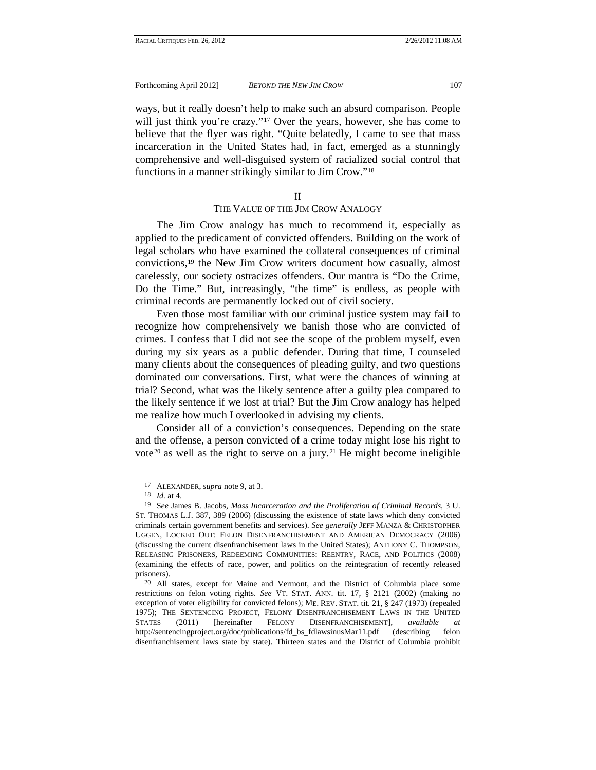ways, but it really doesn't help to make such an absurd comparison. People will just think you're crazy."<sup>[17](#page-5-0)</sup> Over the years, however, she has come to believe that the flyer was right. "Quite belatedly, I came to see that mass incarceration in the United States had, in fact, emerged as a stunningly comprehensive and well-disguised system of racialized social control that functions in a manner strikingly similar to Jim Crow."[18](#page-6-0)

#### II

# THE VALUE OF THE JIM CROW ANALOGY

<span id="page-6-3"></span>The Jim Crow analogy has much to recommend it, especially as applied to the predicament of convicted offenders. Building on the work of legal scholars who have examined the collateral consequences of criminal convictions,[19](#page-6-1) the New Jim Crow writers document how casually, almost carelessly, our society ostracizes offenders. Our mantra is "Do the Crime, Do the Time." But, increasingly, "the time" is endless, as people with criminal records are permanently locked out of civil society.

Even those most familiar with our criminal justice system may fail to recognize how comprehensively we banish those who are convicted of crimes. I confess that I did not see the scope of the problem myself, even during my six years as a public defender. During that time, I counseled many clients about the consequences of pleading guilty, and two questions dominated our conversations. First, what were the chances of winning at trial? Second, what was the likely sentence after a guilty plea compared to the likely sentence if we lost at trial? But the Jim Crow analogy has helped me realize how much I overlooked in advising my clients.

<span id="page-6-4"></span>Consider all of a conviction's consequences. Depending on the state and the offense, a person convicted of a crime today might lose his right to vote<sup>[20](#page-6-2)</sup> as well as the right to serve on a jury.<sup>[21](#page-6-3)</sup> He might become ineligible

<sup>17</sup> ALEXANDER, *supra* note 9, at 3.

<sup>18</sup> *Id.* at 4.

<span id="page-6-1"></span><span id="page-6-0"></span><sup>19</sup> S*ee* James B. Jacobs, *Mass Incarceration and the Proliferation of Criminal Records*, 3 U. ST. THOMAS L.J. 387, 389 (2006) (discussing the existence of state laws which deny convicted criminals certain government benefits and services). *See generally* JEFF MANZA & CHRISTOPHER UGGEN, LOCKED OUT: FELON DISENFRANCHISEMENT AND AMERICAN DEMOCRACY (2006) (discussing the current disenfranchisement laws in the United States); ANTHONY C. THOMPSON, RELEASING PRISONERS, REDEEMING COMMUNITIES: REENTRY, RACE, AND POLITICS (2008) (examining the effects of race, power, and politics on the reintegration of recently released prisoners).

<span id="page-6-2"></span><sup>20</sup> All states, except for Maine and Vermont, and the District of Columbia place some restrictions on felon voting rights. *See* VT. STAT. ANN. tit. 17, § 2121 (2002) (making no exception of voter eligibility for convicted felons); ME. REV. STAT. tit. 21, § 247 (1973) (repealed 1975); THE SENTENCING PROJECT, FELONY DISENFRANCHISEMENT LAWS IN THE UNITED STATES (2011) [hereinafter FELONY DISENFRANCHISEMENT], *available at*  http://sentencingproject.org/doc/publications/fd\_bs\_fdlawsinusMar11.pdf (describing felon disenfranchisement laws state by state). Thirteen states and the District of Columbia prohibit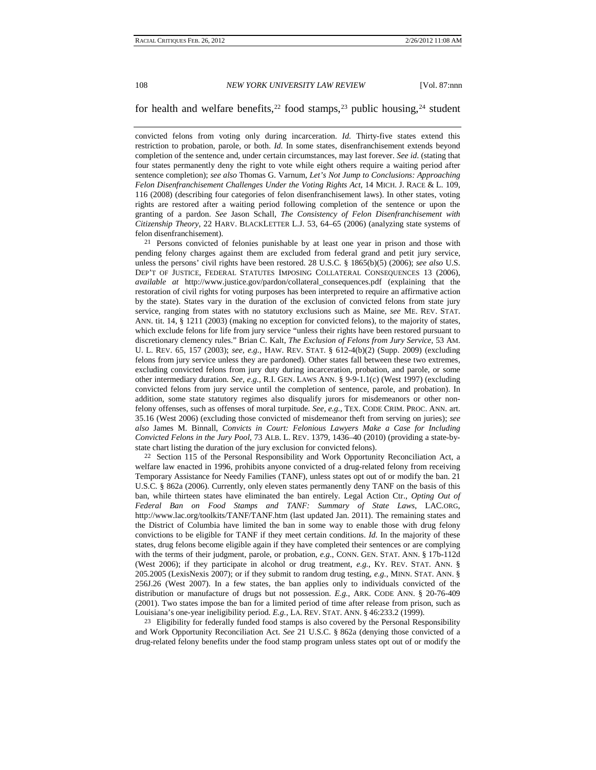# for health and welfare benefits,  $22$  food stamps,  $23$  public housing,  $24$  student

convicted felons from voting only during incarceration. *Id.* Thirty-five states extend this restriction to probation, parole, or both. *Id.* In some states, disenfranchisement extends beyond completion of the sentence and, under certain circumstances, may last forever. *See id*. (stating that four states permanently deny the right to vote while eight others require a waiting period after sentence completion); *see also* Thomas G. Varnum, *Let's Not Jump to Conclusions: Approaching Felon Disenfranchisement Challenges Under the Voting Rights Act*, 14 MICH. J. RACE & L. 109, 116 (2008) (describing four categories of felon disenfranchisement laws). In other states, voting rights are restored after a waiting period following completion of the sentence or upon the granting of a pardon. *See* Jason Schall, *The Consistency of Felon Disenfranchisement with Citizenship Theory*, 22 HARV. BLACKLETTER L.J. 53, 64–65 (2006) (analyzing state systems of felon disenfranchisement).

<span id="page-7-1"></span><sup>21</sup> Persons convicted of felonies punishable by at least one year in prison and those with pending felony charges against them are excluded from federal grand and petit jury service, unless the persons' civil rights have been restored. 28 U.S.C. § 1865(b)(5) (2006); *see also* U.S. DEP'T OF JUSTICE, FEDERAL STATUTES IMPOSING COLLATERAL CONSEQUENCES 13 (2006), *available at* http://www.justice.gov/pardon/collateral\_consequences.pdf (explaining that the restoration of civil rights for voting purposes has been interpreted to require an affirmative action by the state). States vary in the duration of the exclusion of convicted felons from state jury service, ranging from states with no statutory exclusions such as Maine, *see* ME. REV. STAT. ANN. tit. 14, § 1211 (2003) (making no exception for convicted felons), to the majority of states, which exclude felons for life from jury service "unless their rights have been restored pursuant to discretionary clemency rules." Brian C. Kalt, *The Exclusion of Felons from Jury Service*, 53 AM. U. L. REV. 65, 157 (2003); *see, e.g.*, HAW. REV. STAT. § 612-4(b)(2) (Supp. 2009) (excluding felons from jury service unless they are pardoned). Other states fall between these two extremes, excluding convicted felons from jury duty during incarceration, probation, and parole, or some other intermediary duration. *See, e.g.*, R.I. GEN. LAWS ANN. § 9-9-1.1(c) (West 1997) (excluding convicted felons from jury service until the completion of sentence, parole, and probation). In addition, some state statutory regimes also disqualify jurors for misdemeanors or other nonfelony offenses, such as offenses of moral turpitude. *See, e.g.*, TEX. CODE CRIM. PROC. ANN. art. 35.16 (West 2006) (excluding those convicted of misdemeanor theft from serving on juries); *see also* James M. Binnall, *Convicts in Court: Felonious Lawyers Make a Case for Including Convicted Felons in the Jury Pool*, 73 ALB. L. REV. 1379, 1436–40 (2010) (providing a state-bystate chart listing the duration of the jury exclusion for convicted felons).

<span id="page-7-2"></span>22 Section 115 of the Personal Responsibility and Work Opportunity Reconciliation Act, a welfare law enacted in 1996, prohibits anyone convicted of a drug-related felony from receiving Temporary Assistance for Needy Families (TANF), unless states opt out of or modify the ban. 21 U.S.C. § 862a (2006). Currently, only eleven states permanently deny TANF on the basis of this ban, while thirteen states have eliminated the ban entirely. Legal Action Ctr., *Opting Out of Federal Ban on Food Stamps and TANF: Summary of State Laws*, LAC.ORG, http://www.lac.org/toolkits/TANF/TANF.htm (last updated Jan. 2011). The remaining states and the District of Columbia have limited the ban in some way to enable those with drug felony convictions to be eligible for TANF if they meet certain conditions. *Id.* In the majority of these states, drug felons become eligible again if they have completed their sentences or are complying with the terms of their judgment, parole, or probation, *e.g.*, CONN. GEN. STAT. ANN. § 17b-112d (West 2006); if they participate in alcohol or drug treatment, *e.g.*, KY. REV. STAT. ANN. § 205.2005 (LexisNexis 2007); or if they submit to random drug testing, *e.g.*, MINN. STAT. ANN. § 256J.26 (West 2007). In a few states, the ban applies only to individuals convicted of the distribution or manufacture of drugs but not possession. *E.g.*, ARK. CODE ANN. § 20-76-409 (2001). Two states impose the ban for a limited period of time after release from prison, such as Louisiana's one-year ineligibility period. *E.g.*, LA. REV. STAT. ANN. § 46:233.2 (1999).

<span id="page-7-0"></span><sup>23</sup> Eligibility for federally funded food stamps is also covered by the Personal Responsibility and Work Opportunity Reconciliation Act. *See* 21 U.S.C. § 862a (denying those convicted of a drug-related felony benefits under the food stamp program unless states opt out of or modify the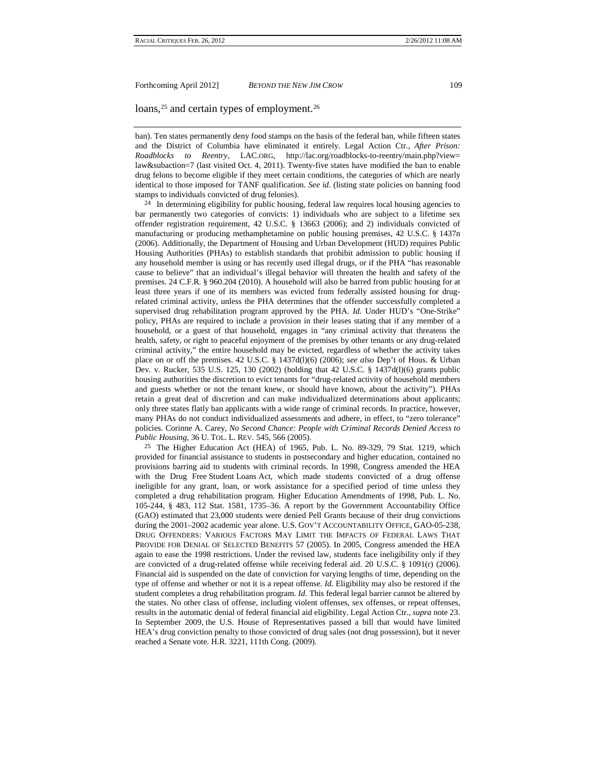loans,<sup>25</sup> and certain types of employment.<sup>[26](#page-8-0)</sup>

ban). Ten states permanently deny food stamps on the basis of the federal ban, while fifteen states and the District of Columbia have eliminated it entirely. Legal Action Ctr., *After Prison: Roadblocks to Reentry*, LAC.ORG, http://lac.org/roadblocks-to-reentry/main.php?view= law&subaction=7 (last visited Oct. 4, 2011). Twenty-five states have modified the ban to enable drug felons to become eligible if they meet certain conditions, the categories of which are nearly identical to those imposed for TANF qualification. *See id*. (listing state policies on banning food stamps to individuals convicted of drug felonies).

<span id="page-8-0"></span>24 In determining eligibility for public housing, federal law requires local housing agencies to bar permanently two categories of convicts: 1) individuals who are subject to a lifetime sex offender registration requirement, 42 U.S.C. § 13663 (2006); and 2) individuals convicted of manufacturing or producing methamphetamine on public housing premises, 42 U.S.C. § 1437n (2006). Additionally, the Department of Housing and Urban Development (HUD) requires Public Housing Authorities (PHAs) to establish standards that prohibit admission to public housing if any household member is using or has recently used illegal drugs, or if the PHA "has reasonable cause to believe" that an individual's illegal behavior will threaten the health and safety of the premises. 24 C.F.R. § 960.204 (2010). A household will also be barred from public housing for at least three years if one of its members was evicted from federally assisted housing for drugrelated criminal activity, unless the PHA determines that the offender successfully completed a supervised drug rehabilitation program approved by the PHA. *Id.* Under HUD's "One-Strike" policy, PHAs are required to include a provision in their leases stating that if any member of a household, or a guest of that household, engages in "any criminal activity that threatens the health, safety, or right to peaceful enjoyment of the premises by other tenants or any drug-related criminal activity," the entire household may be evicted, regardless of whether the activity takes place on or off the premises. 42 U.S.C. § 1437d(l)(6) (2006); *see also* Dep't of Hous. & Urban Dev. v. Rucker, 535 U.S. 125, 130 (2002) (holding that 42 U.S.C. § 1437d(l)(6) grants public housing authorities the discretion to evict tenants for "drug-related activity of household members and guests whether or not the tenant knew, or should have known, about the activity"). PHAs retain a great deal of discretion and can make individualized determinations about applicants; only three states flatly ban applicants with a wide range of criminal records. In practice, however, many PHAs do not conduct individualized assessments and adhere, in effect, to "zero tolerance" policies. Corinne A. Carey, *No Second Chance: People with Criminal Records Denied Access to Public Housing*, 36 U. TOL. L. REV. 545, 566 (2005).

<span id="page-8-1"></span>25 The Higher Education Act (HEA) of 1965, Pub. L. No. 89-329, 79 Stat. 1219, which provided for financial assistance to students in postsecondary and higher education, contained no provisions barring aid to students with criminal records. In 1998, Congress amended the HEA with the Drug Free Student Loans Act, which made students convicted of a drug offense ineligible for any grant, loan, or work assistance for a specified period of time unless they completed a drug rehabilitation program. Higher Education Amendments of 1998, Pub. L. No. 105-244, § 483, 112 Stat. 1581, 1735–36. A report by the Government Accountability Office (GAO) estimated that 23,000 students were denied Pell Grants because of their drug convictions during the 2001–2002 academic year alone. U.S. GOV'T ACCOUNTABILITY OFFICE, GAO-05-238, DRUG OFFENDERS: VARIOUS FACTORS MAY LIMIT THE IMPACTS OF FEDERAL LAWS THAT PROVIDE FOR DENIAL OF SELECTED BENEFITS 57 (2005). In 2005, Congress amended the HEA again to ease the 1998 restrictions. Under the revised law, students face ineligibility only if they are convicted of a drug-related offense while receiving federal aid. 20 U.S.C. § 1091(r) (2006). Financial aid is suspended on the date of conviction for varying lengths of time, depending on the type of offense and whether or not it is a repeat offense. *Id.* Eligibility may also be restored if the student completes a drug rehabilitation program. *Id.* This federal legal barrier cannot be altered by the states. No other class of offense, including violent offenses, sex offenses, or repeat offenses, results in the automatic denial of federal financial aid eligibility. Legal Action Ctr., *supra* note 23. In September 2009, the U.S. House of Representatives passed a bill that would have limited HEA's drug conviction penalty to those convicted of drug sales (not drug possession), but it never reached a Senate vote. H.R. 3221, 111th Cong. (2009).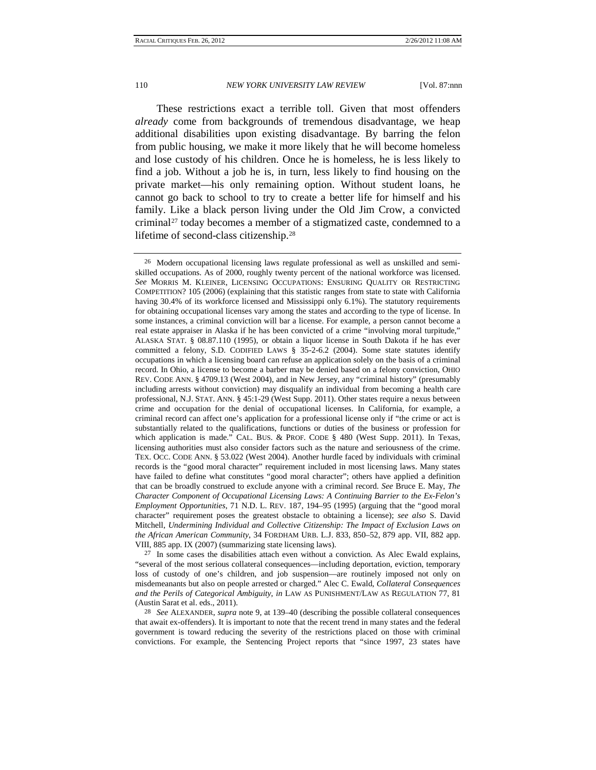These restrictions exact a terrible toll. Given that most offenders *already* come from backgrounds of tremendous disadvantage, we heap additional disabilities upon existing disadvantage. By barring the felon from public housing, we make it more likely that he will become homeless and lose custody of his children. Once he is homeless, he is less likely to find a job. Without a job he is, in turn, less likely to find housing on the private market—his only remaining option. Without student loans, he cannot go back to school to try to create a better life for himself and his family. Like a black person living under the Old Jim Crow, a convicted criminal[27](#page-8-1) today becomes a member of a stigmatized caste, condemned to a lifetime of second-class citizenship.[28](#page-9-0)

<span id="page-9-1"></span><sup>26</sup> Modern occupational licensing laws regulate professional as well as unskilled and semiskilled occupations. As of 2000, roughly twenty percent of the national workforce was licensed. *See* MORRIS M. KLEINER, LICENSING OCCUPATIONS: ENSURING QUALITY OR RESTRICTING COMPETITION? 105 (2006) (explaining that this statistic ranges from state to state with California having 30.4% of its workforce licensed and Mississippi only 6.1%). The statutory requirements for obtaining occupational licenses vary among the states and according to the type of license. In some instances, a criminal conviction will bar a license. For example, a person cannot become a real estate appraiser in Alaska if he has been convicted of a crime "involving moral turpitude," ALASKA STAT. § 08.87.110 (1995), or obtain a liquor license in South Dakota if he has ever committed a felony, S.D. CODIFIED LAWS § 35-2-6.2 (2004). Some state statutes identify occupations in which a licensing board can refuse an application solely on the basis of a criminal record. In Ohio, a license to become a barber may be denied based on a felony conviction, OHIO REV. CODE ANN. § 4709.13 (West 2004), and in New Jersey, any "criminal history" (presumably including arrests without conviction) may disqualify an individual from becoming a health care professional, N.J. STAT. ANN. § 45:1-29 (West Supp. 2011). Other states require a nexus between crime and occupation for the denial of occupational licenses. In California, for example, a criminal record can affect one's application for a professional license only if "the crime or act is substantially related to the qualifications, functions or duties of the business or profession for which application is made." CAL. BUS. & PROF. CODE § 480 (West Supp. 2011). In Texas, licensing authorities must also consider factors such as the nature and seriousness of the crime. TEX. OCC. CODE ANN. § 53.022 (West 2004). Another hurdle faced by individuals with criminal records is the "good moral character" requirement included in most licensing laws. Many states have failed to define what constitutes "good moral character"; others have applied a definition that can be broadly construed to exclude anyone with a criminal record. *See* Bruce E. May, *The Character Component of Occupational Licensing Laws: A Continuing Barrier to the Ex-Felon's Employment Opportunities*, 71 N.D. L. REV. 187, 194–95 (1995) (arguing that the "good moral character" requirement poses the greatest obstacle to obtaining a license); *see also* S. David Mitchell, *Undermining Individual and Collective Citizenship: The Impact of Exclusion Laws on the African American Community*, 34 FORDHAM URB. L.J. 833, 850–52, 879 app. VII, 882 app. VIII, 885 app. IX (2007) (summarizing state licensing laws).

<sup>27</sup> In some cases the disabilities attach even without a conviction. As Alec Ewald explains, "several of the most serious collateral consequences—including deportation, eviction, temporary loss of custody of one's children, and job suspension—are routinely imposed not only on misdemeanants but also on people arrested or charged." Alec C. Ewald, *Collateral Consequences and the Perils of Categorical Ambiguity*, *in* LAW AS PUNISHMENT/LAW AS REGULATION 77, 81 (Austin Sarat et al. eds., 2011).

<span id="page-9-0"></span><sup>28</sup> *See* ALEXANDER, *supra* note 9, at 139–40 (describing the possible collateral consequences that await ex-offenders). It is important to note that the recent trend in many states and the federal government is toward reducing the severity of the restrictions placed on those with criminal convictions. For example, the Sentencing Project reports that "since 1997, 23 states have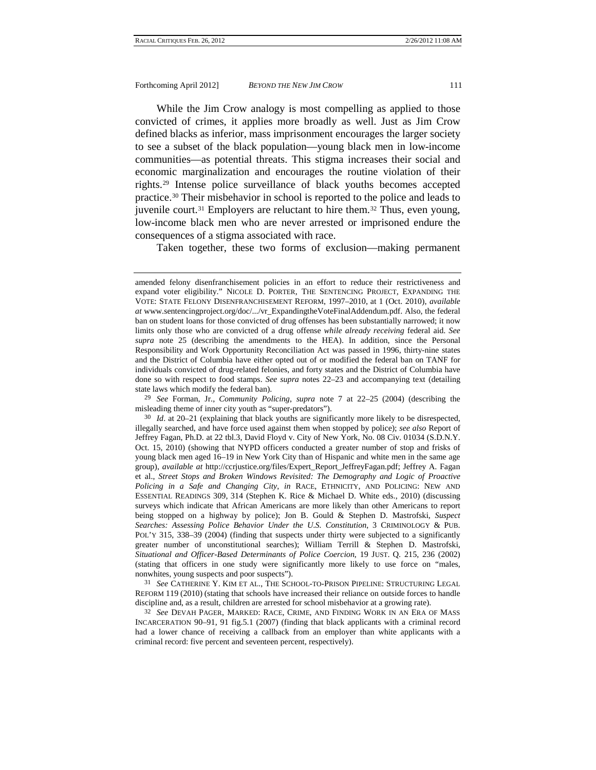While the Jim Crow analogy is most compelling as applied to those convicted of crimes, it applies more broadly as well. Just as Jim Crow defined blacks as inferior, mass imprisonment encourages the larger society to see a subset of the black population—young black men in low-income communities—as potential threats. This stigma increases their social and economic marginalization and encourages the routine violation of their rights.[29](#page-9-1) Intense police surveillance of black youths becomes accepted practice.[30](#page-10-0) Their misbehavior in school is reported to the police and leads to juvenile court.<sup>[31](#page-10-1)</sup> Employers are reluctant to hire them.<sup>[32](#page-10-2)</sup> Thus, even young, low-income black men who are never arrested or imprisoned endure the consequences of a stigma associated with race.

Taken together, these two forms of exclusion—making permanent

29 *See* Forman, Jr., *Community Policing*, *supra* note 7 at 22–25 (2004) (describing the misleading theme of inner city youth as "super-predators").

<span id="page-10-1"></span>31 *See* CATHERINE Y. KIM ET AL., THE SCHOOL-TO-PRISON PIPELINE: STRUCTURING LEGAL REFORM 119 (2010) (stating that schools have increased their reliance on outside forces to handle discipline and, as a result, children are arrested for school misbehavior at a growing rate).

<span id="page-10-2"></span>32 *See* DEVAH PAGER, MARKED: RACE, CRIME, AND FINDING WORK IN AN ERA OF MASS INCARCERATION 90–91, 91 fig.5.1 (2007) (finding that black applicants with a criminal record had a lower chance of receiving a callback from an employer than white applicants with a criminal record: five percent and seventeen percent, respectively).

amended felony disenfranchisement policies in an effort to reduce their restrictiveness and expand voter eligibility." NICOLE D. PORTER, THE SENTENCING PROJECT, EXPANDING THE VOTE: STATE FELONY DISENFRANCHISEMENT REFORM, 1997–2010, at 1 (Oct. 2010), *available at* www.sentencingproject.org/doc/.../vr\_ExpandingtheVoteFinalAddendum.pdf. Also, the federal ban on student loans for those convicted of drug offenses has been substantially narrowed; it now limits only those who are convicted of a drug offense *while already receiving* federal aid. *See supra* note 25 (describing the amendments to the HEA). In addition, since the Personal Responsibility and Work Opportunity Reconciliation Act was passed in 1996, thirty-nine states and the District of Columbia have either opted out of or modified the federal ban on TANF for individuals convicted of drug-related felonies, and forty states and the District of Columbia have done so with respect to food stamps. *See supra* notes 22–23 and accompanying text (detailing state laws which modify the federal ban).

<span id="page-10-0"></span><sup>30</sup> *Id*. at 20–21 (explaining that black youths are significantly more likely to be disrespected, illegally searched, and have force used against them when stopped by police); *see also* Report of Jeffrey Fagan, Ph.D. at 22 tbl.3, David Floyd v. City of New York, No. 08 Civ. 01034 (S.D.N.Y. Oct. 15, 2010) (showing that NYPD officers conducted a greater number of stop and frisks of young black men aged 16–19 in New York City than of Hispanic and white men in the same age group), *available at* http://ccrjustice.org/files/Expert\_Report\_JeffreyFagan.pdf; Jeffrey A. Fagan et al., *Street Stops and Broken Windows Revisited: The Demography and Logic of Proactive Policing in a Safe and Changing City*, *in* RACE, ETHNICITY, AND POLICING: NEW AND ESSENTIAL READINGS 309, 314 (Stephen K. Rice & Michael D. White eds., 2010) (discussing surveys which indicate that African Americans are more likely than other Americans to report being stopped on a highway by police); Jon B. Gould & Stephen D. Mastrofski, *Suspect Searches: Assessing Police Behavior Under the U.S. Constitution*, 3 CRIMINOLOGY & PUB. POL'Y 315, 338-39 (2004) (finding that suspects under thirty were subjected to a significantly greater number of unconstitutional searches); William Terrill & Stephen D. Mastrofski, *Situational and Officer-Based Determinants of Police Coercion*, 19 JUST. Q. 215, 236 (2002) (stating that officers in one study were significantly more likely to use force on "males, nonwhites, young suspects and poor suspects").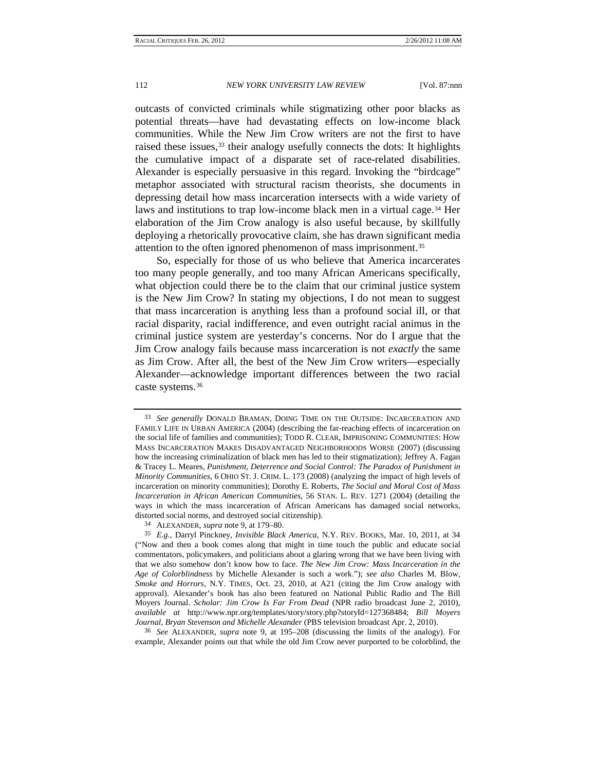outcasts of convicted criminals while stigmatizing other poor blacks as potential threats—have had devastating effects on low-income black communities. While the New Jim Crow writers are not the first to have raised these issues,<sup>[33](#page-10-0)</sup> their analogy usefully connects the dots: It highlights the cumulative impact of a disparate set of race-related disabilities. Alexander is especially persuasive in this regard. Invoking the "birdcage" metaphor associated with structural racism theorists, she documents in depressing detail how mass incarceration intersects with a wide variety of laws and institutions to trap low-income black men in a virtual cage.<sup>[34](#page-11-0)</sup> Her elaboration of the Jim Crow analogy is also useful because, by skillfully deploying a rhetorically provocative claim, she has drawn significant media attention to the often ignored phenomenon of mass imprisonment.[35](#page-11-1)

So, especially for those of us who believe that America incarcerates too many people generally, and too many African Americans specifically, what objection could there be to the claim that our criminal justice system is the New Jim Crow? In stating my objections, I do not mean to suggest that mass incarceration is anything less than a profound social ill, or that racial disparity, racial indifference, and even outright racial animus in the criminal justice system are yesterday's concerns. Nor do I argue that the Jim Crow analogy fails because mass incarceration is not *exactly* the same as Jim Crow. After all, the best of the New Jim Crow writers—especially Alexander—acknowledge important differences between the two racial caste systems.[36](#page-11-2)

<sup>33</sup> *See generally* DONALD BRAMAN, DOING TIME ON THE OUTSIDE: INCARCERATION AND FAMILY LIFE IN URBAN AMERICA (2004) (describing the far-reaching effects of incarceration on the social life of families and communities); TODD R. CLEAR, IMPRISONING COMMUNITIES: HOW MASS INCARCERATION MAKES DISADVANTAGED NEIGHBORHOODS WORSE (2007) (discussing how the increasing criminalization of black men has led to their stigmatization); Jeffrey A. Fagan & Tracey L. Meares, *Punishment, Deterrence and Social Control: The Paradox of Punishment in Minority Communities*, 6 OHIO ST. J. CRIM. L. 173 (2008) (analyzing the impact of high levels of incarceration on minority communities); Dorothy E. Roberts, *The Social and Moral Cost of Mass Incarceration in African American Communities*, 56 STAN. L. REV. 1271 (2004) (detailing the ways in which the mass incarceration of African Americans has damaged social networks, distorted social norms, and destroyed social citizenship).

<sup>34</sup> ALEXANDER, *supra* note 9, at 179–80.

<span id="page-11-1"></span><span id="page-11-0"></span><sup>35</sup> *E.g.*, Darryl Pinckney, *Invisible Black America*, N.Y. REV. BOOKS, Mar. 10, 2011, at 34 ("Now and then a book comes along that might in time touch the public and educate social commentators, policymakers, and politicians about a glaring wrong that we have been living with that we also somehow don't know how to face. *The New Jim Crow: Mass Incarceration in the Age of Colorblindness* by Michelle Alexander is such a work."); *see also* Charles M. Blow, *Smoke and Horrors*, N.Y. TIMES, Oct. 23, 2010, at A21 (citing the Jim Crow analogy with approval). Alexander's book has also been featured on National Public Radio and The Bill Moyers Journal. *Scholar: Jim Crow Is Far From Dead* (NPR radio broadcast June 2, 2010), *available at* http://www.npr.org/templates/story/story.php?storyId=127368484; *Bill Moyers Journal*, *Bryan Stevenson and Michelle Alexander* (PBS television broadcast Apr. 2, 2010).

<span id="page-11-3"></span><span id="page-11-2"></span><sup>36</sup> *See* ALEXANDER, *supra* note 9, at 195–208 (discussing the limits of the analogy). For example, Alexander points out that while the old Jim Crow never purported to be colorblind, the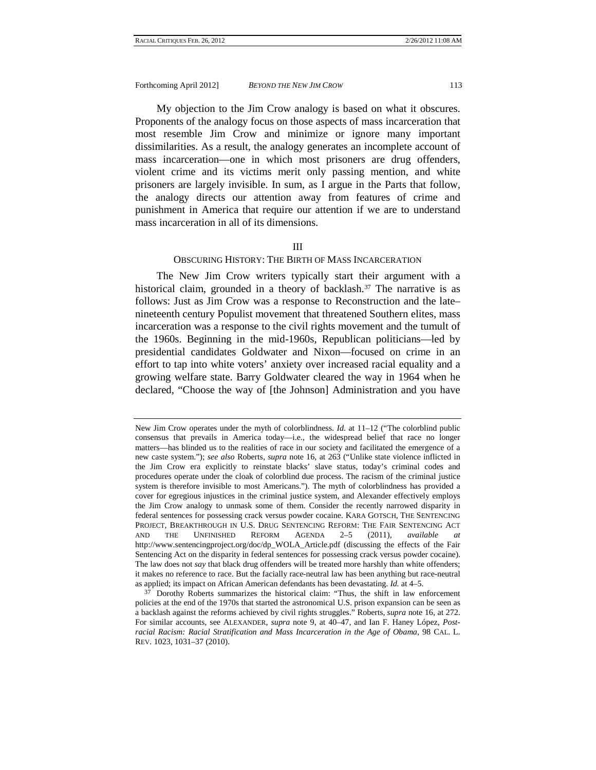My objection to the Jim Crow analogy is based on what it obscures. Proponents of the analogy focus on those aspects of mass incarceration that most resemble Jim Crow and minimize or ignore many important dissimilarities. As a result, the analogy generates an incomplete account of mass incarceration—one in which most prisoners are drug offenders, violent crime and its victims merit only passing mention, and white prisoners are largely invisible. In sum, as I argue in the Parts that follow, the analogy directs our attention away from features of crime and punishment in America that require our attention if we are to understand mass incarceration in all of its dimensions.

# III

# OBSCURING HISTORY: THE BIRTH OF MASS INCARCERATION

The New Jim Crow writers typically start their argument with a historical claim, grounded in a theory of backlash.<sup>[37](#page-11-3)</sup> The narrative is as follows: Just as Jim Crow was a response to Reconstruction and the late– nineteenth century Populist movement that threatened Southern elites, mass incarceration was a response to the civil rights movement and the tumult of the 1960s. Beginning in the mid-1960s, Republican politicians—led by presidential candidates Goldwater and Nixon—focused on crime in an effort to tap into white voters' anxiety over increased racial equality and a growing welfare state. Barry Goldwater cleared the way in 1964 when he declared, "Choose the way of [the Johnson] Administration and you have

<span id="page-12-0"></span>New Jim Crow operates under the myth of colorblindness. *Id*. at 11–12 ("The colorblind public consensus that prevails in America today—i.e., the widespread belief that race no longer matters—has blinded us to the realities of race in our society and facilitated the emergence of a new caste system."); *see also* Roberts, *supra* note 16, at 263 ("Unlike state violence inflicted in the Jim Crow era explicitly to reinstate blacks' slave status, today's criminal codes and procedures operate under the cloak of colorblind due process. The racism of the criminal justice system is therefore invisible to most Americans."). The myth of colorblindness has provided a cover for egregious injustices in the criminal justice system, and Alexander effectively employs the Jim Crow analogy to unmask some of them. Consider the recently narrowed disparity in federal sentences for possessing crack versus powder cocaine. KARA GOTSCH, THE SENTENCING PROJECT, BREAKTHROUGH IN U.S. DRUG SENTENCING REFORM: THE FAIR SENTENCING ACT<br>AND THE UNFINISHED REFORM AGENDA 2-5 (2011), available at AND THE UNFINISHED REFORM AGENDA 2–5 (2011), *available at*  http://www.sentencingproject.org/doc/dp\_WOLA\_Article.pdf (discussing the effects of the Fair Sentencing Act on the disparity in federal sentences for possessing crack versus powder cocaine). The law does not *say* that black drug offenders will be treated more harshly than white offenders; it makes no reference to race. But the facially race-neutral law has been anything but race-neutral as applied; its impact on African American defendants has been devastating. *Id.* at 4–5.

 $3^7$  Dorothy Roberts summarizes the historical claim: "Thus, the shift in law enforcement policies at the end of the 1970s that started the astronomical U.S. prison expansion can be seen as a backlash against the reforms achieved by civil rights struggles." Roberts, *supra* note 16, at 272. For similar accounts, see ALEXANDER, *supra* note 9, at 40–47, and Ian F. Haney López, *Postracial Racism: Racial Stratification and Mass Incarceration in the Age of Obama*, 98 CAL. L. REV. 1023, 1031–37 (2010).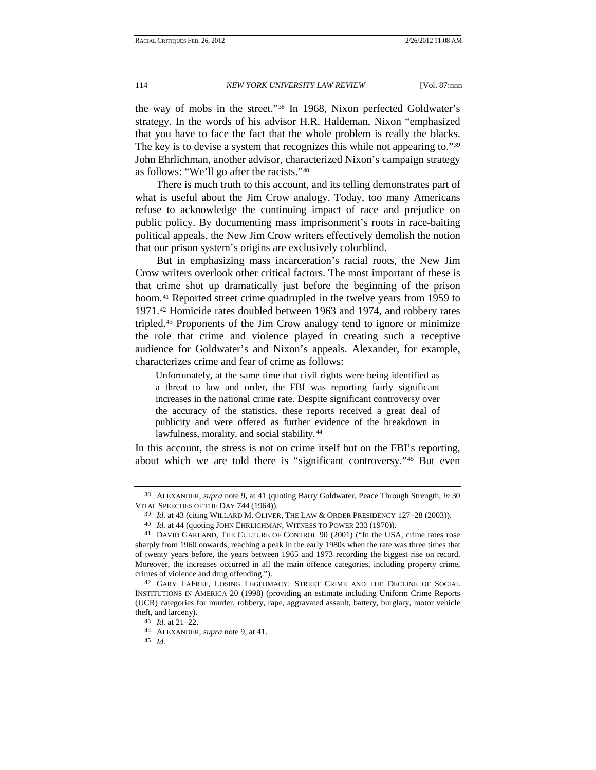the way of mobs in the street."[38](#page-12-0) In 1968, Nixon perfected Goldwater's strategy. In the words of his advisor H.R. Haldeman, Nixon "emphasized that you have to face the fact that the whole problem is really the blacks. The key is to devise a system that recognizes this while not appearing to."<sup>39</sup> John Ehrlichman, another advisor, characterized Nixon's campaign strategy as follows: "We'll go after the racists.["40](#page-13-1)

There is much truth to this account, and its telling demonstrates part of what is useful about the Jim Crow analogy. Today, too many Americans refuse to acknowledge the continuing impact of race and prejudice on public policy. By documenting mass imprisonment's roots in race-baiting political appeals, the New Jim Crow writers effectively demolish the notion that our prison system's origins are exclusively colorblind.

But in emphasizing mass incarceration's racial roots, the New Jim Crow writers overlook other critical factors. The most important of these is that crime shot up dramatically just before the beginning of the prison boom.[41](#page-13-2) Reported street crime quadrupled in the twelve years from 1959 to 1971.[42](#page-13-3) Homicide rates doubled between 1963 and 1974, and robbery rates tripled.[43](#page-13-4) Proponents of the Jim Crow analogy tend to ignore or minimize the role that crime and violence played in creating such a receptive audience for Goldwater's and Nixon's appeals. Alexander, for example, characterizes crime and fear of crime as follows:

Unfortunately, at the same time that civil rights were being identified as a threat to law and order, the FBI was reporting fairly significant increases in the national crime rate. Despite significant controversy over the accuracy of the statistics, these reports received a great deal of publicity and were offered as further evidence of the breakdown in lawfulness, morality, and social stability.[44](#page-13-5)

In this account, the stress is not on crime itself but on the FBI's reporting, about which we are told there is "significant controversy."[45](#page-13-6) But even

<sup>38</sup> ALEXANDER, *supra* note 9, at 41 (quoting Barry Goldwater, Peace Through Strength, *in* 30 VITAL SPEECHES OF THE DAY 744 (1964)).

<sup>39</sup> *Id.* at 43 (citing WILLARD M. OLIVER, THE LAW & ORDER PRESIDENCY 127–28 (2003)).

<sup>40</sup> *Id.* at 44 (quoting JOHN EHRLICHMAN, WITNESS TO POWER 233 (1970)).

<span id="page-13-7"></span><span id="page-13-2"></span><span id="page-13-1"></span><span id="page-13-0"></span><sup>&</sup>lt;sup>41</sup> DAVID GARLAND, THE CULTURE OF CONTROL 90 (2001) ("In the USA, crime rates rose sharply from 1960 onwards, reaching a peak in the early 1980s when the rate was three times that of twenty years before, the years between 1965 and 1973 recording the biggest rise on record. Moreover, the increases occurred in all the main offence categories, including property crime, crimes of violence and drug offending.").

<span id="page-13-4"></span><span id="page-13-3"></span><sup>42</sup> GARY LAFREE, LOSING LEGITIMACY: STREET CRIME AND THE DECLINE OF SOCIAL INSTITUTIONS IN AMERICA 20 (1998) (providing an estimate including Uniform Crime Reports (UCR) categories for murder, robbery, rape, aggravated assault, battery, burglary, motor vehicle theft, and larceny).

<span id="page-13-5"></span><sup>43</sup> *Id.* at 21–22.

<span id="page-13-6"></span><sup>44</sup> ALEXANDER, *supra* note 9, at 41.

<sup>45</sup> *Id.*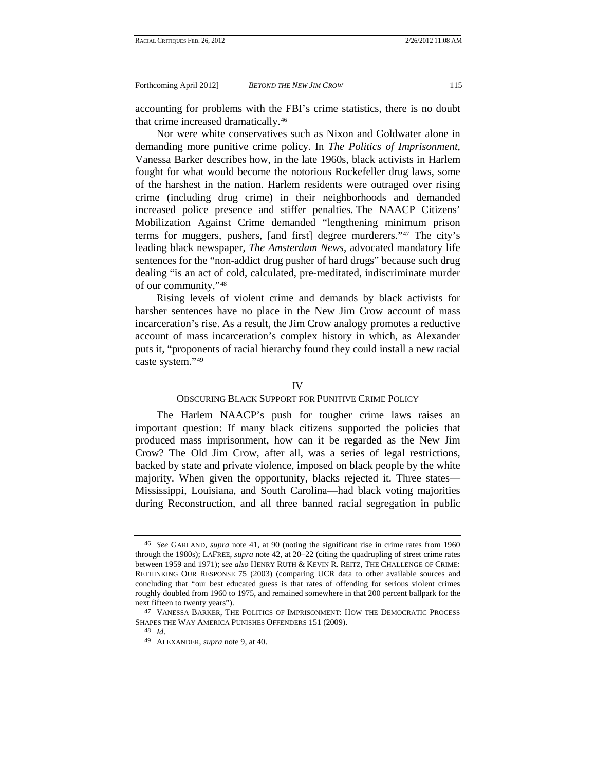accounting for problems with the FBI's crime statistics, there is no doubt that crime increased dramatically.[46](#page-13-7)

Nor were white conservatives such as Nixon and Goldwater alone in demanding more punitive crime policy. In *The Politics of Imprisonment*, Vanessa Barker describes how, in the late 1960s, black activists in Harlem fought for what would become the notorious Rockefeller drug laws, some of the harshest in the nation. Harlem residents were outraged over rising crime (including drug crime) in their neighborhoods and demanded increased police presence and stiffer penalties. The NAACP Citizens' Mobilization Against Crime demanded "lengthening minimum prison terms for muggers, pushers, [and first] degree murderers."[47](#page-14-0) The city's leading black newspaper, *The Amsterdam News*, advocated mandatory life sentences for the "non-addict drug pusher of hard drugs" because such drug dealing "is an act of cold, calculated, pre-meditated, indiscriminate murder of our community."[48](#page-14-1)

<span id="page-14-3"></span>Rising levels of violent crime and demands by black activists for harsher sentences have no place in the New Jim Crow account of mass incarceration's rise. As a result, the Jim Crow analogy promotes a reductive account of mass incarceration's complex history in which, as Alexander puts it, "proponents of racial hierarchy found they could install a new racial caste system."[49](#page-14-2)

IV

# OBSCURING BLACK SUPPORT FOR PUNITIVE CRIME POLICY

The Harlem NAACP's push for tougher crime laws raises an important question: If many black citizens supported the policies that produced mass imprisonment, how can it be regarded as the New Jim Crow? The Old Jim Crow, after all, was a series of legal restrictions, backed by state and private violence, imposed on black people by the white majority. When given the opportunity, blacks rejected it. Three states— Mississippi, Louisiana, and South Carolina—had black voting majorities during Reconstruction, and all three banned racial segregation in public

<sup>46</sup> *See* GARLAND, *supra* note 41, at 90 (noting the significant rise in crime rates from 1960 through the 1980s); LAFREE, *supra* note 42, at 20–22 (citing the quadrupling of street crime rates between 1959 and 1971); *see also* HENRY RUTH & KEVIN R. REITZ, THE CHALLENGE OF CRIME: RETHINKING OUR RESPONSE 75 (2003) (comparing UCR data to other available sources and concluding that "our best educated guess is that rates of offending for serious violent crimes roughly doubled from 1960 to 1975, and remained somewhere in that 200 percent ballpark for the next fifteen to twenty years").

<span id="page-14-2"></span><span id="page-14-1"></span><span id="page-14-0"></span><sup>47</sup> VANESSA BARKER, THE POLITICS OF IMPRISONMENT: HOW THE DEMOCRATIC PROCESS SHAPES THE WAY AMERICA PUNISHES OFFENDERS 151 (2009).

<sup>48</sup> *Id*.

<sup>49</sup> ALEXANDER, *supra* note 9, at 40.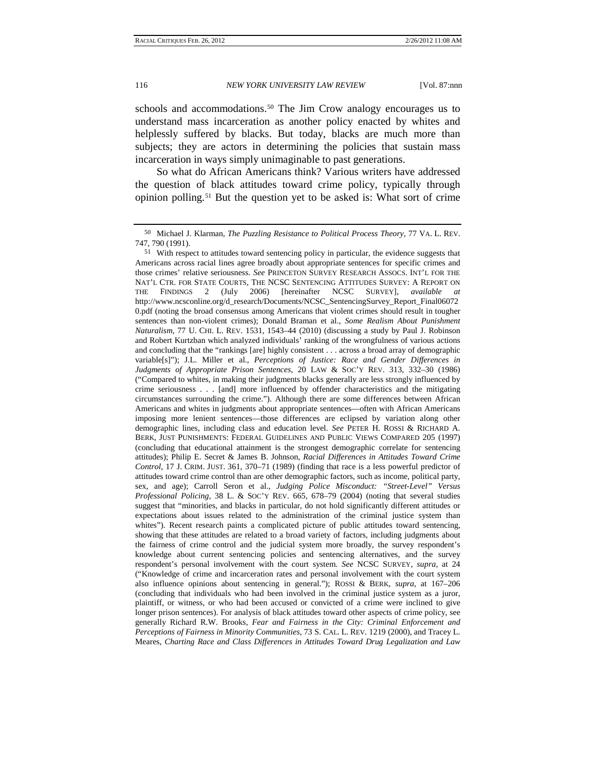schools and accommodations.<sup>[50](#page-14-3)</sup> The Jim Crow analogy encourages us to understand mass incarceration as another policy enacted by whites and helplessly suffered by blacks. But today, blacks are much more than subjects; they are actors in determining the policies that sustain mass incarceration in ways simply unimaginable to past generations.

So what do African Americans think? Various writers have addressed the question of black attitudes toward crime policy, typically through opinion polling.[51](#page-15-0) But the question yet to be asked is: What sort of crime

<sup>50</sup> Michael J. Klarman, *The Puzzling Resistance to Political Process Theory*, 77 VA. L. REV. 747, 790 (1991).

<span id="page-15-1"></span><span id="page-15-0"></span><sup>&</sup>lt;sup>51</sup> With respect to attitudes toward sentencing policy in particular, the evidence suggests that Americans across racial lines agree broadly about appropriate sentences for specific crimes and those crimes' relative seriousness. *See* PRINCETON SURVEY RESEARCH ASSOCS. INT'L FOR THE NAT'L CTR. FOR STATE COURTS, THE NCSC SENTENCING ATTITUDES SURVEY: A REPORT ON THE FINDINGS 2 (July 2006) [hereinafter NCSC SURVEY], *available at*  http://www.ncsconline.org/d\_research/Documents/NCSC\_SentencingSurvey\_Report\_Final06072 0.pdf (noting the broad consensus among Americans that violent crimes should result in tougher sentences than non-violent crimes); Donald Braman et al., *Some Realism About Punishment Naturalism*, 77 U. CHI. L. REV. 1531, 1543–44 (2010) (discussing a study by Paul J. Robinson and Robert Kurtzban which analyzed individuals' ranking of the wrongfulness of various actions and concluding that the "rankings [are] highly consistent . . . across a broad array of demographic variable[s]"); J.L. Miller et al., *Perceptions of Justice: Race and Gender Differences in Judgments of Appropriate Prison Sentences*, 20 LAW & SOC'Y REV. 313, 332–30 (1986) ("Compared to whites, in making their judgments blacks generally are less strongly influenced by crime seriousness . . . [and] more influenced by offender characteristics and the mitigating circumstances surrounding the crime."). Although there are some differences between African Americans and whites in judgments about appropriate sentences—often with African Americans imposing more lenient sentences—those differences are eclipsed by variation along other demographic lines, including class and education level. *See* PETER H. ROSSI & RICHARD A. BERK, JUST PUNISHMENTS: FEDERAL GUIDELINES AND PUBLIC VIEWS COMPARED 205 (1997) (concluding that educational attainment is the strongest demographic correlate for sentencing attitudes); Philip E. Secret & James B. Johnson, *Racial Differences in Attitudes Toward Crime Control*, 17 J. CRIM. JUST. 361, 370–71 (1989) (finding that race is a less powerful predictor of attitudes toward crime control than are other demographic factors, such as income, political party, sex, and age); Carroll Seron et al., *Judging Police Misconduct: "Street-Level" Versus Professional Policing*, 38 L. & SOC'Y REV. 665, 678–79 (2004) (noting that several studies suggest that "minorities, and blacks in particular, do not hold significantly different attitudes or expectations about issues related to the administration of the criminal justice system than whites"). Recent research paints a complicated picture of public attitudes toward sentencing, showing that these attitudes are related to a broad variety of factors, including judgments about the fairness of crime control and the judicial system more broadly, the survey respondent's knowledge about current sentencing policies and sentencing alternatives, and the survey respondent's personal involvement with the court system. *See* NCSC SURVEY, *supra*, at 24 ("Knowledge of crime and incarceration rates and personal involvement with the court system also influence opinions about sentencing in general."); ROSSI & BERK, *supra*, at 167–206 (concluding that individuals who had been involved in the criminal justice system as a juror, plaintiff, or witness, or who had been accused or convicted of a crime were inclined to give longer prison sentences). For analysis of black attitudes toward other aspects of crime policy, see generally Richard R.W. Brooks, *Fear and Fairness in the City: Criminal Enforcement and Perceptions of Fairness in Minority Communities*, 73 S. CAL. L. REV. 1219 (2000), and Tracey L. Meares, *Charting Race and Class Differences in Attitudes Toward Drug Legalization and Law*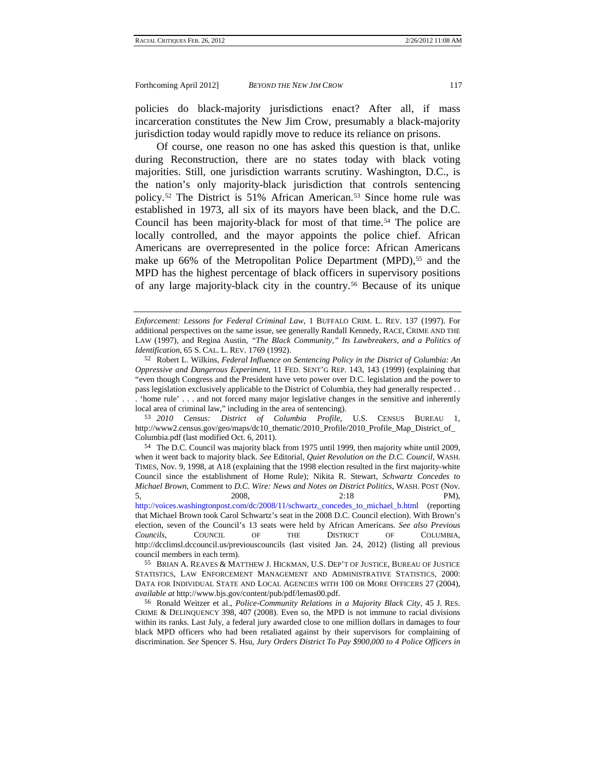policies do black-majority jurisdictions enact? After all, if mass incarceration constitutes the New Jim Crow, presumably a black-majority jurisdiction today would rapidly move to reduce its reliance on prisons.

Of course, one reason no one has asked this question is that, unlike during Reconstruction, there are no states today with black voting majorities. Still, one jurisdiction warrants scrutiny. Washington, D.C., is the nation's only majority-black jurisdiction that controls sentencing policy.[52](#page-15-1) The District is 51% African American.[53](#page-16-0) Since home rule was established in 1973, all six of its mayors have been black, and the D.C. Council has been majority-black for most of that time.<sup>[54](#page-16-1)</sup> The police are locally controlled, and the mayor appoints the police chief. African Americans are overrepresented in the police force: African Americans make up 66% of the Metropolitan Police Department (MPD),<sup>55</sup> and the MPD has the highest percentage of black officers in supervisory positions of any large majority-black city in the country.[56](#page-16-3) Because of its unique

local area of criminal law," including in the area of sentencing).

<span id="page-16-0"></span>53 *2010 Census: District of Columbia Profile*, U.S. CENSUS BUREAU 1, http://www2.census.gov/geo/maps/dc10\_thematic/2010\_Profile/2010\_Profile\_Map\_District\_of\_ Columbia.pdf (last modified Oct. 6, 2011).

*Enforcement: Lessons for Federal Criminal Law*, 1 BUFFALO CRIM. L. REV. 137 (1997). For additional perspectives on the same issue, see generally Randall Kennedy, RACE, CRIME AND THE LAW (1997), and Regina Austin, *"The Black Community," Its Lawbreakers, and a Politics of Identification*, 65 S. CAL. L. REV. 1769 (1992).

<sup>52</sup> Robert L. Wilkins, *Federal Influence on Sentencing Policy in the District of Columbia: An Oppressive and Dangerous Experiment*, 11 FED. SENT'G REP. 143, 143 (1999) (explaining that "even though Congress and the President have veto power over D.C. legislation and the power to pass legislation exclusively applicable to the District of Columbia, they had generally respected . . . 'home rule' . . . and not forced many major legislative changes in the sensitive and inherently

<span id="page-16-4"></span><span id="page-16-1"></span><sup>54</sup> The D.C. Council was majority black from 1975 until 1999, then majority white until 2009, when it went back to majority black. *See* Editorial, *Quiet Revolution on the D.C. Council*, WASH. TIMES, Nov. 9, 1998, at A18 (explaining that the 1998 election resulted in the first majority-white Council since the establishment of Home Rule); Nikita R. Stewart, *Schwartz Concedes to Michael Brown*, Comment to *D.C. Wire: News and Notes on District Politics*, WASH. POST (Nov. 5, 2008, 2:18 PM), http://voices.washingtonpost.com/dc/2008/11/schwartz\_concedes\_to\_michael\_b.html (reporting that Michael Brown took Carol Schwartz's seat in the 2008 D.C. Council election). With Brown's election, seven of the Council's 13 seats were held by African Americans. *See also Previous Councils*, COUNCIL OF THE DISTRICT OF COLUMBIA, http://dcclimsl.dccouncil.us/previouscouncils (last visited Jan. 24, 2012) (listing all previous council members in each term).

<span id="page-16-2"></span><sup>55</sup> BRIAN A. REAVES & MATTHEW J. HICKMAN, U.S. DEP'T OF JUSTICE, BUREAU OF JUSTICE STATISTICS, LAW ENFORCEMENT MANAGEMENT AND ADMINISTRATIVE STATISTICS, 2000: DATA FOR INDIVIDUAL STATE AND LOCAL AGENCIES WITH 100 OR MORE OFFICERS 27 (2004), *available at* http://www.bjs.gov/content/pub/pdf/lemas00.pdf.

<span id="page-16-3"></span><sup>56</sup> Ronald Weitzer et al., *Police-Community Relations in a Majority Black City*, 45 J. RES. CRIME & DELINQUENCY 398, 407 (2008). Even so, the MPD is not immune to racial divisions within its ranks. Last July, a federal jury awarded close to one million dollars in damages to four black MPD officers who had been retaliated against by their supervisors for complaining of discrimination. *See* Spencer S. Hsu, *Jury Orders District To Pay \$900,000 to 4 Police Officers in*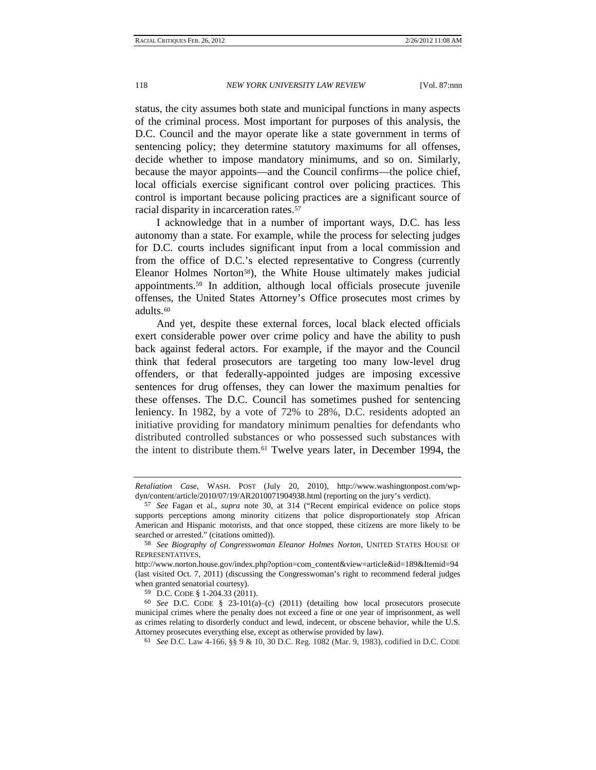status, the city assumes both state and municipal functions in many aspects of the criminal process. Most important for purposes of this analysis, the D.C. Council and the mayor operate like a state government in terms of sentencing policy; they determine statutory maximums for all offenses, decide whether to impose mandatory minimums, and so on. Similarly, because the mayor appoints—and the Council confirms—the police chief, local officials exercise significant control over policing practices. This control is important because policing practices are a significant source of racial disparity in incarceration rates.<sup>[57](#page-16-4)</sup>

I acknowledge that in a number of important ways, D.C. has less autonomy than a state. For example, while the process for selecting judges for D.C. courts includes significant input from a local commission and from the office of D.C.'s elected representative to Congress (currently Eleanor Holmes Norton<sup>[58](#page-17-0)</sup>), the White House ultimately makes judicial appointments[.59](#page-17-1) In addition, although local officials prosecute juvenile offenses, the United States Attorney's Office prosecutes most crimes by adults[.60](#page-17-2)

<span id="page-17-4"></span>And yet, despite these external forces, local black elected officials exert considerable power over crime policy and have the ability to push back against federal actors. For example, if the mayor and the Council think that federal prosecutors are targeting too many low-level drug offenders, or that federally-appointed judges are imposing excessive sentences for drug offenses, they can lower the maximum penalties for these offenses. The D.C. Council has sometimes pushed for sentencing leniency. In 1982, by a vote of 72% to 28%, D.C. residents adopted an initiative providing for mandatory minimum penalties for defendants who distributed controlled substances or who possessed such substances with the intent to distribute them.[61](#page-17-3) Twelve years later, in December 1994, the

*Retaliation Case*, WASH. POST (July 20, 2010), http://www.washingtonpost.com/wpdyn/content/article/2010/07/19/AR2010071904938.html (reporting on the jury's verdict).

<sup>57</sup> *See* Fagan et al., *supra* note 30, at 314 ("Recent empirical evidence on police stops supports perceptions among minority citizens that police disproportionately stop African American and Hispanic motorists, and that once stopped, these citizens are more likely to be searched or arrested." (citations omitted)).

<span id="page-17-0"></span><sup>58</sup> *See Biography of Congresswoman Eleanor Holmes Norton*, UNITED STATES HOUSE OF REPRESENTATIVES,

http://www.norton.house.gov/index.php?option=com\_content&view=article&id=189&Itemid=94 (last visited Oct. 7, 2011) (discussing the Congresswoman's right to recommend federal judges when granted senatorial courtesy).

<sup>59</sup> D.C. CODE § 1-204.33 (2011).

<span id="page-17-3"></span><span id="page-17-2"></span><span id="page-17-1"></span><sup>60</sup> *See* D.C. CODE § 23-101(a)–(c) (2011) (detailing how local prosecutors prosecute municipal crimes where the penalty does not exceed a fine or one year of imprisonment, as well as crimes relating to disorderly conduct and lewd, indecent, or obscene behavior, while the U.S. Attorney prosecutes everything else, except as otherwise provided by law).

<sup>61</sup> *See* D.C. Law 4-166, §§ 9 & 10, 30 D.C. Reg. 1082 (Mar. 9, 1983), codified in D.C. CODE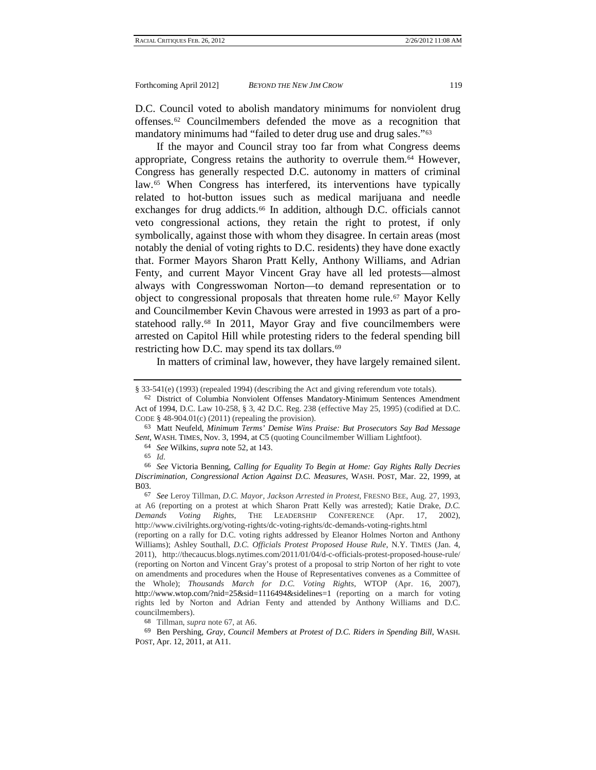D.C. Council voted to abolish mandatory minimums for nonviolent drug offenses.[62](#page-17-4) Councilmembers defended the move as a recognition that mandatory minimums had "failed to deter drug use and drug sales."[63](#page-18-0)

If the mayor and Council stray too far from what Congress deems appropriate, Congress retains the authority to overrule them.[64](#page-18-1) However, Congress has generally respected D.C. autonomy in matters of criminal law.[65](#page-18-2) When Congress has interfered, its interventions have typically related to hot-button issues such as medical marijuana and needle exchanges for drug addicts.<sup>[66](#page-18-3)</sup> In addition, although D.C. officials cannot veto congressional actions, they retain the right to protest, if only symbolically, against those with whom they disagree. In certain areas (most notably the denial of voting rights to D.C. residents) they have done exactly that. Former Mayors Sharon Pratt Kelly, Anthony Williams, and Adrian Fenty, and current Mayor Vincent Gray have all led protests—almost always with Congresswoman Norton—to demand representation or to object to congressional proposals that threaten home rule.<sup>[67](#page-18-4)</sup> Mayor Kelly and Councilmember Kevin Chavous were arrested in 1993 as part of a pro-statehood rally.<sup>[68](#page-18-5)</sup> In 2011, Mayor Gray and five councilmembers were arrested on Capitol Hill while protesting riders to the federal spending bill restricting how D.C. may spend its tax dollars.<sup>[69](#page-18-6)</sup>

In matters of criminal law, however, they have largely remained silent.

64 *See* Wilkins, *supra* note 52, at 143.

65 *Id.* 

(reporting on a rally for D.C. voting rights addressed by Eleanor Holmes Norton and Anthony Williams); Ashley Southall, *D.C. Officials Protest Proposed House Rule*, N.Y. TIMES (Jan. 4, 2011), http://thecaucus.blogs.nytimes.com/2011/01/04/d-c-officials-protest-proposed-house-rule/ (reporting on Norton and Vincent Gray's protest of a proposal to strip Norton of her right to vote on amendments and procedures when the House of Representatives convenes as a Committee of the Whole); *Thousands March for D.C. Voting Rights*, WTOP (Apr. 16, 2007), http://www.wtop.com/?nid=25&sid=1116494&sidelines=1 (reporting on a march for voting rights led by Norton and Adrian Fenty and attended by Anthony Williams and D.C. councilmembers).

68 Tillman, *supra* note 67, at A6.

<span id="page-18-6"></span><span id="page-18-5"></span>69 Ben Pershing, *Gray, Council Members at Protest of D.C. Riders in Spending Bill*, WASH. POST, Apr. 12, 2011, at A11.

<span id="page-18-7"></span><sup>§ 33-541(</sup>e) (1993) (repealed 1994) (describing the Act and giving referendum vote totals).

<sup>62</sup> District of Columbia Nonviolent Offenses Mandatory-Minimum Sentences Amendment Act of 1994, D.C. Law 10-258, § 3, 42 D.C. Reg. 238 (effective May 25, 1995) (codified at D.C. CODE  $§$  48-904.01(c) (2011) (repealing the provision).

<span id="page-18-0"></span><sup>63</sup> Matt Neufeld, *Minimum Terms' Demise Wins Praise: But Prosecutors Say Bad Message Sent*, WASH. TIMES, Nov. 3, 1994, at C5 (quoting Councilmember William Lightfoot).

<span id="page-18-3"></span><span id="page-18-2"></span><span id="page-18-1"></span><sup>66</sup> *See* Victoria Benning, *Calling for Equality To Begin at Home: Gay Rights Rally Decries Discrimination, Congressional Action Against D.C. Measures*, WASH. POST, Mar. 22, 1999, at B03.

<span id="page-18-4"></span><sup>67</sup> *See* Leroy Tillman, *D.C. Mayor, Jackson Arrested in Protest*, FRESNO BEE, Aug. 27, 1993, at A6 (reporting on a protest at which Sharon Pratt Kelly was arrested); Katie Drake, *D.C. Demands Voting Rights*, THE LEADERSHIP CONFERENCE (Apr. 17, 2002), http://www.civilrights.org/voting-rights/dc-voting-rights/dc-demands-voting-rights.html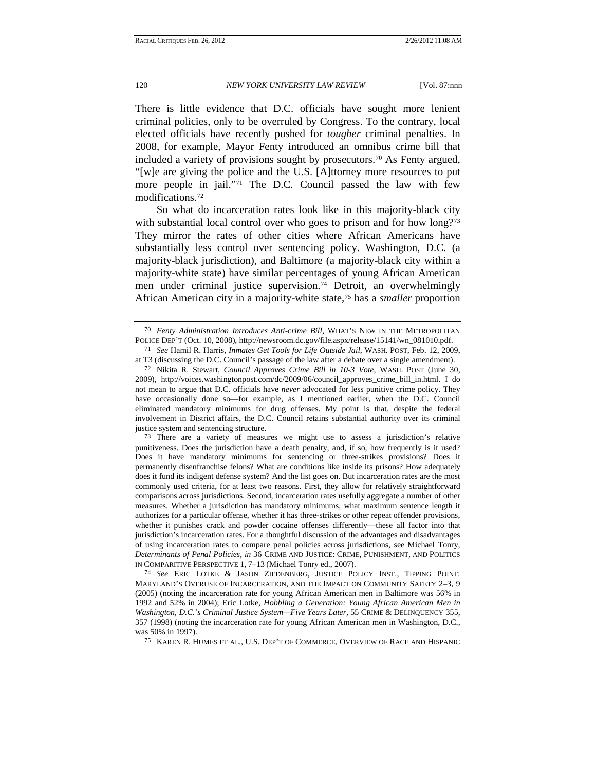There is little evidence that D.C. officials have sought more lenient criminal policies, only to be overruled by Congress. To the contrary, local elected officials have recently pushed for *tougher* criminal penalties. In 2008, for example, Mayor Fenty introduced an omnibus crime bill that included a variety of provisions sought by prosecutors.[70](#page-18-7) As Fenty argued, "[w]e are giving the police and the U.S. [A]ttorney more resources to put more people in jail."[71](#page-19-0) The D.C. Council passed the law with few modifications.[72](#page-19-1)

So what do incarceration rates look like in this majority-black city with substantial local control over who goes to prison and for how long?<sup>[73](#page-19-2)</sup> They mirror the rates of other cities where African Americans have substantially less control over sentencing policy. Washington, D.C. (a majority-black jurisdiction), and Baltimore (a majority-black city within a majority-white state) have similar percentages of young African American men under criminal justice supervision.[74](#page-19-3) Detroit, an overwhelmingly African American city in a majority-white state,[75](#page-19-4) has a *smaller* proportion

<sup>70</sup> *Fenty Administration Introduces Anti-crime Bill*, WHAT'S NEW IN THE METROPOLITAN POLICE DEP'T (Oct. 10, 2008), http://newsroom.dc.gov/file.aspx/release/15141/wn\_081010.pdf.

<span id="page-19-0"></span><sup>71</sup> *See* Hamil R. Harris, *Inmates Get Tools for Life Outside Jail*, WASH. POST, Feb. 12, 2009, at T3 (discussing the D.C. Council's passage of the law after a debate over a single amendment).

<span id="page-19-1"></span><sup>72</sup> Nikita R. Stewart, *Council Approves Crime Bill in 10-3 Vote*, WASH. POST (June 30, 2009), http://voices.washingtonpost.com/dc/2009/06/council\_approves\_crime\_bill\_in.html. I do not mean to argue that D.C. officials have *never* advocated for less punitive crime policy. They have occasionally done so—for example, as I mentioned earlier, when the D.C. Council eliminated mandatory minimums for drug offenses. My point is that, despite the federal involvement in District affairs, the D.C. Council retains substantial authority over its criminal justice system and sentencing structure.

<span id="page-19-5"></span><span id="page-19-2"></span><sup>73</sup> There are a variety of measures we might use to assess a jurisdiction's relative punitiveness. Does the jurisdiction have a death penalty, and, if so, how frequently is it used? Does it have mandatory minimums for sentencing or three-strikes provisions? Does it permanently disenfranchise felons? What are conditions like inside its prisons? How adequately does it fund its indigent defense system? And the list goes on. But incarceration rates are the most commonly used criteria, for at least two reasons. First, they allow for relatively straightforward comparisons across jurisdictions. Second, incarceration rates usefully aggregate a number of other measures. Whether a jurisdiction has mandatory minimums, what maximum sentence length it authorizes for a particular offense, whether it has three-strikes or other repeat offender provisions, whether it punishes crack and powder cocaine offenses differently—these all factor into that jurisdiction's incarceration rates. For a thoughtful discussion of the advantages and disadvantages of using incarceration rates to compare penal policies across jurisdictions, see Michael Tonry, *Determinants of Penal Policies*, *in* 36 CRIME AND JUSTICE: CRIME, PUNISHMENT, AND POLITICS IN COMPARITIVE PERSPECTIVE 1, 7–13 (Michael Tonry ed., 2007).

<span id="page-19-3"></span><sup>74</sup> *See* ERIC LOTKE & JASON ZIEDENBERG, JUSTICE POLICY INST., TIPPING POINT: MARYLAND'S OVERUSE OF INCARCERATION, AND THE IMPACT ON COMMUNITY SAFETY 2–3, 9 (2005) (noting the incarceration rate for young African American men in Baltimore was 56% in 1992 and 52% in 2004); Eric Lotke, *Hobbling a Generation: Young African American Men in Washington, D.C.'s Criminal Justice System—Five Years Later*, 55 CRIME & DELINQUENCY 355, 357 (1998) (noting the incarceration rate for young African American men in Washington, D.C., was 50% in 1997).

<span id="page-19-4"></span><sup>75</sup> KAREN R. HUMES ET AL., U.S. DEP'T OF COMMERCE, OVERVIEW OF RACE AND HISPANIC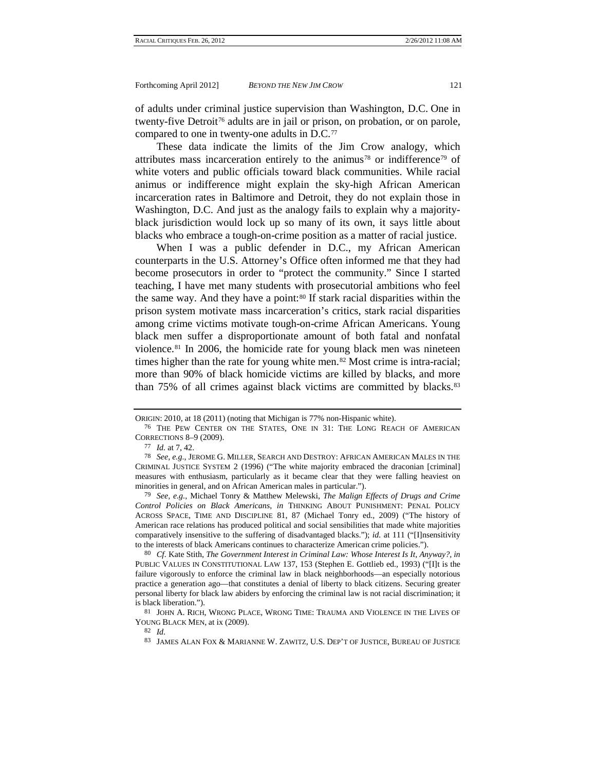of adults under criminal justice supervision than Washington, D.C. One in twenty-five Detroit<sup>76</sup> adults are in jail or prison, on probation, or on parole, compared to one in twenty-one adults in D.C.[77](#page-20-0)

These data indicate the limits of the Jim Crow analogy, which attributes mass incarceration entirely to the animus[78](#page-20-1) or indifference[79](#page-20-2) of white voters and public officials toward black communities. While racial animus or indifference might explain the sky-high African American incarceration rates in Baltimore and Detroit, they do not explain those in Washington, D.C. And just as the analogy fails to explain why a majorityblack jurisdiction would lock up so many of its own, it says little about blacks who embrace a tough-on-crime position as a matter of racial justice.

When I was a public defender in D.C., my African American counterparts in the U.S. Attorney's Office often informed me that they had become prosecutors in order to "protect the community." Since I started teaching, I have met many students with prosecutorial ambitions who feel the same way. And they have a point:<sup>[80](#page-20-3)</sup> If stark racial disparities within the prison system motivate mass incarceration's critics, stark racial disparities among crime victims motivate tough-on-crime African Americans. Young black men suffer a disproportionate amount of both fatal and nonfatal violence.[81](#page-20-4) In 2006, the homicide rate for young black men was nineteen times higher than the rate for young white men.<sup>[82](#page-20-5)</sup> Most crime is intra-racial; more than 90% of black homicide victims are killed by blacks, and more than 75% of all crimes against black victims are committed by blacks[.83](#page-20-6)

ORIGIN: 2010, at 18 (2011) (noting that Michigan is 77% non-Hispanic white).

<sup>76</sup> THE PEW CENTER ON THE STATES, ONE IN 31: THE LONG REACH OF AMERICAN CORRECTIONS 8–9 (2009).

<sup>77</sup> *Id.* at 7, 42.

<span id="page-20-1"></span><span id="page-20-0"></span><sup>78</sup> *See, e.g.*, JEROME G. MILLER, SEARCH AND DESTROY: AFRICAN AMERICAN MALES IN THE CRIMINAL JUSTICE SYSTEM 2 (1996) ("The white majority embraced the draconian [criminal] measures with enthusiasm, particularly as it became clear that they were falling heaviest on minorities in general, and on African American males in particular.").

<span id="page-20-2"></span><sup>79</sup> *See, e.g.*, Michael Tonry & Matthew Melewski, *The Malign Effects of Drugs and Crime Control Policies on Black Americans*, *in* THINKING ABOUT PUNISHMENT: PENAL POLICY ACROSS SPACE, TIME AND DISCIPLINE 81, 87 (Michael Tonry ed., 2009) ("The history of American race relations has produced political and social sensibilities that made white majorities comparatively insensitive to the suffering of disadvantaged blacks."); *id.* at 111 ("[I]nsensitivity to the interests of black Americans continues to characterize American crime policies.").

<span id="page-20-7"></span><span id="page-20-3"></span><sup>80</sup> *Cf.* Kate Stith, *The Government Interest in Criminal Law: Whose Interest Is It, Anyway?*, *in* PUBLIC VALUES IN CONSTITUTIONAL LAW 137, 153 (Stephen E. Gottlieb ed., 1993) ("[I]t is the failure vigorously to enforce the criminal law in black neighborhoods—an especially notorious practice a generation ago—that constitutes a denial of liberty to black citizens. Securing greater personal liberty for black law abiders by enforcing the criminal law is not racial discrimination; it is black liberation.").

<span id="page-20-6"></span><span id="page-20-5"></span><span id="page-20-4"></span><sup>81</sup> JOHN A. RICH, WRONG PLACE, WRONG TIME: TRAUMA AND VIOLENCE IN THE LIVES OF YOUNG BLACK MEN, at ix (2009).

<sup>82</sup> *Id.*

<sup>83</sup> JAMES ALAN FOX & MARIANNE W. ZAWITZ, U.S. DEP'T OF JUSTICE, BUREAU OF JUSTICE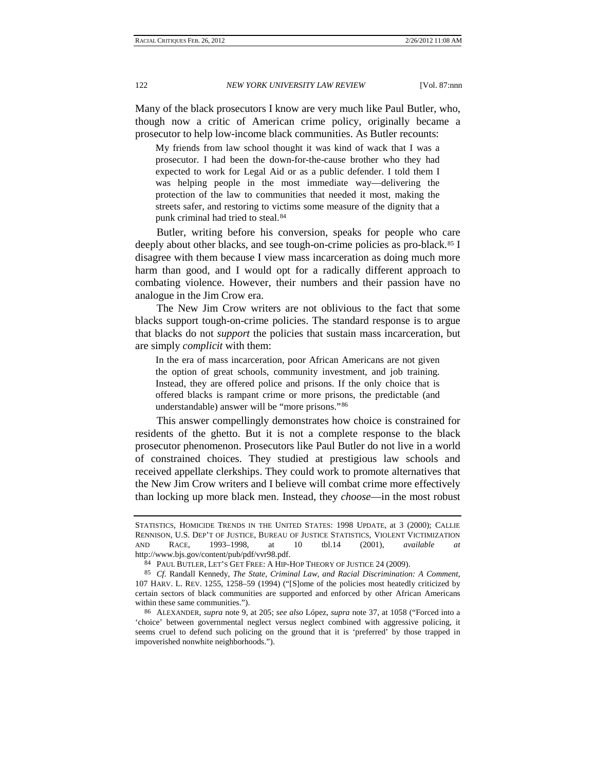Many of the black prosecutors I know are very much like Paul Butler, who, though now a critic of American crime policy, originally became a prosecutor to help low-income black communities. As Butler recounts:

My friends from law school thought it was kind of wack that I was a prosecutor. I had been the down-for-the-cause brother who they had expected to work for Legal Aid or as a public defender. I told them I was helping people in the most immediate way—delivering the protection of the law to communities that needed it most, making the streets safer, and restoring to victims some measure of the dignity that a punk criminal had tried to steal.[84](#page-20-7)

Butler, writing before his conversion, speaks for people who care deeply about other blacks, and see tough-on-crime policies as pro-black.<sup>[85](#page-21-0)</sup> I disagree with them because I view mass incarceration as doing much more harm than good, and I would opt for a radically different approach to combating violence. However, their numbers and their passion have no analogue in the Jim Crow era.

The New Jim Crow writers are not oblivious to the fact that some blacks support tough-on-crime policies. The standard response is to argue that blacks do not *support* the policies that sustain mass incarceration, but are simply *complicit* with them:

In the era of mass incarceration, poor African Americans are not given the option of great schools, community investment, and job training. Instead, they are offered police and prisons. If the only choice that is offered blacks is rampant crime or more prisons, the predictable (and understandable) answer will be "more prisons."[86](#page-21-1)

This answer compellingly demonstrates how choice is constrained for residents of the ghetto. But it is not a complete response to the black prosecutor phenomenon. Prosecutors like Paul Butler do not live in a world of constrained choices. They studied at prestigious law schools and received appellate clerkships. They could work to promote alternatives that the New Jim Crow writers and I believe will combat crime more effectively than locking up more black men. Instead, they *choose*—in the most robust

<span id="page-21-2"></span>STATISTICS, HOMICIDE TRENDS IN THE UNITED STATES: 1998 UPDATE, at 3 (2000); CALLIE RENNISON, U.S. DEP'T OF JUSTICE, BUREAU OF JUSTICE STATISTICS, VIOLENT VICTIMIZATION<br>AND RACE, 1993–1998, at 10 tbl.14 (2001), available at AND RACE, 1993–1998, at 10 tbl.14 (2001), *available at*  http://www.bjs.gov/content/pub/pdf/vvr98.pdf.

<sup>84</sup> PAUL BUTLER, LET'S GET FREE: A HIP-HOP THEORY OF JUSTICE 24 (2009).

<span id="page-21-0"></span><sup>85</sup> *Cf.* Randall Kennedy, *The State, Criminal Law, and Racial Discrimination: A Comment*, 107 HARV. L. REV. 1255, 1258–59 (1994) ("[S]ome of the policies most heatedly criticized by certain sectors of black communities are supported and enforced by other African Americans within these same communities.").

<span id="page-21-1"></span><sup>86</sup> ALEXANDER, *supra* note 9, at 205; *see also* López, *supra* note 37, at 1058 ("Forced into a 'choice' between governmental neglect versus neglect combined with aggressive policing, it seems cruel to defend such policing on the ground that it is 'preferred' by those trapped in impoverished nonwhite neighborhoods.").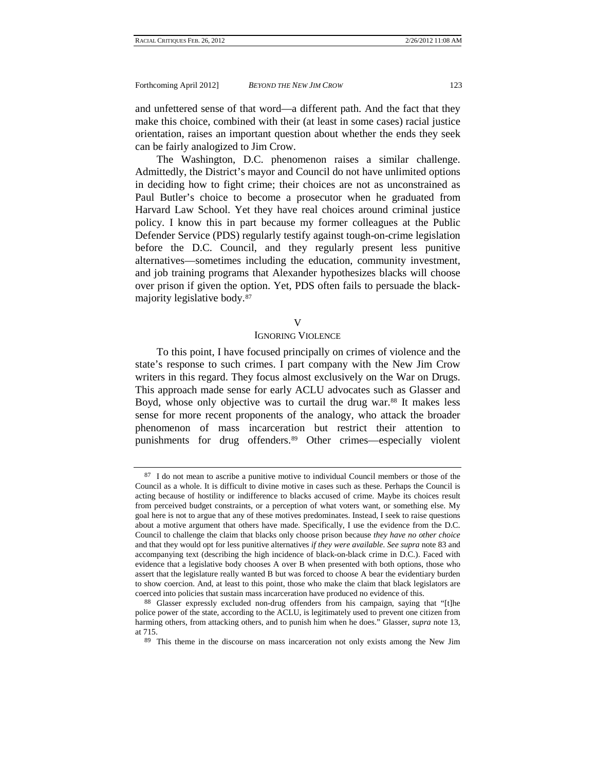and unfettered sense of that word—a different path. And the fact that they make this choice, combined with their (at least in some cases) racial justice orientation, raises an important question about whether the ends they seek can be fairly analogized to Jim Crow.

The Washington, D.C. phenomenon raises a similar challenge. Admittedly, the District's mayor and Council do not have unlimited options in deciding how to fight crime; their choices are not as unconstrained as Paul Butler's choice to become a prosecutor when he graduated from Harvard Law School. Yet they have real choices around criminal justice policy. I know this in part because my former colleagues at the Public Defender Service (PDS) regularly testify against tough-on-crime legislation before the D.C. Council, and they regularly present less punitive alternatives—sometimes including the education, community investment, and job training programs that Alexander hypothesizes blacks will choose over prison if given the option. Yet, PDS often fails to persuade the blackmajority legislative body.[87](#page-21-2)

# $\overline{V}$

### IGNORING VIOLENCE

To this point, I have focused principally on crimes of violence and the state's response to such crimes. I part company with the New Jim Crow writers in this regard. They focus almost exclusively on the War on Drugs. This approach made sense for early ACLU advocates such as Glasser and Boyd, whose only objective was to curtail the drug war.[88](#page-22-0) It makes less sense for more recent proponents of the analogy, who attack the broader phenomenon of mass incarceration but restrict their attention to punishments for drug offenders[.89](#page-22-1) Other crimes—especially violent

<span id="page-22-2"></span><sup>87</sup> I do not mean to ascribe a punitive motive to individual Council members or those of the Council as a whole. It is difficult to divine motive in cases such as these. Perhaps the Council is acting because of hostility or indifference to blacks accused of crime. Maybe its choices result from perceived budget constraints, or a perception of what voters want, or something else. My goal here is not to argue that any of these motives predominates. Instead, I seek to raise questions about a motive argument that others have made. Specifically, I use the evidence from the D.C. Council to challenge the claim that blacks only choose prison because *they have no other choice* and that they would opt for less punitive alternatives *if they were available*. *See supra* note 83 and accompanying text (describing the high incidence of black-on-black crime in D.C.). Faced with evidence that a legislative body chooses A over B when presented with both options, those who assert that the legislature really wanted B but was forced to choose A bear the evidentiary burden to show coercion. And, at least to this point, those who make the claim that black legislators are coerced into policies that sustain mass incarceration have produced no evidence of this.

<span id="page-22-1"></span><span id="page-22-0"></span><sup>88</sup> Glasser expressly excluded non-drug offenders from his campaign, saying that "[t]he police power of the state, according to the ACLU, is legitimately used to prevent one citizen from harming others, from attacking others, and to punish him when he does." Glasser, *supra* note 13, at 715.

<sup>89</sup> This theme in the discourse on mass incarceration not only exists among the New Jim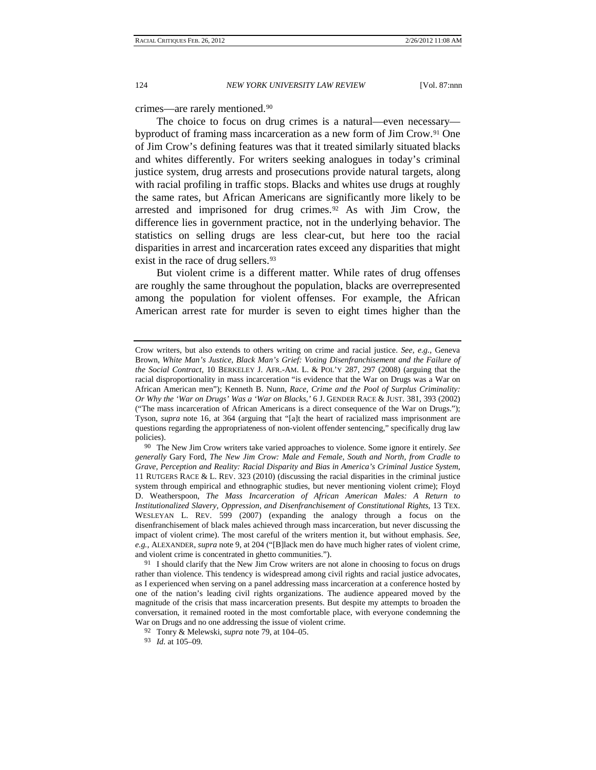crimes—are rarely mentioned.[90](#page-22-2)

The choice to focus on drug crimes is a natural—even necessary byproduct of framing mass incarceration as a new form of Jim Crow.[91](#page-23-0) One of Jim Crow's defining features was that it treated similarly situated blacks and whites differently. For writers seeking analogues in today's criminal justice system, drug arrests and prosecutions provide natural targets, along with racial profiling in traffic stops. Blacks and whites use drugs at roughly the same rates, but African Americans are significantly more likely to be arrested and imprisoned for drug crimes.<sup>[92](#page-23-1)</sup> As with Jim Crow, the difference lies in government practice, not in the underlying behavior. The statistics on selling drugs are less clear-cut, but here too the racial disparities in arrest and incarceration rates exceed any disparities that might exist in the race of drug sellers.<sup>[93](#page-23-2)</sup>

But violent crime is a different matter. While rates of drug offenses are roughly the same throughout the population, blacks are overrepresented among the population for violent offenses. For example, the African American arrest rate for murder is seven to eight times higher than the

Crow writers, but also extends to others writing on crime and racial justice. *See, e.g.*, Geneva Brown, *White Man's Justice, Black Man's Grief: Voting Disenfranchisement and the Failure of the Social Contract*, 10 BERKELEY J. AFR.-AM. L. & POL'Y 287, 297 (2008) (arguing that the racial disproportionality in mass incarceration "is evidence that the War on Drugs was a War on African American men"); Kenneth B. Nunn, *Race, Crime and the Pool of Surplus Criminality: Or Why the 'War on Drugs' Was a 'War on Blacks*,*'* 6 J. GENDER RACE & JUST. 381, 393 (2002) ("The mass incarceration of African Americans is a direct consequence of the War on Drugs."); Tyson, *supra* note 16, at 364 (arguing that "[a]t the heart of racialized mass imprisonment are questions regarding the appropriateness of non-violent offender sentencing," specifically drug law policies).

<span id="page-23-3"></span><sup>90</sup> The New Jim Crow writers take varied approaches to violence. Some ignore it entirely. *See generally* Gary Ford, *The New Jim Crow: Male and Female, South and North, from Cradle to Grave, Perception and Reality: Racial Disparity and Bias in America's Criminal Justice System*, 11 RUTGERS RACE & L. REV. 323 (2010) (discussing the racial disparities in the criminal justice system through empirical and ethnographic studies, but never mentioning violent crime); Floyd D. Weatherspoon, *The Mass Incarceration of African American Males: A Return to Institutionalized Slavery, Oppression, and Disenfranchisement of Constitutional Rights*, 13 TEX. WESLEYAN L. REV. 599 (2007) (expanding the analogy through a focus on the disenfranchisement of black males achieved through mass incarceration, but never discussing the impact of violent crime). The most careful of the writers mention it, but without emphasis. *See, e.g.*, ALEXANDER, *supra* note 9, at 204 ("[B]lack men do have much higher rates of violent crime, and violent crime is concentrated in ghetto communities.").

<span id="page-23-0"></span><sup>&</sup>lt;sup>91</sup> I should clarify that the New Jim Crow writers are not alone in choosing to focus on drugs rather than violence. This tendency is widespread among civil rights and racial justice advocates, as I experienced when serving on a panel addressing mass incarceration at a conference hosted by one of the nation's leading civil rights organizations. The audience appeared moved by the magnitude of the crisis that mass incarceration presents. But despite my attempts to broaden the conversation, it remained rooted in the most comfortable place, with everyone condemning the War on Drugs and no one addressing the issue of violent crime.

<sup>92</sup> Tonry & Melewski, *supra* note 79, at 104–05.

<span id="page-23-2"></span><span id="page-23-1"></span><sup>93</sup> *Id.* at 105–09.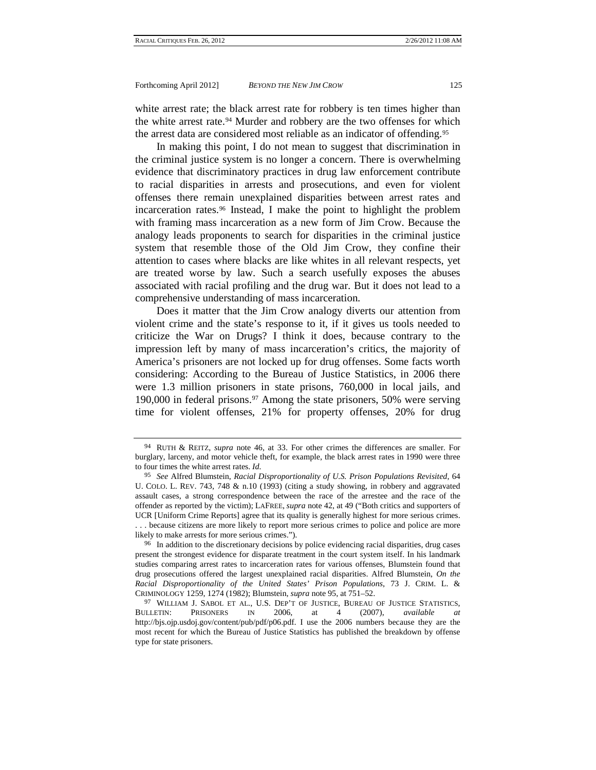white arrest rate; the black arrest rate for robbery is ten times higher than the white arrest rate.<sup>[94](#page-23-3)</sup> Murder and robbery are the two offenses for which the arrest data are considered most reliable as an indicator of offending.[95](#page-24-0)

In making this point, I do not mean to suggest that discrimination in the criminal justice system is no longer a concern. There is overwhelming evidence that discriminatory practices in drug law enforcement contribute to racial disparities in arrests and prosecutions, and even for violent offenses there remain unexplained disparities between arrest rates and incarceration rates[.96](#page-24-1) Instead, I make the point to highlight the problem with framing mass incarceration as a new form of Jim Crow. Because the analogy leads proponents to search for disparities in the criminal justice system that resemble those of the Old Jim Crow, they confine their attention to cases where blacks are like whites in all relevant respects, yet are treated worse by law. Such a search usefully exposes the abuses associated with racial profiling and the drug war. But it does not lead to a comprehensive understanding of mass incarceration.

<span id="page-24-3"></span>Does it matter that the Jim Crow analogy diverts our attention from violent crime and the state's response to it, if it gives us tools needed to criticize the War on Drugs? I think it does, because contrary to the impression left by many of mass incarceration's critics, the majority of America's prisoners are not locked up for drug offenses. Some facts worth considering: According to the Bureau of Justice Statistics, in 2006 there were 1.3 million prisoners in state prisons, 760,000 in local jails, and 190,000 in federal prisons. $97$  Among the state prisoners, 50% were serving time for violent offenses, 21% for property offenses, 20% for drug

<sup>94</sup> RUTH & REITZ, *supra* note 46, at 33. For other crimes the differences are smaller. For burglary, larceny, and motor vehicle theft, for example, the black arrest rates in 1990 were three to four times the white arrest rates. *Id.*

<span id="page-24-0"></span><sup>95</sup> *See* Alfred Blumstein, *Racial Disproportionality of U.S. Prison Populations Revisited*, 64 U. COLO. L. REV. 743, 748 & n.10 (1993) (citing a study showing, in robbery and aggravated assault cases, a strong correspondence between the race of the arrestee and the race of the offender as reported by the victim); LAFREE, *supra* note 42, at 49 ("Both critics and supporters of UCR [Uniform Crime Reports] agree that its quality is generally highest for more serious crimes. . . . because citizens are more likely to report more serious crimes to police and police are more likely to make arrests for more serious crimes.").

<span id="page-24-1"></span><sup>96</sup> In addition to the discretionary decisions by police evidencing racial disparities, drug cases present the strongest evidence for disparate treatment in the court system itself. In his landmark studies comparing arrest rates to incarceration rates for various offenses, Blumstein found that drug prosecutions offered the largest unexplained racial disparities. Alfred Blumstein, *On the Racial Disproportionality of the United States' Prison Populations*, 73 J. CRIM. L. & CRIMINOLOGY 1259, 1274 (1982); Blumstein, *supra* note 95, at 751–52.

<span id="page-24-2"></span><sup>97</sup> WILLIAM J. SABOL ET AL., U.S. DEP'T OF JUSTICE, BUREAU OF JUSTICE STATISTICS, BULLETIN: PRISONERS IN 2006, at 4 (2007), *available* http://bjs.ojp.usdoj.gov/content/pub/pdf/p06.pdf. I use the 2006 numbers because they are the most recent for which the Bureau of Justice Statistics has published the breakdown by offense type for state prisoners.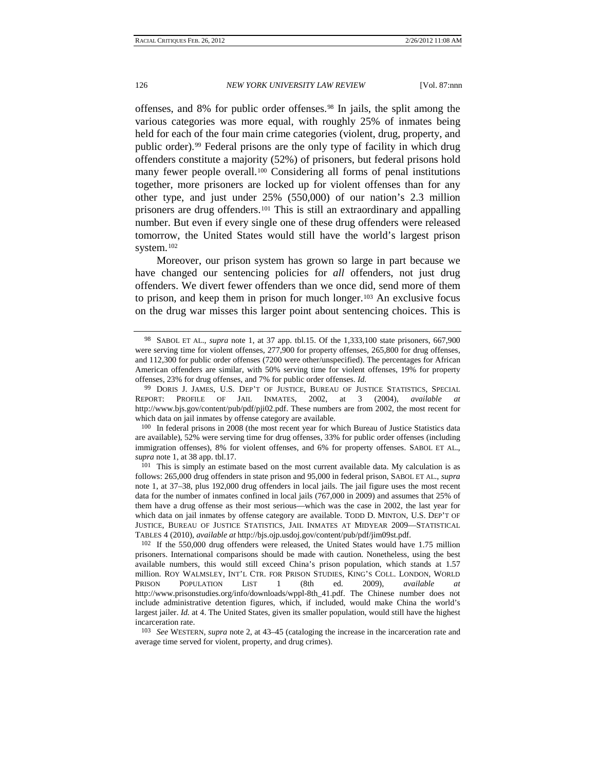offenses, and 8% for public order offenses[.98](#page-24-3) In jails, the split among the various categories was more equal, with roughly 25% of inmates being held for each of the four main crime categories (violent, drug, property, and public order).[99](#page-25-0) Federal prisons are the only type of facility in which drug offenders constitute a majority (52%) of prisoners, but federal prisons hold many fewer people overall.<sup>[100](#page-25-1)</sup> Considering all forms of penal institutions together, more prisoners are locked up for violent offenses than for any other type, and just under 25% (550,000) of our nation's 2.3 million prisoners are drug offenders.[101](#page-25-2) This is still an extraordinary and appalling number. But even if every single one of these drug offenders were released tomorrow, the United States would still have the world's largest prison system.<sup>[102](#page-25-3)</sup>

<span id="page-25-5"></span>Moreover, our prison system has grown so large in part because we have changed our sentencing policies for *all* offenders, not just drug offenders. We divert fewer offenders than we once did, send more of them to prison, and keep them in prison for much longer.[103](#page-25-4) An exclusive focus on the drug war misses this larger point about sentencing choices. This is

<sup>98</sup> SABOL ET AL., *supra* note 1, at 37 app. tbl.15. Of the 1,333,100 state prisoners, 667,900 were serving time for violent offenses, 277,900 for property offenses, 265,800 for drug offenses, and 112,300 for public order offenses (7200 were other/unspecified). The percentages for African American offenders are similar, with 50% serving time for violent offenses, 19% for property offenses, 23% for drug offenses, and 7% for public order offenses. *Id.*

<span id="page-25-0"></span><sup>99</sup> DORIS J. JAMES, U.S. DEP'T OF JUSTICE, BUREAU OF JUSTICE STATISTICS, SPECIAL REPORT: PROFILE OF JAIL INMATES, 2002, at 3 (2004), *available at* http://www.bjs.gov/content/pub/pdf/pji02.pdf. These numbers are from 2002, the most recent for which data on jail inmates by offense category are available.

<span id="page-25-1"></span><sup>100</sup> In federal prisons in 2008 (the most recent year for which Bureau of Justice Statistics data are available), 52% were serving time for drug offenses, 33% for public order offenses (including immigration offenses), 8% for violent offenses, and 6% for property offenses. SABOL ET AL., *supra* note 1, at 38 app. tbl.17.

<span id="page-25-2"></span><sup>101</sup> This is simply an estimate based on the most current available data. My calculation is as follows: 265,000 drug offenders in state prison and 95,000 in federal prison, SABOL ET AL., *supra* note 1, at 37–38, plus 192,000 drug offenders in local jails. The jail figure uses the most recent data for the number of inmates confined in local jails (767,000 in 2009) and assumes that 25% of them have a drug offense as their most serious—which was the case in 2002, the last year for which data on jail inmates by offense category are available. TODD D. MINTON, U.S. DEP'T OF JUSTICE, BUREAU OF JUSTICE STATISTICS, JAIL INMATES AT MIDYEAR 2009—STATISTICAL TABLES 4 (2010), *available at* http://bjs.ojp.usdoj.gov/content/pub/pdf/jim09st.pdf.

<span id="page-25-3"></span><sup>102</sup> If the 550,000 drug offenders were released, the United States would have 1.75 million prisoners. International comparisons should be made with caution. Nonetheless, using the best available numbers, this would still exceed China's prison population, which stands at 1.57 million. ROY WALMSLEY, INT'L CTR. FOR PRISON STUDIES, KING'S COLL. LONDON, WORLD PRISON POPULATION LIST 1 (8th ed. 2009), *available at* http://www.prisonstudies.org/info/downloads/wppl-8th\_41.pdf. The Chinese number does not include administrative detention figures, which, if included, would make China the world's largest jailer. *Id.* at 4. The United States, given its smaller population, would still have the highest incarceration rate.

<span id="page-25-4"></span><sup>103</sup> *See* WESTERN, *supra* note 2, at 43–45 (cataloging the increase in the incarceration rate and average time served for violent, property, and drug crimes).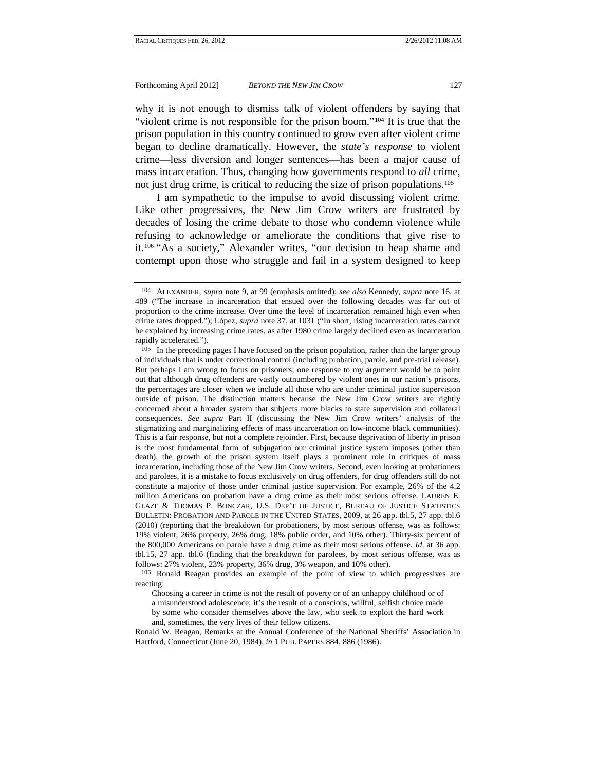why it is not enough to dismiss talk of violent offenders by saying that "violent crime is not responsible for the prison boom."[104](#page-25-5) It is true that the prison population in this country continued to grow even after violent crime began to decline dramatically. However, the *state's response* to violent crime—less diversion and longer sentences—has been a major cause of mass incarceration. Thus, changing how governments respond to *all* crime, not just drug crime, is critical to reducing the size of prison populations.[105](#page-26-0)

I am sympathetic to the impulse to avoid discussing violent crime. Like other progressives, the New Jim Crow writers are frustrated by decades of losing the crime debate to those who condemn violence while refusing to acknowledge or ameliorate the conditions that give rise to it.[106](#page-26-1) "As a society," Alexander writes, "our decision to heap shame and contempt upon those who struggle and fail in a system designed to keep

<span id="page-26-2"></span><span id="page-26-1"></span>106 Ronald Reagan provides an example of the point of view to which progressives are reacting:

Choosing a career in crime is not the result of poverty or of an unhappy childhood or of a misunderstood adolescence; it's the result of a conscious, willful, selfish choice made by some who consider themselves above the law, who seek to exploit the hard work and, sometimes, the very lives of their fellow citizens.

Ronald W. Reagan, Remarks at the Annual Conference of the National Sheriffs' Association in Hartford, Connecticut (June 20, 1984), *in* 1 PUB. PAPERS 884, 886 (1986).

<sup>104</sup> ALEXANDER, *supra* note 9, at 99 (emphasis omitted); *see also* Kennedy, *supra* note 16, at 489 ("The increase in incarceration that ensued over the following decades was far out of proportion to the crime increase. Over time the level of incarceration remained high even when crime rates dropped."); López, *supra* note 37, at 1031 ("In short, rising incarceration rates cannot be explained by increasing crime rates, as after 1980 crime largely declined even as incarceration rapidly accelerated.").

<span id="page-26-0"></span><sup>&</sup>lt;sup>105</sup> In the preceding pages I have focused on the prison population, rather than the larger group of individuals that is under correctional control (including probation, parole, and pre-trial release). But perhaps I am wrong to focus on prisoners; one response to my argument would be to point out that although drug offenders are vastly outnumbered by violent ones in our nation's prisons, the percentages are closer when we include all those who are under criminal justice supervision outside of prison. The distinction matters because the New Jim Crow writers are rightly concerned about a broader system that subjects more blacks to state supervision and collateral consequences. *See supra* Part II (discussing the New Jim Crow writers' analysis of the stigmatizing and marginalizing effects of mass incarceration on low-income black communities). This is a fair response, but not a complete rejoinder. First, because deprivation of liberty in prison is the most fundamental form of subjugation our criminal justice system imposes (other than death), the growth of the prison system itself plays a prominent role in critiques of mass incarceration, including those of the New Jim Crow writers. Second, even looking at probationers and parolees, it is a mistake to focus exclusively on drug offenders, for drug offenders still do not constitute a majority of those under criminal justice supervision. For example, 26% of the 4.2 million Americans on probation have a drug crime as their most serious offense. LAUREN E. GLAZE & THOMAS P. BONCZAR, U.S. DEP'T OF JUSTICE, BUREAU OF JUSTICE STATISTICS BULLETIN: PROBATION AND PAROLE IN THE UNITED STATES, 2009, at 26 app. tbl.5, 27 app. tbl.6 (2010) (reporting that the breakdown for probationers, by most serious offense, was as follows: 19% violent, 26% property, 26% drug, 18% public order, and 10% other). Thirty-six percent of the 800,000 Americans on parole have a drug crime as their most serious offense. *Id*. at 36 app. tbl.15, 27 app. tbl.6 (finding that the breakdown for parolees, by most serious offense, was as follows: 27% violent, 23% property, 36% drug, 3% weapon, and 10% other).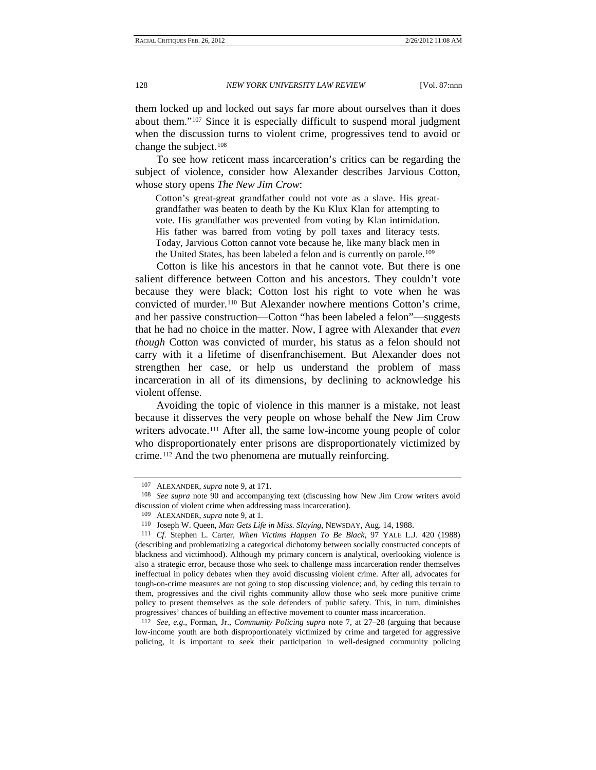them locked up and locked out says far more about ourselves than it does about them."[107](#page-26-2) Since it is especially difficult to suspend moral judgment when the discussion turns to violent crime, progressives tend to avoid or change the subject[.108](#page-27-0)

To see how reticent mass incarceration's critics can be regarding the subject of violence, consider how Alexander describes Jarvious Cotton, whose story opens *The New Jim Crow*:

Cotton's great-great grandfather could not vote as a slave. His greatgrandfather was beaten to death by the Ku Klux Klan for attempting to vote. His grandfather was prevented from voting by Klan intimidation. His father was barred from voting by poll taxes and literacy tests. Today, Jarvious Cotton cannot vote because he, like many black men in the United States, has been labeled a felon and is currently on parole.<sup>[109](#page-27-1)</sup>

Cotton is like his ancestors in that he cannot vote. But there is one salient difference between Cotton and his ancestors. They couldn't vote because they were black; Cotton lost his right to vote when he was convicted of murder.[110](#page-27-2) But Alexander nowhere mentions Cotton's crime, and her passive construction—Cotton "has been labeled a felon"—suggests that he had no choice in the matter. Now, I agree with Alexander that *even though* Cotton was convicted of murder, his status as a felon should not carry with it a lifetime of disenfranchisement. But Alexander does not strengthen her case, or help us understand the problem of mass incarceration in all of its dimensions, by declining to acknowledge his violent offense.

Avoiding the topic of violence in this manner is a mistake, not least because it disserves the very people on whose behalf the New Jim Crow writers advocate.<sup>[111](#page-27-3)</sup> After all, the same low-income young people of color who disproportionately enter prisons are disproportionately victimized by crime.[112](#page-27-4) And the two phenomena are mutually reinforcing.

<span id="page-27-5"></span><span id="page-27-4"></span>112 *See, e.g.*, Forman, Jr., *Community Policing supra* note 7, at 27–28 (arguing that because low-income youth are both disproportionately victimized by crime and targeted for aggressive policing, it is important to seek their participation in well-designed community policing

<sup>107</sup> ALEXANDER, *supra* note 9, at 171.

<span id="page-27-0"></span><sup>108</sup> *See supra* note 90 and accompanying text (discussing how New Jim Crow writers avoid discussion of violent crime when addressing mass incarceration).

<sup>109</sup> ALEXANDER, *supra* note 9, at 1.

<sup>110</sup> Joseph W. Queen, *Man Gets Life in Miss. Slaying*, NEWSDAY, Aug. 14, 1988.

<span id="page-27-3"></span><span id="page-27-2"></span><span id="page-27-1"></span><sup>111</sup> *Cf.* Stephen L. Carter, *When Victims Happen To Be Black*, 97 YALE L.J. 420 (1988) (describing and problematizing a categorical dichotomy between socially constructed concepts of blackness and victimhood). Although my primary concern is analytical, overlooking violence is also a strategic error, because those who seek to challenge mass incarceration render themselves ineffectual in policy debates when they avoid discussing violent crime. After all, advocates for tough-on-crime measures are not going to stop discussing violence; and, by ceding this terrain to them, progressives and the civil rights community allow those who seek more punitive crime policy to present themselves as the sole defenders of public safety. This, in turn, diminishes progressives' chances of building an effective movement to counter mass incarceration.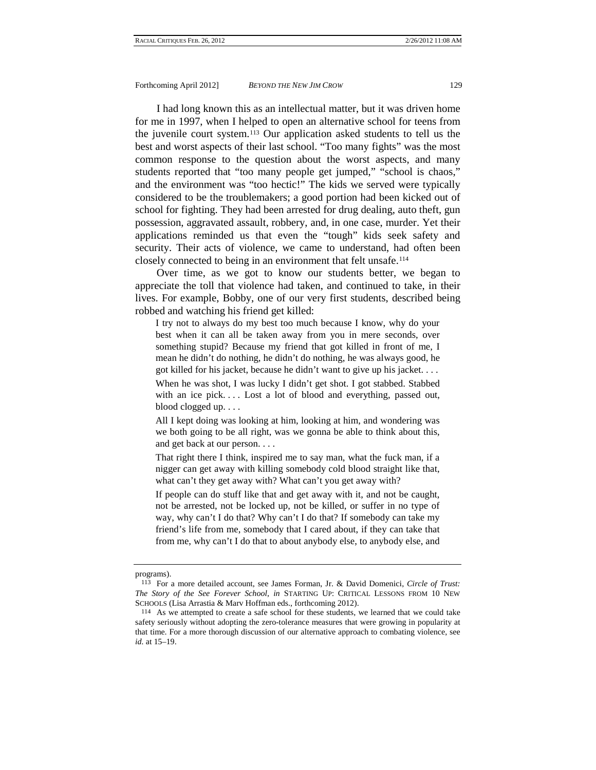I had long known this as an intellectual matter, but it was driven home for me in 1997, when I helped to open an alternative school for teens from the juvenile court system.[113](#page-27-5) Our application asked students to tell us the best and worst aspects of their last school. "Too many fights" was the most common response to the question about the worst aspects, and many students reported that "too many people get jumped," "school is chaos," and the environment was "too hectic!" The kids we served were typically considered to be the troublemakers; a good portion had been kicked out of school for fighting. They had been arrested for drug dealing, auto theft, gun possession, aggravated assault, robbery, and, in one case, murder. Yet their applications reminded us that even the "tough" kids seek safety and security. Their acts of violence, we came to understand, had often been closely connected to being in an environment that felt unsafe.[114](#page-28-0)

Over time, as we got to know our students better, we began to appreciate the toll that violence had taken, and continued to take, in their lives. For example, Bobby, one of our very first students, described being robbed and watching his friend get killed:

I try not to always do my best too much because I know, why do your best when it can all be taken away from you in mere seconds, over something stupid? Because my friend that got killed in front of me, I mean he didn't do nothing, he didn't do nothing, he was always good, he got killed for his jacket, because he didn't want to give up his jacket. . . .

When he was shot, I was lucky I didn't get shot. I got stabbed. Stabbed with an ice pick.... Lost a lot of blood and everything, passed out, blood clogged up. . . .

All I kept doing was looking at him, looking at him, and wondering was we both going to be all right, was we gonna be able to think about this, and get back at our person. . . .

That right there I think, inspired me to say man, what the fuck man, if a nigger can get away with killing somebody cold blood straight like that, what can't they get away with? What can't you get away with?

<span id="page-28-1"></span>If people can do stuff like that and get away with it, and not be caught, not be arrested, not be locked up, not be killed, or suffer in no type of way, why can't I do that? Why can't I do that? If somebody can take my friend's life from me, somebody that I cared about, if they can take that from me, why can't I do that to about anybody else, to anybody else, and

programs).

<sup>113</sup> For a more detailed account, see James Forman, Jr. & David Domenici, *Circle of Trust: The Story of the See Forever School*, *in* STARTING UP: CRITICAL LESSONS FROM 10 NEW SCHOOLS (Lisa Arrastia & Marv Hoffman eds., forthcoming 2012).

<span id="page-28-0"></span><sup>114</sup> As we attempted to create a safe school for these students, we learned that we could take safety seriously without adopting the zero-tolerance measures that were growing in popularity at that time. For a more thorough discussion of our alternative approach to combating violence, see *id.* at 15–19.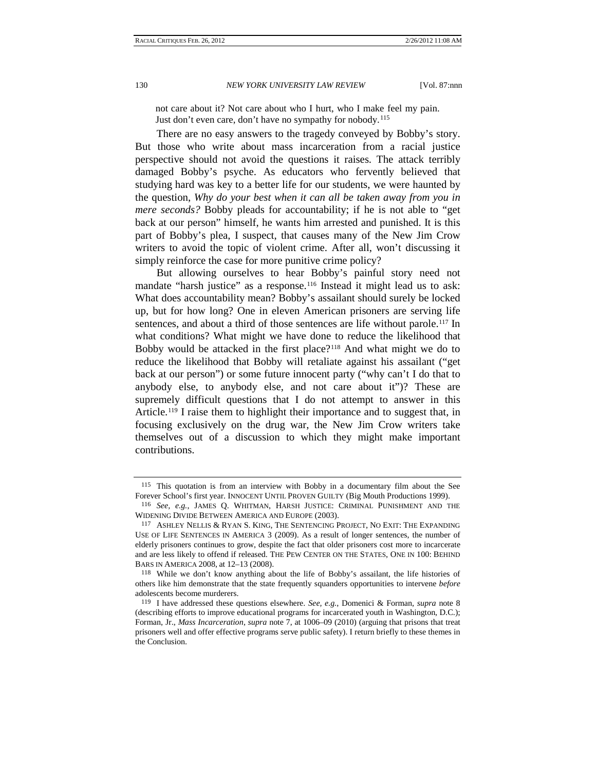not care about it? Not care about who I hurt, who I make feel my pain. Just don't even care, don't have no sympathy for nobody.<sup>[115](#page-28-1)</sup>

There are no easy answers to the tragedy conveyed by Bobby's story. But those who write about mass incarceration from a racial justice perspective should not avoid the questions it raises. The attack terribly damaged Bobby's psyche. As educators who fervently believed that studying hard was key to a better life for our students, we were haunted by the question, *Why do your best when it can all be taken away from you in mere seconds?* Bobby pleads for accountability; if he is not able to "get back at our person" himself, he wants him arrested and punished. It is this part of Bobby's plea, I suspect, that causes many of the New Jim Crow writers to avoid the topic of violent crime. After all, won't discussing it simply reinforce the case for more punitive crime policy?

But allowing ourselves to hear Bobby's painful story need not mandate "harsh justice" as a response.<sup>116</sup> Instead it might lead us to ask: What does accountability mean? Bobby's assailant should surely be locked up, but for how long? One in eleven American prisoners are serving life sentences, and about a third of those sentences are life without parole.<sup>[117](#page-29-1)</sup> In what conditions? What might we have done to reduce the likelihood that Bobby would be attacked in the first place?[118](#page-29-2) And what might we do to reduce the likelihood that Bobby will retaliate against his assailant ("get back at our person") or some future innocent party ("why can't I do that to anybody else, to anybody else, and not care about it")? These are supremely difficult questions that I do not attempt to answer in this Article.<sup>[119](#page-29-3)</sup> I raise them to highlight their importance and to suggest that, in focusing exclusively on the drug war, the New Jim Crow writers take themselves out of a discussion to which they might make important contributions.

<span id="page-29-4"></span><sup>115</sup> This quotation is from an interview with Bobby in a documentary film about the See Forever School's first year. INNOCENT UNTIL PROVEN GUILTY (Big Mouth Productions 1999).

<span id="page-29-0"></span><sup>116</sup> *See, e.g.*, JAMES Q. WHITMAN, HARSH JUSTICE: CRIMINAL PUNISHMENT AND THE WIDENING DIVIDE BETWEEN AMERICA AND EUROPE (2003). <sup>117</sup> ASHLEY NELLIS & RYAN S. KING, THE SENTENCING PROJECT, NO EXIT: THE EXPANDING

<span id="page-29-1"></span>USE OF LIFE SENTENCES IN AMERICA 3 (2009). As a result of longer sentences, the number of elderly prisoners continues to grow, despite the fact that older prisoners cost more to incarcerate and are less likely to offend if released. THE PEW CENTER ON THE STATES, ONE IN 100: BEHIND BARS IN AMERICA 2008, at 12–13 (2008).

<span id="page-29-2"></span><sup>118</sup> While we don't know anything about the life of Bobby's assailant, the life histories of others like him demonstrate that the state frequently squanders opportunities to intervene *before* adolescents become murderers.

<span id="page-29-3"></span><sup>119</sup> I have addressed these questions elsewhere. *See, e.g.*, Domenici & Forman, *supra* note 8 (describing efforts to improve educational programs for incarcerated youth in Washington, D.C.); Forman, Jr., *Mass Incarceration*, *supra* note 7, at 1006–09 (2010) (arguing that prisons that treat prisoners well and offer effective programs serve public safety). I return briefly to these themes in the Conclusion.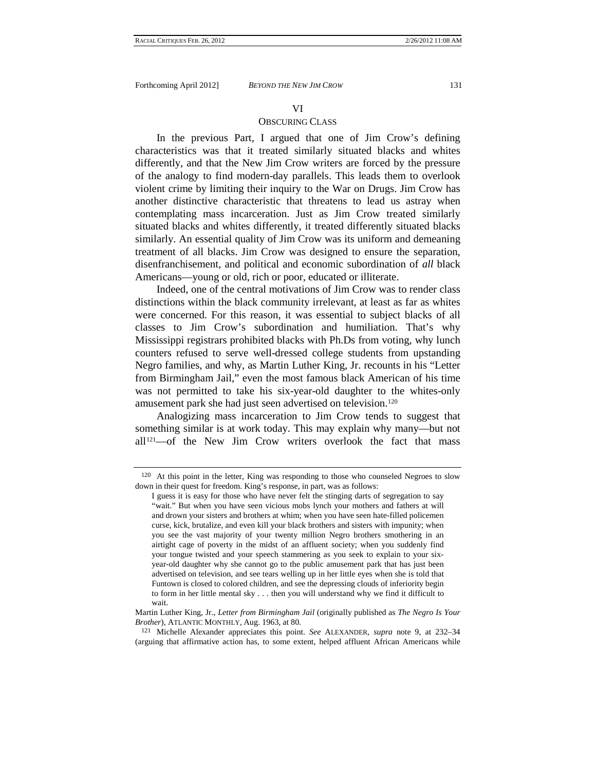## VI

#### OBSCURING CLASS

In the previous Part, I argued that one of Jim Crow's defining characteristics was that it treated similarly situated blacks and whites differently, and that the New Jim Crow writers are forced by the pressure of the analogy to find modern-day parallels. This leads them to overlook violent crime by limiting their inquiry to the War on Drugs. Jim Crow has another distinctive characteristic that threatens to lead us astray when contemplating mass incarceration. Just as Jim Crow treated similarly situated blacks and whites differently, it treated differently situated blacks similarly. An essential quality of Jim Crow was its uniform and demeaning treatment of all blacks. Jim Crow was designed to ensure the separation, disenfranchisement, and political and economic subordination of *all* black Americans—young or old, rich or poor, educated or illiterate.

Indeed, one of the central motivations of Jim Crow was to render class distinctions within the black community irrelevant, at least as far as whites were concerned. For this reason, it was essential to subject blacks of all classes to Jim Crow's subordination and humiliation. That's why Mississippi registrars prohibited blacks with Ph.Ds from voting, why lunch counters refused to serve well-dressed college students from upstanding Negro families, and why, as Martin Luther King, Jr. recounts in his "Letter from Birmingham Jail," even the most famous black American of his time was not permitted to take his six-year-old daughter to the whites-only amusement park she had just seen advertised on television.[120](#page-29-4)

<span id="page-30-1"></span>Analogizing mass incarceration to Jim Crow tends to suggest that something similar is at work today. This may explain why many—but not all<sup>121</sup> - of the New Jim Crow writers overlook the fact that mass

<sup>120</sup> At this point in the letter, King was responding to those who counseled Negroes to slow down in their quest for freedom. King's response, in part, was as follows:

I guess it is easy for those who have never felt the stinging darts of segregation to say "wait." But when you have seen vicious mobs lynch your mothers and fathers at will and drown your sisters and brothers at whim; when you have seen hate-filled policemen curse, kick, brutalize, and even kill your black brothers and sisters with impunity; when you see the vast majority of your twenty million Negro brothers smothering in an airtight cage of poverty in the midst of an affluent society; when you suddenly find your tongue twisted and your speech stammering as you seek to explain to your sixyear-old daughter why she cannot go to the public amusement park that has just been advertised on television, and see tears welling up in her little eyes when she is told that Funtown is closed to colored children, and see the depressing clouds of inferiority begin to form in her little mental sky . . . then you will understand why we find it difficult to wait.

Martin Luther King, Jr., *Letter from Birmingham Jail* (originally published as *The Negro Is Your Brother*), ATLANTIC MONTHLY, Aug. 1963, at 80.

<span id="page-30-0"></span><sup>121</sup> Michelle Alexander appreciates this point. *See* ALEXANDER, *supra* note 9, at 232–34 (arguing that affirmative action has, to some extent, helped affluent African Americans while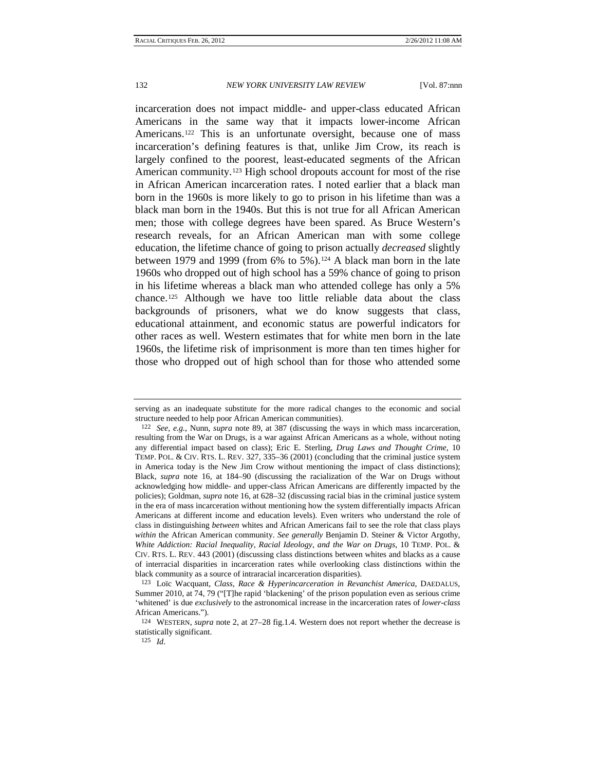incarceration does not impact middle- and upper-class educated African Americans in the same way that it impacts lower-income African Americans.<sup>[122](#page-30-1)</sup> This is an unfortunate oversight, because one of mass incarceration's defining features is that, unlike Jim Crow, its reach is largely confined to the poorest, least-educated segments of the African American community.[123](#page-31-0) High school dropouts account for most of the rise in African American incarceration rates. I noted earlier that a black man born in the 1960s is more likely to go to prison in his lifetime than was a black man born in the 1940s. But this is not true for all African American men; those with college degrees have been spared. As Bruce Western's research reveals, for an African American man with some college education, the lifetime chance of going to prison actually *decreased* slightly between 1979 and 1999 (from  $6\%$  to  $5\%$ ).<sup>[124](#page-31-1)</sup> A black man born in the late 1960s who dropped out of high school has a 59% chance of going to prison in his lifetime whereas a black man who attended college has only a 5% chance.[125](#page-31-2) Although we have too little reliable data about the class backgrounds of prisoners, what we do know suggests that class, educational attainment, and economic status are powerful indicators for other races as well. Western estimates that for white men born in the late 1960s, the lifetime risk of imprisonment is more than ten times higher for those who dropped out of high school than for those who attended some

serving as an inadequate substitute for the more radical changes to the economic and social structure needed to help poor African American communities).

<span id="page-31-3"></span><sup>122</sup> *See, e.g.*, Nunn, *supra* note 89, at 387 (discussing the ways in which mass incarceration, resulting from the War on Drugs, is a war against African Americans as a whole, without noting any differential impact based on class); Eric E. Sterling, *Drug Laws and Thought Crime*, 10 TEMP. POL. & CIV. RTS. L. REV. 327, 335–36 (2001) (concluding that the criminal justice system in America today is the New Jim Crow without mentioning the impact of class distinctions); Black, *supra* note 16, at 184–90 (discussing the racialization of the War on Drugs without acknowledging how middle- and upper-class African Americans are differently impacted by the policies); Goldman, *supra* note 16, at 628–32 (discussing racial bias in the criminal justice system in the era of mass incarceration without mentioning how the system differentially impacts African Americans at different income and education levels). Even writers who understand the role of class in distinguishing *between* whites and African Americans fail to see the role that class plays *within* the African American community. *See generally* Benjamin D. Steiner & Victor Argothy, *White Addiction: Racial Inequality, Racial Ideology, and the War on Drugs*, 10 TEMP. POL. & CIV. RTS. L. REV. 443 (2001) (discussing class distinctions between whites and blacks as a cause of interracial disparities in incarceration rates while overlooking class distinctions within the black community as a source of intraracial incarceration disparities).

<span id="page-31-0"></span><sup>123</sup> Loïc Wacquant, *Class, Race & Hyperincarceration in Revanchist America*, DAEDALUS, Summer 2010, at 74, 79 ("[T]he rapid 'blackening' of the prison population even as serious crime 'whitened' is due *exclusively* to the astronomical increase in the incarceration rates of *lower-class* African Americans.").

<span id="page-31-2"></span><span id="page-31-1"></span><sup>124</sup> WESTERN, *supra* note 2, at 27–28 fig.1.4. Western does not report whether the decrease is statistically significant.

<sup>125</sup> *Id*.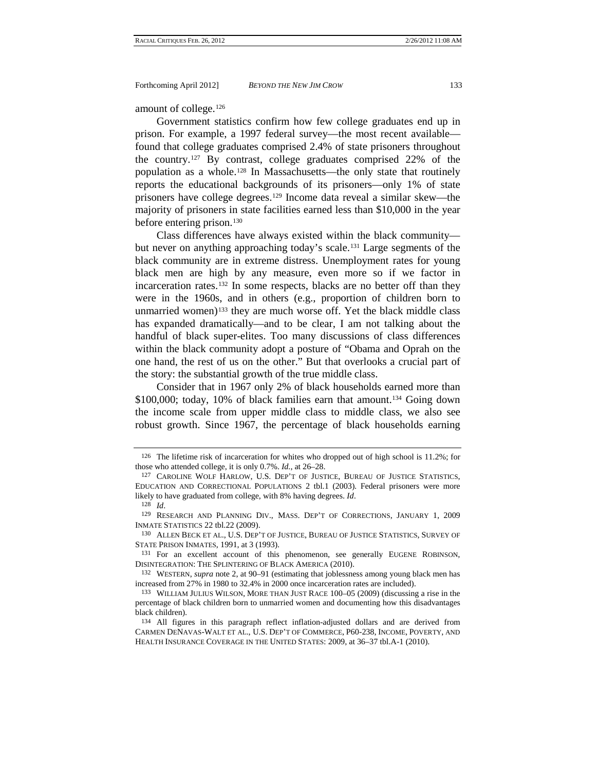amount of college.[126](#page-31-3)

Government statistics confirm how few college graduates end up in prison. For example, a 1997 federal survey—the most recent available found that college graduates comprised 2.4% of state prisoners throughout the country.[127](#page-32-0) By contrast, college graduates comprised 22% of the population as a whole[.128](#page-32-1) In Massachusetts—the only state that routinely reports the educational backgrounds of its prisoners—only 1% of state prisoners have college degrees.[129](#page-32-2) Income data reveal a similar skew—the majority of prisoners in state facilities earned less than \$10,000 in the year before entering prison.[130](#page-32-3)

Class differences have always existed within the black community but never on anything approaching today's scale.[131](#page-32-4) Large segments of the black community are in extreme distress. Unemployment rates for young black men are high by any measure, even more so if we factor in incarceration rates[.132](#page-32-5) In some respects, blacks are no better off than they were in the 1960s, and in others (e.g., proportion of children born to unmarried women)<sup>[133](#page-32-6)</sup> they are much worse off. Yet the black middle class has expanded dramatically—and to be clear, I am not talking about the handful of black super-elites. Too many discussions of class differences within the black community adopt a posture of "Obama and Oprah on the one hand, the rest of us on the other." But that overlooks a crucial part of the story: the substantial growth of the true middle class.

Consider that in 1967 only 2% of black households earned more than \$100,000; today, 10% of black families earn that amount.<sup>[134](#page-32-7)</sup> Going down the income scale from upper middle class to middle class, we also see robust growth. Since 1967, the percentage of black households earning

<sup>126</sup> The lifetime risk of incarceration for whites who dropped out of high school is 11.2%; for those who attended college, it is only 0.7%. *Id.*, at 26–28.

<span id="page-32-0"></span><sup>127</sup> CAROLINE WOLF HARLOW, U.S. DEP'T OF JUSTICE, BUREAU OF JUSTICE STATISTICS, EDUCATION AND CORRECTIONAL POPULATIONS 2 tbl.1 (2003). Federal prisoners were more likely to have graduated from college, with 8% having degrees. *Id*.

<sup>128</sup> *Id*.

<span id="page-32-2"></span><span id="page-32-1"></span><sup>129</sup> RESEARCH AND PLANNING DIV., MASS. DEP'T OF CORRECTIONS, JANUARY 1, 2009 INMATE STATISTICS 22 tbl.22 (2009).

<span id="page-32-8"></span><span id="page-32-3"></span><sup>130</sup> ALLEN BECK ET AL., U.S. DEP'T OF JUSTICE, BUREAU OF JUSTICE STATISTICS, SURVEY OF STATE PRISON INMATES, 1991, at 3 (1993).

<span id="page-32-4"></span><sup>131</sup> For an excellent account of this phenomenon, see generally EUGENE ROBINSON, DISINTEGRATION: THE SPLINTERING OF BLACK AMERICA (2010).

<span id="page-32-5"></span><sup>132</sup> WESTERN, *supra* note 2, at 90–91 (estimating that joblessness among young black men has increased from 27% in 1980 to 32.4% in 2000 once incarceration rates are included).

<span id="page-32-6"></span><sup>133</sup> WILLIAM JULIUS WILSON, MORE THAN JUST RACE 100–05 (2009) (discussing a rise in the percentage of black children born to unmarried women and documenting how this disadvantages black children).

<span id="page-32-7"></span><sup>134</sup> All figures in this paragraph reflect inflation-adjusted dollars and are derived from CARMEN DENAVAS-WALT ET AL., U.S. DEP'T OF COMMERCE, P60-238, INCOME, POVERTY, AND HEALTH INSURANCE COVERAGE IN THE UNITED STATES: 2009, at 36–37 tbl.A-1 (2010).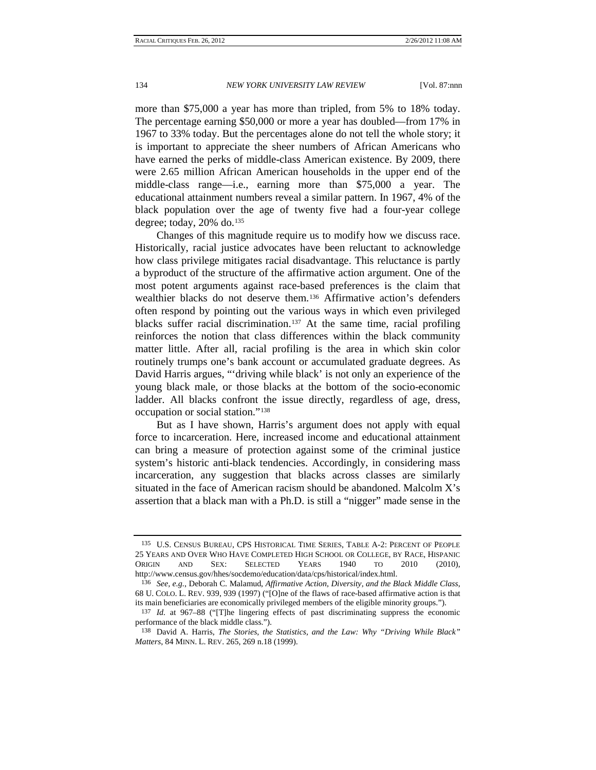more than \$75,000 a year has more than tripled, from 5% to 18% today. The percentage earning \$50,000 or more a year has doubled—from 17% in 1967 to 33% today. But the percentages alone do not tell the whole story; it is important to appreciate the sheer numbers of African Americans who have earned the perks of middle-class American existence. By 2009, there were 2.65 million African American households in the upper end of the middle-class range—i.e., earning more than \$75,000 a year. The educational attainment numbers reveal a similar pattern. In 1967, 4% of the black population over the age of twenty five had a four-year college degree; today, 20% do.[135](#page-32-8)

Changes of this magnitude require us to modify how we discuss race. Historically, racial justice advocates have been reluctant to acknowledge how class privilege mitigates racial disadvantage. This reluctance is partly a byproduct of the structure of the affirmative action argument. One of the most potent arguments against race-based preferences is the claim that wealthier blacks do not deserve them.[136](#page-33-0) Affirmative action's defenders often respond by pointing out the various ways in which even privileged blacks suffer racial discrimination.<sup>[137](#page-33-1)</sup> At the same time, racial profiling reinforces the notion that class differences within the black community matter little. After all, racial profiling is the area in which skin color routinely trumps one's bank account or accumulated graduate degrees. As David Harris argues, "'driving while black' is not only an experience of the young black male, or those blacks at the bottom of the socio-economic ladder. All blacks confront the issue directly, regardless of age, dress, occupation or social station."[138](#page-33-2)

<span id="page-33-3"></span>But as I have shown, Harris's argument does not apply with equal force to incarceration. Here, increased income and educational attainment can bring a measure of protection against some of the criminal justice system's historic anti-black tendencies. Accordingly, in considering mass incarceration, any suggestion that blacks across classes are similarly situated in the face of American racism should be abandoned. Malcolm X's assertion that a black man with a Ph.D. is still a "nigger" made sense in the

<sup>135</sup> U.S. CENSUS BUREAU, CPS HISTORICAL TIME SERIES, TABLE A-2: PERCENT OF PEOPLE 25 YEARS AND OVER WHO HAVE COMPLETED HIGH SCHOOL OR COLLEGE, BY RACE, HISPANIC ORIGIN AND SEX: SELECTED YEARS 1940 TO 2010 (2010), http://www.census.gov/hhes/socdemo/education/data/cps/historical/index.html.

<span id="page-33-0"></span><sup>136</sup> *See, e.g.*, Deborah C. Malamud, *Affirmative Action, Diversity, and the Black Middle Class*, 68 U. COLO. L. REV. 939, 939 (1997) ("[O]ne of the flaws of race-based affirmative action is that its main beneficiaries are economically privileged members of the eligible minority groups.").

<span id="page-33-1"></span><sup>137</sup> *Id.* at 967–88 ("[T]he lingering effects of past discriminating suppress the economic performance of the black middle class.").

<span id="page-33-2"></span><sup>138</sup> David A. Harris, *The Stories, the Statistics, and the Law: Why "Driving While Black" Matters*, 84 MINN. L. REV. 265, 269 n.18 (1999).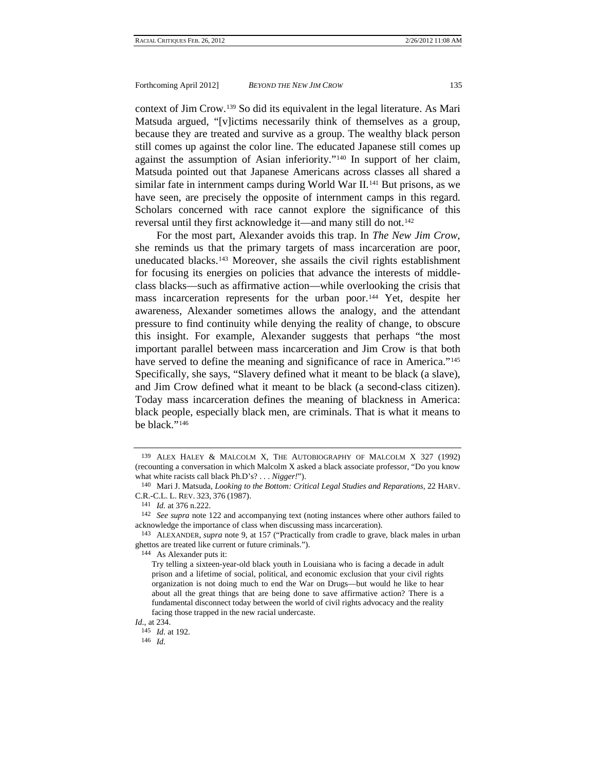context of Jim Crow.[139](#page-33-3) So did its equivalent in the legal literature. As Mari Matsuda argued, "[v]ictims necessarily think of themselves as a group, because they are treated and survive as a group. The wealthy black person still comes up against the color line. The educated Japanese still comes up against the assumption of Asian inferiority."[140](#page-34-0) In support of her claim, Matsuda pointed out that Japanese Americans across classes all shared a similar fate in internment camps during World War II.<sup>[141](#page-34-1)</sup> But prisons, as we have seen, are precisely the opposite of internment camps in this regard. Scholars concerned with race cannot explore the significance of this reversal until they first acknowledge it—and many still do not.[142](#page-34-2)

For the most part, Alexander avoids this trap. In *The New Jim Crow*, she reminds us that the primary targets of mass incarceration are poor, uneducated blacks.[143](#page-34-3) Moreover, she assails the civil rights establishment for focusing its energies on policies that advance the interests of middleclass blacks—such as affirmative action—while overlooking the crisis that mass incarceration represents for the urban poor.[144](#page-34-4) Yet, despite her awareness, Alexander sometimes allows the analogy, and the attendant pressure to find continuity while denying the reality of change, to obscure this insight. For example, Alexander suggests that perhaps "the most important parallel between mass incarceration and Jim Crow is that both have served to define the meaning and significance of race in America."<sup>[145](#page-34-5)</sup> Specifically, she says, "Slavery defined what it meant to be black (a slave), and Jim Crow defined what it meant to be black (a second-class citizen). Today mass incarceration defines the meaning of blackness in America: black people, especially black men, are criminals. That is what it means to be black."[146](#page-34-6)

<sup>139</sup> ALEX HALEY & MALCOLM X, THE AUTOBIOGRAPHY OF MALCOLM X 327 (1992) (recounting a conversation in which Malcolm X asked a black associate professor, "Do you know what white racists call black Ph.D's? . . . *Nigger!*").

<span id="page-34-7"></span><span id="page-34-0"></span><sup>140</sup> Mari J. Matsuda, *Looking to the Bottom: Critical Legal Studies and Reparations*, 22 HARV. C.R.-C.L. L. REV. 323, 376 (1987).

<sup>141</sup> *Id.* at 376 n.222.

<span id="page-34-2"></span><span id="page-34-1"></span><sup>142</sup> *See supra* note 122 and accompanying text (noting instances where other authors failed to acknowledge the importance of class when discussing mass incarceration).

<span id="page-34-4"></span><span id="page-34-3"></span><sup>143</sup> ALEXANDER*, supra* note 9, at 157 ("Practically from cradle to grave, black males in urban ghettos are treated like current or future criminals.").

<sup>144</sup> As Alexander puts it:

Try telling a sixteen-year-old black youth in Louisiana who is facing a decade in adult prison and a lifetime of social, political, and economic exclusion that your civil rights organization is not doing much to end the War on Drugs—but would he like to hear about all the great things that are being done to save affirmative action? There is a fundamental disconnect today between the world of civil rights advocacy and the reality facing those trapped in the new racial undercaste.

<span id="page-34-6"></span><span id="page-34-5"></span>*Id.*, at 234.

<sup>145</sup> *Id.* at 192.

<sup>146</sup> *Id.*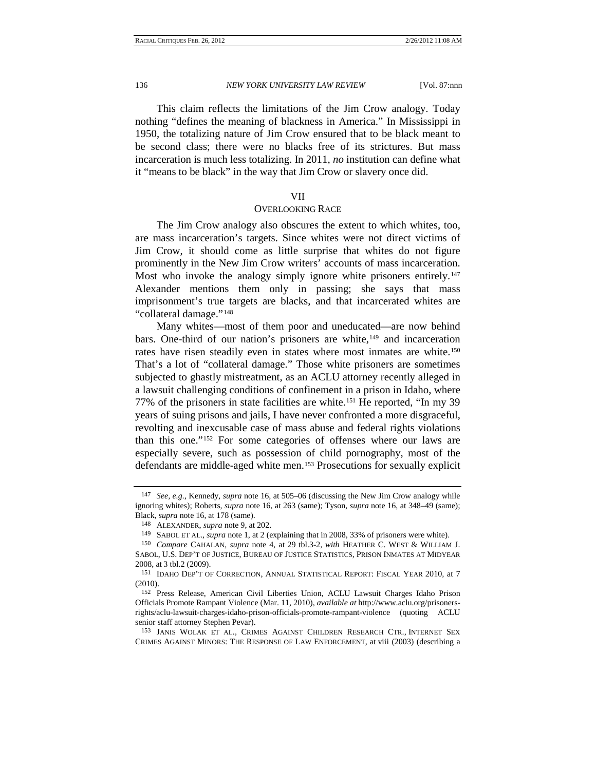This claim reflects the limitations of the Jim Crow analogy. Today nothing "defines the meaning of blackness in America." In Mississippi in 1950, the totalizing nature of Jim Crow ensured that to be black meant to be second class; there were no blacks free of its strictures. But mass incarceration is much less totalizing. In 2011, *no* institution can define what it "means to be black" in the way that Jim Crow or slavery once did.

## VII

# OVERLOOKING RACE

The Jim Crow analogy also obscures the extent to which whites, too, are mass incarceration's targets. Since whites were not direct victims of Jim Crow, it should come as little surprise that whites do not figure prominently in the New Jim Crow writers' accounts of mass incarceration. Most who invoke the analogy simply ignore white prisoners entirely.<sup>[147](#page-34-7)</sup> Alexander mentions them only in passing; she says that mass imprisonment's true targets are blacks, and that incarcerated whites are "collateral damage."[148](#page-35-0)

<span id="page-35-6"></span>Many whites—most of them poor and uneducated—are now behind bars. One-third of our nation's prisoners are white,<sup>[149](#page-35-1)</sup> and incarceration rates have risen steadily even in states where most inmates are white.[150](#page-35-2) That's a lot of "collateral damage." Those white prisoners are sometimes subjected to ghastly mistreatment, as an ACLU attorney recently alleged in a lawsuit challenging conditions of confinement in a prison in Idaho, where 77% of the prisoners in state facilities are white.[151](#page-35-3) He reported, "In my 39 years of suing prisons and jails, I have never confronted a more disgraceful, revolting and inexcusable case of mass abuse and federal rights violations than this one."[152](#page-35-4) For some categories of offenses where our laws are especially severe, such as possession of child pornography, most of the defendants are middle-aged white men.[153](#page-35-5) Prosecutions for sexually explicit

<sup>147</sup> *See, e.g.*, Kennedy, *supra* note 16, at 505–06 (discussing the New Jim Crow analogy while ignoring whites); Roberts, *supra* note 16, at 263 (same); Tyson, *supra* note 16, at 348–49 (same); Black, *supra* note 16, at 178 (same).

<sup>148</sup> ALEXANDER, *supra* note 9, at 202.

<sup>149</sup> SABOL ET AL., *supra* note 1, at 2 (explaining that in 2008, 33% of prisoners were white).

<span id="page-35-2"></span><span id="page-35-1"></span><span id="page-35-0"></span><sup>150</sup> *Compare* CAHALAN, *supra* note 4, at 29 tbl.3-2, *with* HEATHER C. WEST & WILLIAM J. SABOL, U.S. DEP'T OF JUSTICE, BUREAU OF JUSTICE STATISTICS, PRISON INMATES AT MIDYEAR 2008, at 3 tbl.2 (2009).

<span id="page-35-3"></span><sup>151</sup> IDAHO DEP'T OF CORRECTION, ANNUAL STATISTICAL REPORT: FISCAL YEAR 2010, at 7 (2010).

<span id="page-35-4"></span><sup>152</sup> Press Release, American Civil Liberties Union, ACLU Lawsuit Charges Idaho Prison Officials Promote Rampant Violence (Mar. 11, 2010), *available at* http://www.aclu.org/prisonersrights/aclu-lawsuit-charges-idaho-prison-officials-promote-rampant-violence (quoting ACLU senior staff attorney Stephen Pevar).

<span id="page-35-5"></span><sup>153</sup> JANIS WOLAK ET AL., CRIMES AGAINST CHILDREN RESEARCH CTR., INTERNET SEX CRIMES AGAINST MINORS: THE RESPONSE OF LAW ENFORCEMENT, at viii (2003) (describing a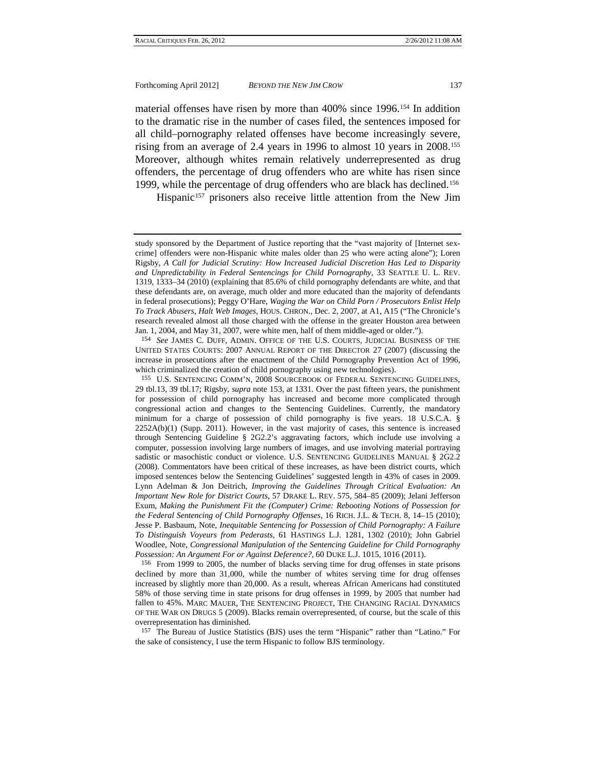material offenses have risen by more than 400% since 1996.[154](#page-35-6) In addition to the dramatic rise in the number of cases filed, the sentences imposed for all child–pornography related offenses have become increasingly severe, rising from an average of 2.4 years in 1996 to almost 10 years in 2008.[155](#page-36-0) Moreover, although whites remain relatively underrepresented as drug offenders, the percentage of drug offenders who are white has risen since 1999, while the percentage of drug offenders who are black has declined.[156](#page-36-1)

Hispanic<sup>[157](#page-36-2)</sup> prisoners also receive little attention from the New Jim

154 *See* JAMES C. DUFF, ADMIN. OFFICE OF THE U.S. COURTS, JUDICIAL BUSINESS OF THE UNITED STATES COURTS: 2007 ANNUAL REPORT OF THE DIRECTOR 27 (2007) (discussing the increase in prosecutions after the enactment of the Child Pornography Prevention Act of 1996, which criminalized the creation of child pornography using new technologies).

<span id="page-36-1"></span>156 From 1999 to 2005, the number of blacks serving time for drug offenses in state prisons declined by more than 31,000, while the number of whites serving time for drug offenses increased by slightly more than 20,000. As a result, whereas African Americans had constituted 58% of those serving time in state prisons for drug offenses in 1999, by 2005 that number had fallen to 45%. MARC MAUER, THE SENTENCING PROJECT, THE CHANGING RACIAL DYNAMICS OF THE WAR ON DRUGS 5 (2009). Blacks remain overrepresented, of course, but the scale of this overrepresentation has diminished.

<span id="page-36-2"></span>157 The Bureau of Justice Statistics (BJS) uses the term "Hispanic" rather than "Latino." For the sake of consistency, I use the term Hispanic to follow BJS terminology.

study sponsored by the Department of Justice reporting that the "vast majority of [Internet sexcrime] offenders were non-Hispanic white males older than 25 who were acting alone"); Loren Rigsby, *A Call for Judicial Scrutiny: How Increased Judicial Discretion Has Led to Disparity and Unpredictability in Federal Sentencings for Child Pornography*, 33 SEATTLE U. L. REV. 1319, 1333–34 (2010) (explaining that 85.6% of child pornography defendants are white, and that these defendants are, on average, much older and more educated than the majority of defendants in federal prosecutions); Peggy O'Hare, *Waging the War on Child Porn / Prosecutors Enlist Help To Track Abusers, Halt Web Images*, HOUS. CHRON., Dec. 2, 2007, at A1, A15 ("The Chronicle's research revealed almost all those charged with the offense in the greater Houston area between Jan. 1, 2004, and May 31, 2007, were white men, half of them middle-aged or older.").

<span id="page-36-3"></span><span id="page-36-0"></span><sup>155</sup> U.S. SENTENCING COMM'N, 2008 SOURCEBOOK OF FEDERAL SENTENCING GUIDELINES, 29 tbl.13, 39 tbl.17; Rigsby, *supra* note 153, at 1331. Over the past fifteen years, the punishment for possession of child pornography has increased and become more complicated through congressional action and changes to the Sentencing Guidelines. Currently, the mandatory minimum for a charge of possession of child pornography is five years. 18 U.S.C.A. § 2252A(b)(1) (Supp. 2011). However, in the vast majority of cases, this sentence is increased through Sentencing Guideline § 2G2.2's aggravating factors, which include use involving a computer, possession involving large numbers of images, and use involving material portraying sadistic or masochistic conduct or violence. U.S. SENTENCING GUIDELINES MANUAL § 2G2.2 (2008). Commentators have been critical of these increases, as have been district courts, which imposed sentences below the Sentencing Guidelines' suggested length in 43% of cases in 2009. Lynn Adelman & Jon Deitrich, *Improving the Guidelines Through Critical Evaluation: An Important New Role for District Courts*, 57 DRAKE L. REV. 575, 584–85 (2009); Jelani Jefferson Exum, *Making the Punishment Fit the (Computer) Crime: Rebooting Notions of Possession for the Federal Sentencing of Child Pornography Offenses*, 16 RICH. J.L. & TECH. 8, 14–15 (2010); Jesse P. Basbaum, Note, *Inequitable Sentencing for Possession of Child Pornography: A Failure To Distinguish Voyeurs from Pederasts*, 61 HASTINGS L.J. 1281, 1302 (2010); John Gabriel Woodlee, Note, *Congressional Manipulation of the Sentencing Guideline for Child Pornography Possession: An Argument For or Against Deference?*, 60 DUKE L.J. 1015, 1016 (2011).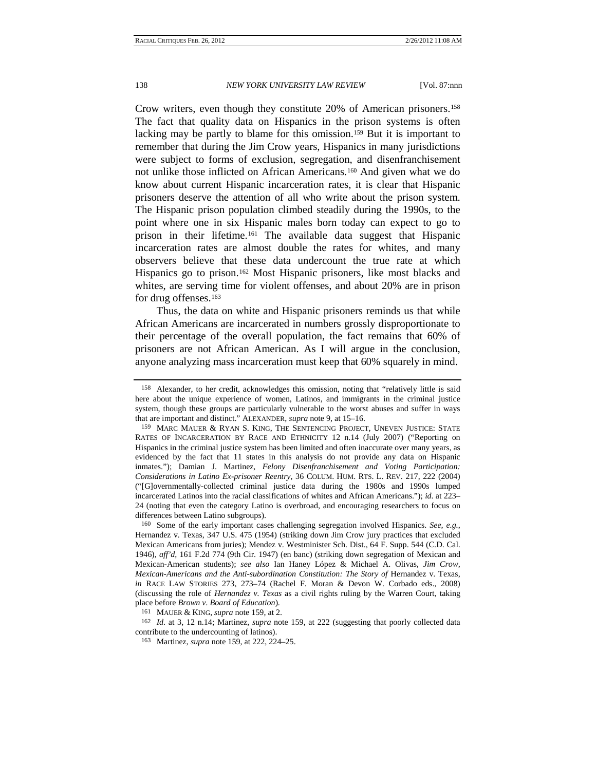Crow writers, even though they constitute 20% of American prisoners.[158](#page-36-3) The fact that quality data on Hispanics in the prison systems is often lacking may be partly to blame for this omission.<sup>[159](#page-37-0)</sup> But it is important to remember that during the Jim Crow years, Hispanics in many jurisdictions were subject to forms of exclusion, segregation, and disenfranchisement not unlike those inflicted on African Americans.[160](#page-37-1) And given what we do know about current Hispanic incarceration rates, it is clear that Hispanic prisoners deserve the attention of all who write about the prison system. The Hispanic prison population climbed steadily during the 1990s, to the point where one in six Hispanic males born today can expect to go to prison in their lifetime.[161](#page-37-2) The available data suggest that Hispanic incarceration rates are almost double the rates for whites, and many observers believe that these data undercount the true rate at which Hispanics go to prison.<sup>[162](#page-37-3)</sup> Most Hispanic prisoners, like most blacks and whites, are serving time for violent offenses, and about 20% are in prison for drug offenses.[163](#page-37-4)

Thus, the data on white and Hispanic prisoners reminds us that while African Americans are incarcerated in numbers grossly disproportionate to their percentage of the overall population, the fact remains that 60% of prisoners are not African American. As I will argue in the conclusion, anyone analyzing mass incarceration must keep that 60% squarely in mind.

<sup>158</sup> Alexander, to her credit, acknowledges this omission, noting that "relatively little is said here about the unique experience of women, Latinos, and immigrants in the criminal justice system, though these groups are particularly vulnerable to the worst abuses and suffer in ways that are important and distinct." ALEXANDER, *supra* note 9, at 15–16.

<span id="page-37-0"></span><sup>159</sup> MARC MAUER & RYAN S. KING, THE SENTENCING PROJECT, UNEVEN JUSTICE: STATE RATES OF INCARCERATION BY RACE AND ETHNICITY 12 n.14 (July 2007) ("Reporting on Hispanics in the criminal justice system has been limited and often inaccurate over many years, as evidenced by the fact that 11 states in this analysis do not provide any data on Hispanic inmates."); Damian J. Martinez, *Felony Disenfranchisement and Voting Participation: Considerations in Latino Ex-prisoner Reentry*, 36 COLUM. HUM. RTS. L. REV. 217, 222 (2004) ("[G]overnmentally-collected criminal justice data during the 1980s and 1990s lumped incarcerated Latinos into the racial classifications of whites and African Americans."); *id.* at 223– 24 (noting that even the category Latino is overbroad, and encouraging researchers to focus on differences between Latino subgroups).

<span id="page-37-5"></span><span id="page-37-1"></span><sup>160</sup> Some of the early important cases challenging segregation involved Hispanics. *See, e.g.*, Hernandez v. Texas, 347 U.S. 475 (1954) (striking down Jim Crow jury practices that excluded Mexican Americans from juries); Mendez v. Westminister Sch. Dist., 64 F. Supp. 544 (C.D. Cal. 1946), *aff'd*, 161 F.2d 774 (9th Cir. 1947) (en banc) (striking down segregation of Mexican and Mexican-American students); *see also* Ian Haney López & Michael A. Olivas, *Jim Crow, Mexican-Americans and the Anti-subordination Constitution: The Story of Hernandez v. Texas, in* RACE LAW STORIES 273, 273–74 (Rachel F. Moran & Devon W. Corbado eds., 2008) (discussing the role of *Hernandez v. Texas* as a civil rights ruling by the Warren Court, taking place before *Brown v. Board of Education*).

<sup>161</sup> MAUER & KING, *supra* note 159, at 2.

<span id="page-37-4"></span><span id="page-37-3"></span><span id="page-37-2"></span><sup>162</sup> *Id.* at 3, 12 n.14; Martinez, *supra* note 159, at 222 (suggesting that poorly collected data contribute to the undercounting of latinos).

<sup>163</sup> Martinez, *supra* note 159, at 222, 224–25.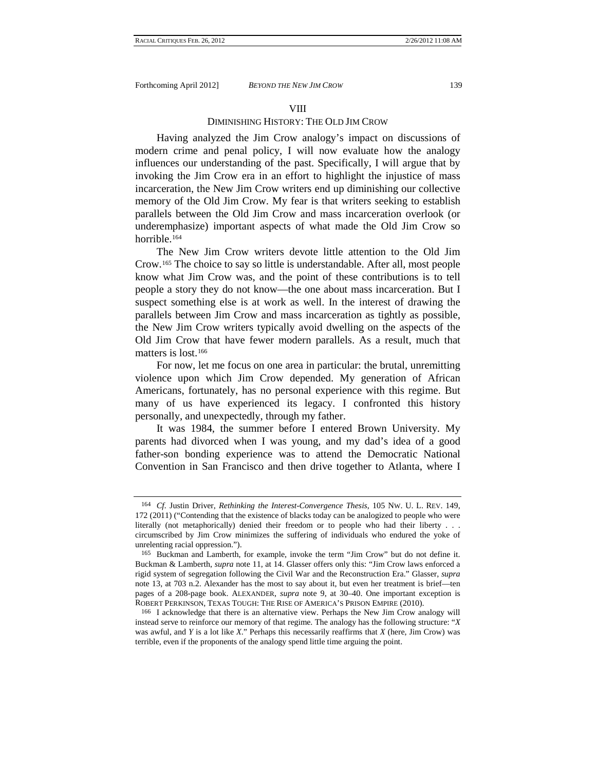### VIII

### DIMINISHING HISTORY: THE OLD JIM CROW

Having analyzed the Jim Crow analogy's impact on discussions of modern crime and penal policy, I will now evaluate how the analogy influences our understanding of the past. Specifically, I will argue that by invoking the Jim Crow era in an effort to highlight the injustice of mass incarceration, the New Jim Crow writers end up diminishing our collective memory of the Old Jim Crow. My fear is that writers seeking to establish parallels between the Old Jim Crow and mass incarceration overlook (or underemphasize) important aspects of what made the Old Jim Crow so horrible.[164](#page-37-5)

The New Jim Crow writers devote little attention to the Old Jim Crow.[165](#page-38-0) The choice to say so little is understandable. After all, most people know what Jim Crow was, and the point of these contributions is to tell people a story they do not know—the one about mass incarceration. But I suspect something else is at work as well. In the interest of drawing the parallels between Jim Crow and mass incarceration as tightly as possible, the New Jim Crow writers typically avoid dwelling on the aspects of the Old Jim Crow that have fewer modern parallels. As a result, much that matters is lost.[166](#page-38-1)

For now, let me focus on one area in particular: the brutal, unremitting violence upon which Jim Crow depended. My generation of African Americans, fortunately, has no personal experience with this regime. But many of us have experienced its legacy. I confronted this history personally, and unexpectedly, through my father.

It was 1984, the summer before I entered Brown University. My parents had divorced when I was young, and my dad's idea of a good father-son bonding experience was to attend the Democratic National Convention in San Francisco and then drive together to Atlanta, where I

<sup>164</sup> *Cf.* Justin Driver, *Rethinking the Interest-Convergence Thesis*, 105 NW. U. L. REV. 149, 172 (2011) ("Contending that the existence of blacks today can be analogized to people who were literally (not metaphorically) denied their freedom or to people who had their liberty . . . circumscribed by Jim Crow minimizes the suffering of individuals who endured the yoke of unrelenting racial oppression.").

<span id="page-38-2"></span><span id="page-38-0"></span><sup>165</sup> Buckman and Lamberth, for example, invoke the term "Jim Crow" but do not define it. Buckman & Lamberth, *supra* note 11, at 14. Glasser offers only this: "Jim Crow laws enforced a rigid system of segregation following the Civil War and the Reconstruction Era." Glasser, *supra*  note 13, at 703 n.2. Alexander has the most to say about it, but even her treatment is brief—ten pages of a 208-page book. ALEXANDER, *supra* note 9, at 30–40. One important exception is ROBERT PERKINSON, TEXAS TOUGH: THE RISE OF AMERICA'S PRISON EMPIRE (2010).

<span id="page-38-1"></span><sup>166</sup> I acknowledge that there is an alternative view. Perhaps the New Jim Crow analogy will instead serve to reinforce our memory of that regime. The analogy has the following structure: "*X* was awful, and *Y* is a lot like *X*." Perhaps this necessarily reaffirms that *X* (here, Jim Crow) was terrible, even if the proponents of the analogy spend little time arguing the point.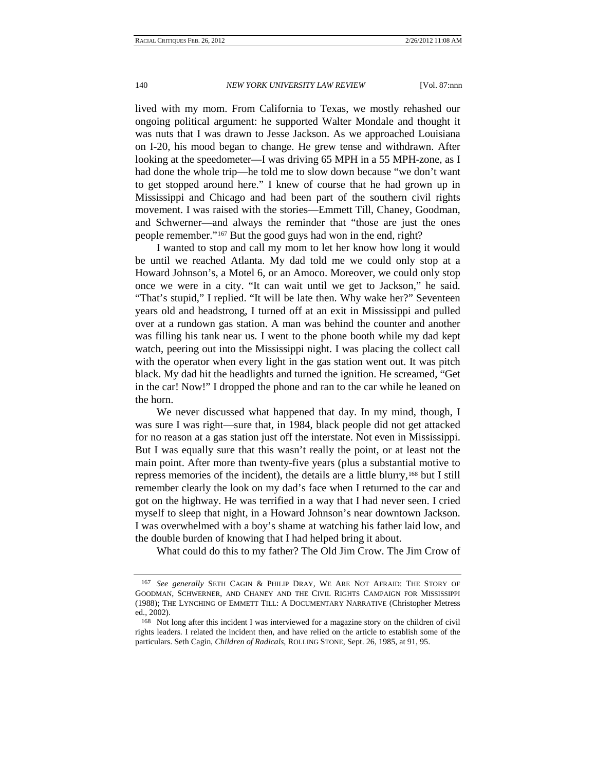lived with my mom. From California to Texas, we mostly rehashed our ongoing political argument: he supported Walter Mondale and thought it was nuts that I was drawn to Jesse Jackson. As we approached Louisiana on I-20, his mood began to change. He grew tense and withdrawn. After looking at the speedometer—I was driving 65 MPH in a 55 MPH-zone, as I had done the whole trip—he told me to slow down because "we don't want to get stopped around here." I knew of course that he had grown up in Mississippi and Chicago and had been part of the southern civil rights movement. I was raised with the stories—Emmett Till, Chaney, Goodman, and Schwerner—and always the reminder that "those are just the ones people remember."[167](#page-38-2) But the good guys had won in the end, right?

I wanted to stop and call my mom to let her know how long it would be until we reached Atlanta. My dad told me we could only stop at a Howard Johnson's, a Motel 6, or an Amoco. Moreover, we could only stop once we were in a city. "It can wait until we get to Jackson," he said. "That's stupid," I replied. "It will be late then. Why wake her?" Seventeen years old and headstrong, I turned off at an exit in Mississippi and pulled over at a rundown gas station. A man was behind the counter and another was filling his tank near us. I went to the phone booth while my dad kept watch, peering out into the Mississippi night. I was placing the collect call with the operator when every light in the gas station went out. It was pitch black. My dad hit the headlights and turned the ignition. He screamed, "Get in the car! Now!" I dropped the phone and ran to the car while he leaned on the horn.

We never discussed what happened that day. In my mind, though, I was sure I was right—sure that, in 1984, black people did not get attacked for no reason at a gas station just off the interstate. Not even in Mississippi. But I was equally sure that this wasn't really the point, or at least not the main point. After more than twenty-five years (plus a substantial motive to repress memories of the incident), the details are a little blurry,<sup>[168](#page-39-0)</sup> but I still remember clearly the look on my dad's face when I returned to the car and got on the highway. He was terrified in a way that I had never seen. I cried myself to sleep that night, in a Howard Johnson's near downtown Jackson. I was overwhelmed with a boy's shame at watching his father laid low, and the double burden of knowing that I had helped bring it about.

What could do this to my father? The Old Jim Crow. The Jim Crow of

<span id="page-39-1"></span><sup>167</sup> *See generally* SETH CAGIN & PHILIP DRAY, WE ARE NOT AFRAID: THE STORY OF GOODMAN, SCHWERNER, AND CHANEY AND THE CIVIL RIGHTS CAMPAIGN FOR MISSISSIPPI (1988); THE LYNCHING OF EMMETT TILL: A DOCUMENTARY NARRATIVE (Christopher Metress ed., 2002).

<span id="page-39-0"></span><sup>168</sup> Not long after this incident I was interviewed for a magazine story on the children of civil rights leaders. I related the incident then, and have relied on the article to establish some of the particulars. Seth Cagin, *Children of Radicals*, ROLLING STONE, Sept. 26, 1985, at 91, 95.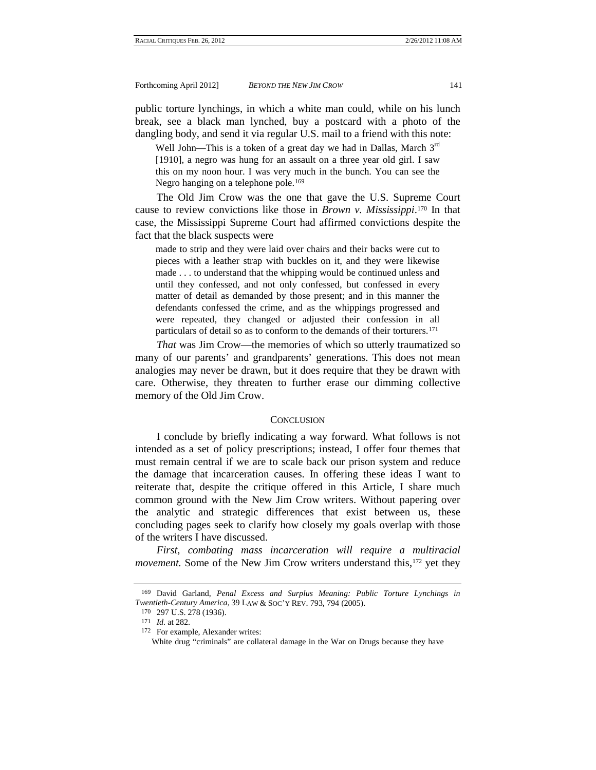public torture lynchings, in which a white man could, while on his lunch break, see a black man lynched, buy a postcard with a photo of the dangling body, and send it via regular U.S. mail to a friend with this note:

Well John—This is a token of a great day we had in Dallas, March 3<sup>rd</sup> [1910], a negro was hung for an assault on a three year old girl. I saw this on my noon hour. I was very much in the bunch. You can see the Negro hanging on a telephone pole.<sup>[169](#page-39-1)</sup>

The Old Jim Crow was the one that gave the U.S. Supreme Court cause to review convictions like those in *Brown v. Mississippi*.[170](#page-40-0) In that case, the Mississippi Supreme Court had affirmed convictions despite the fact that the black suspects were

made to strip and they were laid over chairs and their backs were cut to pieces with a leather strap with buckles on it, and they were likewise made . . . to understand that the whipping would be continued unless and until they confessed, and not only confessed, but confessed in every matter of detail as demanded by those present; and in this manner the defendants confessed the crime, and as the whippings progressed and were repeated, they changed or adjusted their confession in all particulars of detail so as to conform to the demands of their torturers.[171](#page-40-1)

*That* was Jim Crow—the memories of which so utterly traumatized so many of our parents' and grandparents' generations. This does not mean analogies may never be drawn, but it does require that they be drawn with care. Otherwise, they threaten to further erase our dimming collective memory of the Old Jim Crow.

#### **CONCLUSION**

<span id="page-40-3"></span>I conclude by briefly indicating a way forward. What follows is not intended as a set of policy prescriptions; instead, I offer four themes that must remain central if we are to scale back our prison system and reduce the damage that incarceration causes. In offering these ideas I want to reiterate that, despite the critique offered in this Article, I share much common ground with the New Jim Crow writers. Without papering over the analytic and strategic differences that exist between us, these concluding pages seek to clarify how closely my goals overlap with those of the writers I have discussed.

*First, combating mass incarceration will require a multiracial movement.* Some of the New Jim Crow writers understand this,<sup>[172](#page-40-2)</sup> yet they

<span id="page-40-2"></span><span id="page-40-1"></span><span id="page-40-0"></span><sup>169</sup> David Garland, *Penal Excess and Surplus Meaning: Public Torture Lynchings in Twentieth-Century America*, 39 LAW & SOC'Y REV. 793, 794 (2005).

<sup>170</sup> 297 U.S. 278 (1936).

<sup>171</sup> *Id.* at 282.

<sup>172</sup> For example, Alexander writes:

White drug "criminals" are collateral damage in the War on Drugs because they have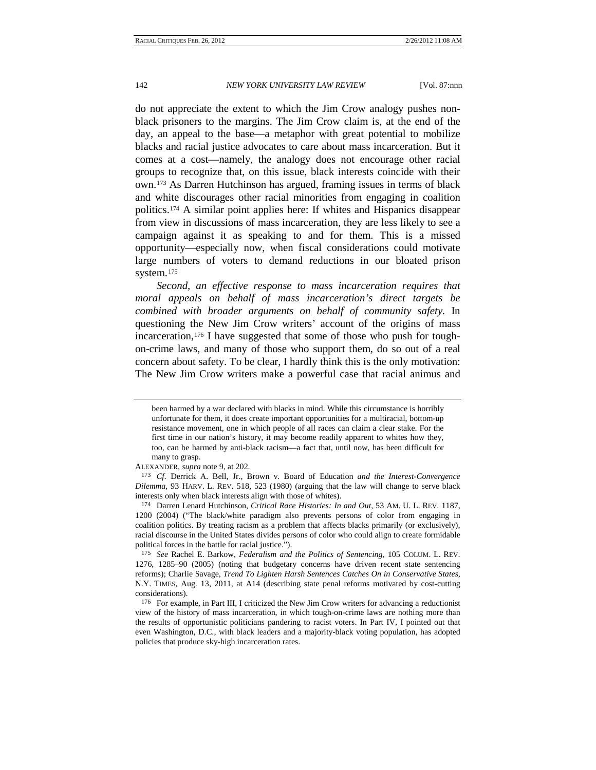do not appreciate the extent to which the Jim Crow analogy pushes nonblack prisoners to the margins. The Jim Crow claim is, at the end of the day, an appeal to the base—a metaphor with great potential to mobilize blacks and racial justice advocates to care about mass incarceration. But it comes at a cost—namely, the analogy does not encourage other racial groups to recognize that, on this issue, black interests coincide with their own.[173](#page-40-3) As Darren Hutchinson has argued, framing issues in terms of black and white discourages other racial minorities from engaging in coalition politics.[174](#page-41-0) A similar point applies here: If whites and Hispanics disappear from view in discussions of mass incarceration, they are less likely to see a campaign against it as speaking to and for them. This is a missed opportunity—especially now, when fiscal considerations could motivate large numbers of voters to demand reductions in our bloated prison system.<sup>[175](#page-41-1)</sup>

*Second, an effective response to mass incarceration requires that moral appeals on behalf of mass incarceration's direct targets be combined with broader arguments on behalf of community safety.* In questioning the New Jim Crow writers' account of the origins of mass incarceration,[176](#page-41-2) I have suggested that some of those who push for toughon-crime laws, and many of those who support them, do so out of a real concern about safety. To be clear, I hardly think this is the only motivation: The New Jim Crow writers make a powerful case that racial animus and

been harmed by a war declared with blacks in mind. While this circumstance is horribly unfortunate for them, it does create important opportunities for a multiracial, bottom-up resistance movement, one in which people of all races can claim a clear stake. For the first time in our nation's history, it may become readily apparent to whites how they, too, can be harmed by anti-black racism—a fact that, until now, has been difficult for many to grasp.

<span id="page-41-3"></span>ALEXANDER, *supra* note 9, at 202.

<sup>173</sup> *Cf.* Derrick A. Bell, Jr., Brown v. Board of Education *and the Interest-Convergence Dilemma*, 93 HARV. L. REV. 518, 523 (1980) (arguing that the law will change to serve black interests only when black interests align with those of whites).

<span id="page-41-0"></span><sup>174</sup> Darren Lenard Hutchinson, *Critical Race Histories: In and Out*, 53 AM. U. L. REV. 1187, 1200 (2004) ("The black/white paradigm also prevents persons of color from engaging in coalition politics. By treating racism as a problem that affects blacks primarily (or exclusively), racial discourse in the United States divides persons of color who could align to create formidable political forces in the battle for racial justice.").

<span id="page-41-1"></span><sup>175</sup> *See* Rachel E. Barkow, *Federalism and the Politics of Sentencing*, 105 COLUM. L. REV. 1276, 1285–90 (2005) (noting that budgetary concerns have driven recent state sentencing reforms); Charlie Savage, *Trend To Lighten Harsh Sentences Catches On in Conservative States*, N.Y. TIMES, Aug. 13, 2011, at A14 (describing state penal reforms motivated by cost-cutting considerations).

<span id="page-41-2"></span><sup>176</sup> For example, in Part III, I criticized the New Jim Crow writers for advancing a reductionist view of the history of mass incarceration, in which tough-on-crime laws are nothing more than the results of opportunistic politicians pandering to racist voters. In Part IV, I pointed out that even Washington, D.C., with black leaders and a majority-black voting population, has adopted policies that produce sky-high incarceration rates.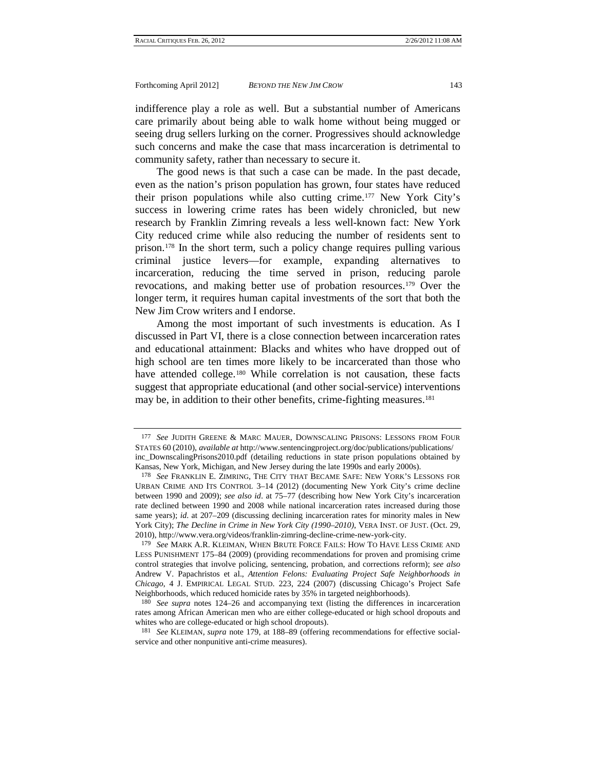indifference play a role as well. But a substantial number of Americans care primarily about being able to walk home without being mugged or seeing drug sellers lurking on the corner. Progressives should acknowledge such concerns and make the case that mass incarceration is detrimental to community safety, rather than necessary to secure it.

The good news is that such a case can be made. In the past decade, even as the nation's prison population has grown, four states have reduced their prison populations while also cutting crime.[177](#page-41-3) New York City's success in lowering crime rates has been widely chronicled, but new research by Franklin Zimring reveals a less well-known fact: New York City reduced crime while also reducing the number of residents sent to prison.[178](#page-42-0) In the short term, such a policy change requires pulling various criminal justice levers—for example, expanding alternatives to incarceration, reducing the time served in prison, reducing parole revocations, and making better use of probation resources.[179](#page-42-1) Over the longer term, it requires human capital investments of the sort that both the New Jim Crow writers and I endorse.

Among the most important of such investments is education. As I discussed in Part VI, there is a close connection between incarceration rates and educational attainment: Blacks and whites who have dropped out of high school are ten times more likely to be incarcerated than those who have attended college.<sup>[180](#page-42-2)</sup> While correlation is not causation, these facts suggest that appropriate educational (and other social-service) interventions may be, in addition to their other benefits, crime-fighting measures.<sup>[181](#page-42-3)</sup>

<sup>177</sup> *See* JUDITH GREENE & MARC MAUER, DOWNSCALING PRISONS: LESSONS FROM FOUR STATES 60 (2010), *available at* http://www.sentencingproject.org/doc/publications/publications/ inc\_DownscalingPrisons2010.pdf (detailing reductions in state prison populations obtained by Kansas, New York, Michigan, and New Jersey during the late 1990s and early 2000s).

<span id="page-42-0"></span><sup>178</sup> *See* FRANKLIN E. ZIMRING, THE CITY THAT BECAME SAFE: NEW YORK'S LESSONS FOR URBAN CRIME AND ITS CONTROL 3–14 (2012) (documenting New York City's crime decline between 1990 and 2009); *see also id*. at 75–77 (describing how New York City's incarceration rate declined between 1990 and 2008 while national incarceration rates increased during those same years); *id*. at 207–209 (discussing declining incarceration rates for minority males in New York City); *The Decline in Crime in New York City (1990–2010)*, VERA INST. OF JUST. (Oct. 29, 2010), http://www.vera.org/videos/franklin-zimring-decline-crime-new-york-city.

<span id="page-42-1"></span><sup>179</sup> *See* MARK A.R. KLEIMAN, WHEN BRUTE FORCE FAILS: HOW TO HAVE LESS CRIME AND LESS PUNISHMENT 175–84 (2009) (providing recommendations for proven and promising crime control strategies that involve policing, sentencing, probation, and corrections reform); *see also*  Andrew V. Papachristos et al., *Attention Felons: Evaluating Project Safe Neighborhoods in Chicago*, 4 J. EMPIRICAL LEGAL STUD. 223, 224 (2007) (discussing Chicago's Project Safe Neighborhoods, which reduced homicide rates by 35% in targeted neighborhoods).

<span id="page-42-2"></span><sup>180</sup> *See supra* notes 124–26 and accompanying text (listing the differences in incarceration rates among African American men who are either college-educated or high school dropouts and whites who are college-educated or high school dropouts).

<span id="page-42-3"></span><sup>181</sup> *See* KLEIMAN, *supra* note 179, at 188–89 (offering recommendations for effective socialservice and other nonpunitive anti-crime measures).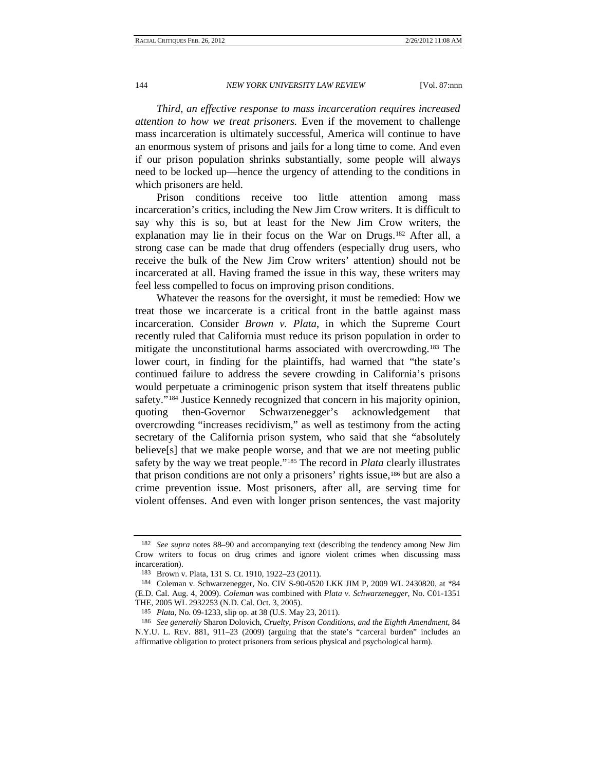*Third, an effective response to mass incarceration requires increased attention to how we treat prisoners.* Even if the movement to challenge mass incarceration is ultimately successful, America will continue to have an enormous system of prisons and jails for a long time to come. And even if our prison population shrinks substantially, some people will always need to be locked up—hence the urgency of attending to the conditions in which prisoners are held.

Prison conditions receive too little attention among mass incarceration's critics, including the New Jim Crow writers. It is difficult to say why this is so, but at least for the New Jim Crow writers, the explanation may lie in their focus on the War on Drugs.<sup>[182](#page-42-1)</sup> After all, a strong case can be made that drug offenders (especially drug users, who receive the bulk of the New Jim Crow writers' attention) should not be incarcerated at all. Having framed the issue in this way, these writers may feel less compelled to focus on improving prison conditions.

Whatever the reasons for the oversight, it must be remedied: How we treat those we incarcerate is a critical front in the battle against mass incarceration. Consider *Brown v. Plata*, in which the Supreme Court recently ruled that California must reduce its prison population in order to mitigate the unconstitutional harms associated with overcrowding.[183](#page-43-0) The lower court, in finding for the plaintiffs, had warned that "the state's continued failure to address the severe crowding in California's prisons would perpetuate a criminogenic prison system that itself threatens public safety."[184](#page-43-1) Justice Kennedy recognized that concern in his majority opinion, quoting then-Governor Schwarzenegger's acknowledgement that overcrowding "increases recidivism," as well as testimony from the acting secretary of the California prison system, who said that she "absolutely believe[s] that we make people worse, and that we are not meeting public safety by the way we treat people."[185](#page-43-2) The record in *Plata* clearly illustrates that prison conditions are not only a prisoners' rights issue,<sup>186</sup> but are also a crime prevention issue. Most prisoners, after all, are serving time for violent offenses. And even with longer prison sentences, the vast majority

<span id="page-43-4"></span><sup>182</sup> *See supra* notes 88–90 and accompanying text (describing the tendency among New Jim Crow writers to focus on drug crimes and ignore violent crimes when discussing mass incarceration).

<span id="page-43-1"></span><span id="page-43-0"></span><sup>183</sup> Brown v. Plata, 131 S. Ct. 1910, 1922–23 (2011). 184 Coleman v. Schwarzenegger, No. CIV S-90-0520 LKK JIM P, 2009 WL 2430820, at \*84 (E.D. Cal. Aug. 4, 2009). *Coleman* was combined with *Plata v. Schwarzenegger*, No. C01-1351 THE, 2005 WL 2932253 (N.D. Cal. Oct. 3, 2005).

<sup>185</sup> *Plata*, No. 09-1233, slip op. at 38 (U.S. May 23, 2011).

<span id="page-43-3"></span><span id="page-43-2"></span><sup>186</sup> *See generally* Sharon Dolovich, *Cruelty, Prison Conditions, and the Eighth Amendment*, 84 N.Y.U. L. REV. 881, 911–23 (2009) (arguing that the state's "carceral burden" includes an affirmative obligation to protect prisoners from serious physical and psychological harm).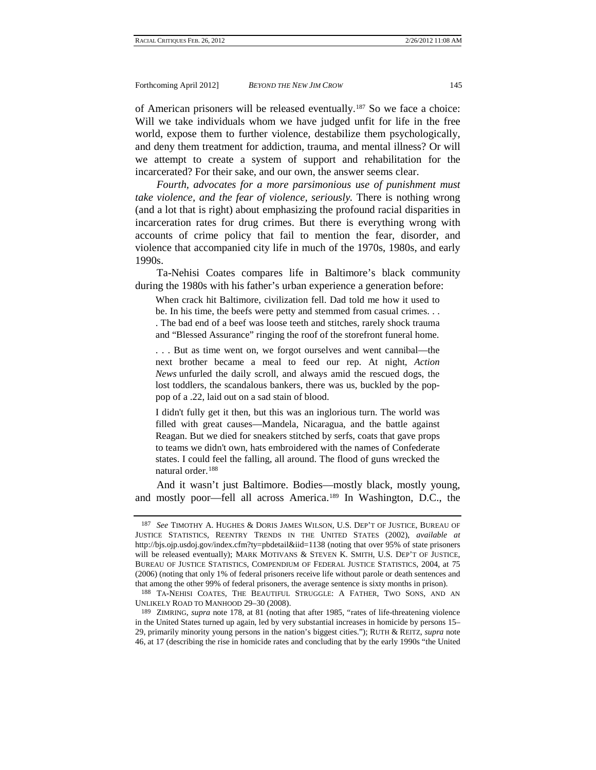of American prisoners will be released eventually.[187](#page-43-4) So we face a choice: Will we take individuals whom we have judged unfit for life in the free world, expose them to further violence, destabilize them psychologically, and deny them treatment for addiction, trauma, and mental illness? Or will we attempt to create a system of support and rehabilitation for the incarcerated? For their sake, and our own, the answer seems clear.

*Fourth, advocates for a more parsimonious use of punishment must take violence, and the fear of violence, seriously.* There is nothing wrong (and a lot that is right) about emphasizing the profound racial disparities in incarceration rates for drug crimes. But there is everything wrong with accounts of crime policy that fail to mention the fear, disorder, and violence that accompanied city life in much of the 1970s, 1980s, and early 1990s.

Ta-Nehisi Coates compares life in Baltimore's black community during the 1980s with his father's urban experience a generation before:

When crack hit Baltimore, civilization fell. Dad told me how it used to be. In his time, the beefs were petty and stemmed from casual crimes. . . . The bad end of a beef was loose teeth and stitches, rarely shock trauma and "Blessed Assurance" ringing the roof of the storefront funeral home.

. . . But as time went on, we forgot ourselves and went cannibal—the next brother became a meal to feed our rep. At night, *Action News* unfurled the daily scroll, and always amid the rescued dogs, the lost toddlers, the scandalous bankers, there was us, buckled by the poppop of a .22, laid out on a sad stain of blood.

I didn't fully get it then, but this was an inglorious turn. The world was filled with great causes—Mandela, Nicaragua, and the battle against Reagan. But we died for sneakers stitched by serfs, coats that gave props to teams we didn't own, hats embroidered with the names of Confederate states. I could feel the falling, all around. The flood of guns wrecked the natural order.[188](#page-44-0)

And it wasn't just Baltimore. Bodies—mostly black, mostly young, and mostly poor—fell all across America.[189](#page-44-1) In Washington, D.C., the

<span id="page-44-2"></span><sup>187</sup> *See* TIMOTHY A. HUGHES & DORIS JAMES WILSON, U.S. DEP'T OF JUSTICE, BUREAU OF JUSTICE STATISTICS, REENTRY TRENDS IN THE UNITED STATES (2002), *available at* http://bjs.ojp.usdoj.gov/index.cfm?ty=pbdetail&iid=1138 (noting that over 95% of state prisoners will be released eventually); MARK MOTIVANS & STEVEN K. SMITH, U.S. DEP'T OF JUSTICE, BUREAU OF JUSTICE STATISTICS, COMPENDIUM OF FEDERAL JUSTICE STATISTICS, 2004, at 75 (2006) (noting that only 1% of federal prisoners receive life without parole or death sentences and that among the other 99% of federal prisoners, the average sentence is sixty months in prison).

<span id="page-44-0"></span><sup>188</sup> TA-NEHISI COATES, THE BEAUTIFUL STRUGGLE: A FATHER, TWO SONS, AND AN UNLIKELY ROAD TO MANHOOD 29–30 (2008).

<span id="page-44-1"></span><sup>189</sup> ZIMRING, *supra* note 178, at 81 (noting that after 1985, "rates of life-threatening violence in the United States turned up again, led by very substantial increases in homicide by persons 15– 29, primarily minority young persons in the nation's biggest cities."); RUTH & REITZ, *supra* note 46, at 17 (describing the rise in homicide rates and concluding that by the early 1990s "the United